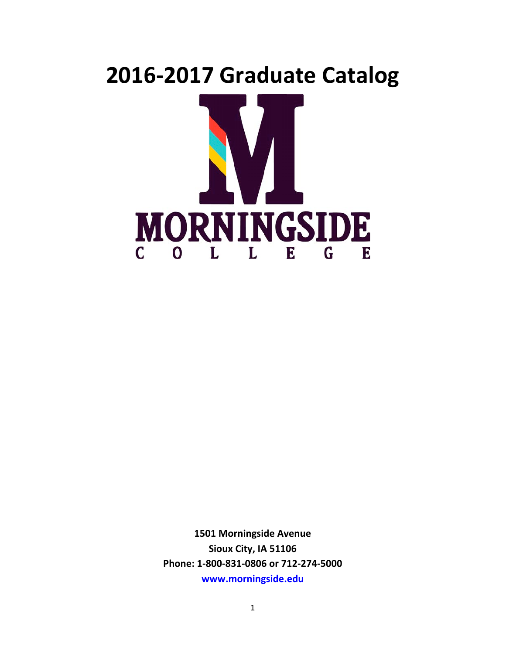# **2016-2017 Graduate Catalog MORNINGSIDE**  $C$  0 L E G L E

**1501 Morningside Avenue** Sioux City, IA 51106 Phone: 1-800-831-0806 or 712-274-5000 **www.morningside.edu**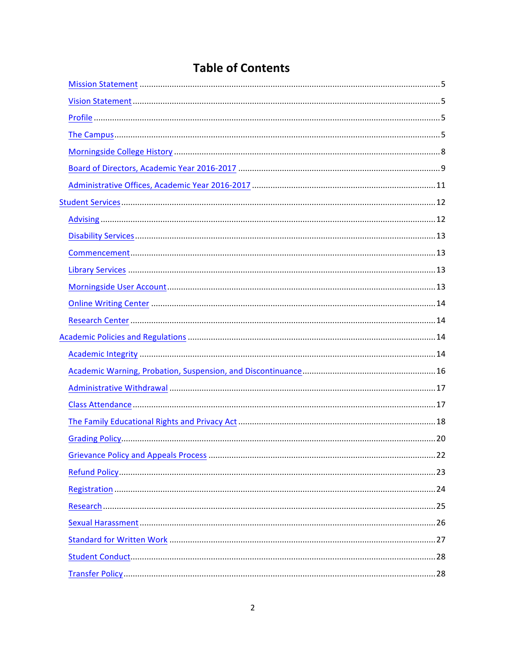# **Table of Contents**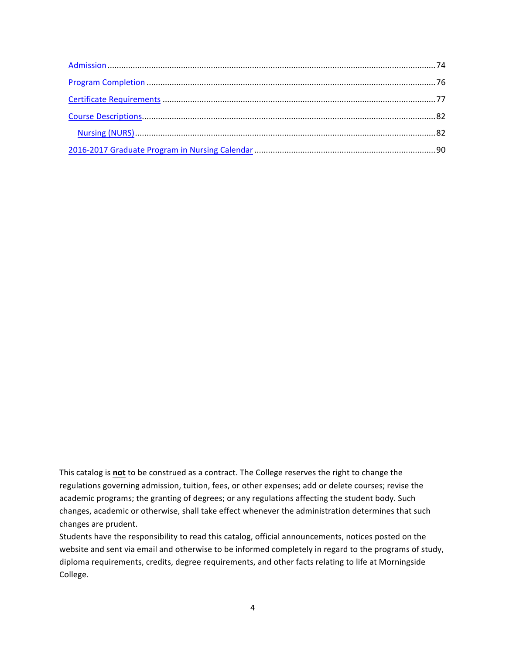This catalog is **not** to be construed as a contract. The College reserves the right to change the regulations governing admission, tuition, fees, or other expenses; add or delete courses; revise the academic programs; the granting of degrees; or any regulations affecting the student body. Such changes, academic or otherwise, shall take effect whenever the administration determines that such changes are prudent.

Students have the responsibility to read this catalog, official announcements, notices posted on the website and sent via email and otherwise to be informed completely in regard to the programs of study, diploma requirements, credits, degree requirements, and other facts relating to life at Morningside College.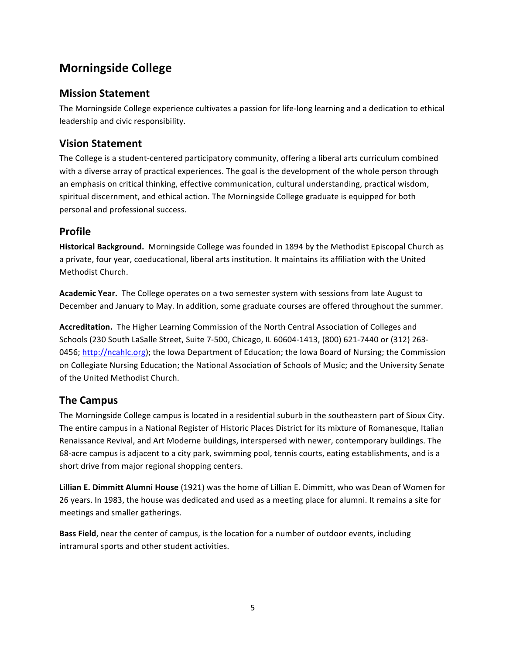# **Morningside College**

## **Mission Statement**

The Morningside College experience cultivates a passion for life-long learning and a dedication to ethical leadership and civic responsibility.

## **Vision Statement**

The College is a student-centered participatory community, offering a liberal arts curriculum combined with a diverse array of practical experiences. The goal is the development of the whole person through an emphasis on critical thinking, effective communication, cultural understanding, practical wisdom, spiritual discernment, and ethical action. The Morningside College graduate is equipped for both personal and professional success.

## **Profile**

Historical Background. Morningside College was founded in 1894 by the Methodist Episcopal Church as a private, four year, coeducational, liberal arts institution. It maintains its affiliation with the United Methodist Church.

Academic Year. The College operates on a two semester system with sessions from late August to December and January to May. In addition, some graduate courses are offered throughout the summer.

Accreditation. The Higher Learning Commission of the North Central Association of Colleges and Schools (230 South LaSalle Street, Suite 7-500, Chicago, IL 60604-1413, (800) 621-7440 or (312) 263-0456; http://ncahlc.org); the lowa Department of Education; the lowa Board of Nursing; the Commission on Collegiate Nursing Education; the National Association of Schools of Music; and the University Senate of the United Methodist Church.

## **The Campus**

The Morningside College campus is located in a residential suburb in the southeastern part of Sioux City. The entire campus in a National Register of Historic Places District for its mixture of Romanesque, Italian Renaissance Revival, and Art Moderne buildings, interspersed with newer, contemporary buildings. The 68-acre campus is adjacent to a city park, swimming pool, tennis courts, eating establishments, and is a short drive from major regional shopping centers.

Lillian E. Dimmitt Alumni House (1921) was the home of Lillian E. Dimmitt, who was Dean of Women for 26 years. In 1983, the house was dedicated and used as a meeting place for alumni. It remains a site for meetings and smaller gatherings.

**Bass Field**, near the center of campus, is the location for a number of outdoor events, including intramural sports and other student activities.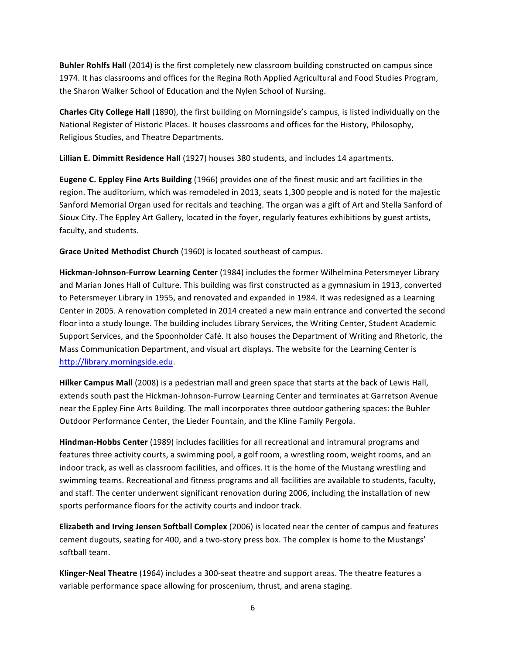**Buhler Rohlfs Hall** (2014) is the first completely new classroom building constructed on campus since 1974. It has classrooms and offices for the Regina Roth Applied Agricultural and Food Studies Program, the Sharon Walker School of Education and the Nylen School of Nursing.

**Charles City College Hall** (1890), the first building on Morningside's campus, is listed individually on the National Register of Historic Places. It houses classrooms and offices for the History, Philosophy, Religious Studies, and Theatre Departments.

Lillian E. Dimmitt Residence Hall (1927) houses 380 students, and includes 14 apartments.

**Eugene C. Eppley Fine Arts Building** (1966) provides one of the finest music and art facilities in the region. The auditorium, which was remodeled in 2013, seats 1,300 people and is noted for the majestic Sanford Memorial Organ used for recitals and teaching. The organ was a gift of Art and Stella Sanford of Sioux City. The Eppley Art Gallery, located in the foyer, regularly features exhibitions by guest artists, faculty, and students.

**Grace United Methodist Church** (1960) is located southeast of campus.

Hickman-Johnson-Furrow Learning Center (1984) includes the former Wilhelmina Petersmeyer Library and Marian Jones Hall of Culture. This building was first constructed as a gymnasium in 1913, converted to Petersmeyer Library in 1955, and renovated and expanded in 1984. It was redesigned as a Learning Center in 2005. A renovation completed in 2014 created a new main entrance and converted the second floor into a study lounge. The building includes Library Services, the Writing Center, Student Academic Support Services, and the Spoonholder Café. It also houses the Department of Writing and Rhetoric, the Mass Communication Department, and visual art displays. The website for the Learning Center is http://library.morningside.edu.

**Hilker Campus Mall** (2008) is a pedestrian mall and green space that starts at the back of Lewis Hall, extends south past the Hickman-Johnson-Furrow Learning Center and terminates at Garretson Avenue near the Eppley Fine Arts Building. The mall incorporates three outdoor gathering spaces: the Buhler Outdoor Performance Center, the Lieder Fountain, and the Kline Family Pergola.

**Hindman-Hobbs Center** (1989) includes facilities for all recreational and intramural programs and features three activity courts, a swimming pool, a golf room, a wrestling room, weight rooms, and an indoor track, as well as classroom facilities, and offices. It is the home of the Mustang wrestling and swimming teams. Recreational and fitness programs and all facilities are available to students, faculty, and staff. The center underwent significant renovation during 2006, including the installation of new sports performance floors for the activity courts and indoor track.

**Elizabeth and Irving Jensen Softball Complex** (2006) is located near the center of campus and features cement dugouts, seating for 400, and a two-story press box. The complex is home to the Mustangs' softball team.

**Klinger-Neal Theatre** (1964) includes a 300-seat theatre and support areas. The theatre features a variable performance space allowing for proscenium, thrust, and arena staging.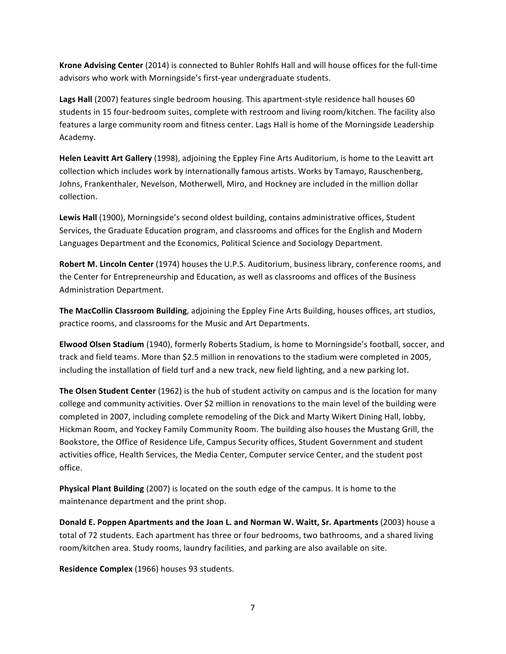**Krone Advising Center** (2014) is connected to Buhler Rohlfs Hall and will house offices for the full-time advisors who work with Morningside's first-year undergraduate students.

Lags Hall (2007) features single bedroom housing. This apartment-style residence hall houses 60 students in 15 four-bedroom suites, complete with restroom and living room/kitchen. The facility also features a large community room and fitness center. Lags Hall is home of the Morningside Leadership Academy.

**Helen Leavitt Art Gallery** (1998), adjoining the Eppley Fine Arts Auditorium, is home to the Leavitt art collection which includes work by internationally famous artists. Works by Tamayo, Rauschenberg, Johns, Frankenthaler, Nevelson, Motherwell, Miro, and Hockney are included in the million dollar collection.

Lewis Hall (1900), Morningside's second oldest building, contains administrative offices, Student Services, the Graduate Education program, and classrooms and offices for the English and Modern Languages Department and the Economics, Political Science and Sociology Department.

**Robert M. Lincoln Center** (1974) houses the U.P.S. Auditorium, business library, conference rooms, and the Center for Entrepreneurship and Education, as well as classrooms and offices of the Business Administration Department.

**The MacCollin Classroom Building**, adjoining the Eppley Fine Arts Building, houses offices, art studios, practice rooms, and classrooms for the Music and Art Departments.

Elwood Olsen Stadium (1940), formerly Roberts Stadium, is home to Morningside's football, soccer, and track and field teams. More than \$2.5 million in renovations to the stadium were completed in 2005, including the installation of field turf and a new track, new field lighting, and a new parking lot.

**The Olsen Student Center** (1962) is the hub of student activity on campus and is the location for many college and community activities. Over \$2 million in renovations to the main level of the building were completed in 2007, including complete remodeling of the Dick and Marty Wikert Dining Hall, lobby, Hickman Room, and Yockey Family Community Room. The building also houses the Mustang Grill, the Bookstore, the Office of Residence Life, Campus Security offices, Student Government and student activities office, Health Services, the Media Center, Computer service Center, and the student post office.

**Physical Plant Building** (2007) is located on the south edge of the campus. It is home to the maintenance department and the print shop.

**Donald E. Poppen Apartments and the Joan L. and Norman W. Waitt, Sr. Apartments** (2003) house a total of 72 students. Each apartment has three or four bedrooms, two bathrooms, and a shared living room/kitchen area. Study rooms, laundry facilities, and parking are also available on site.

**Residence Complex** (1966) houses 93 students.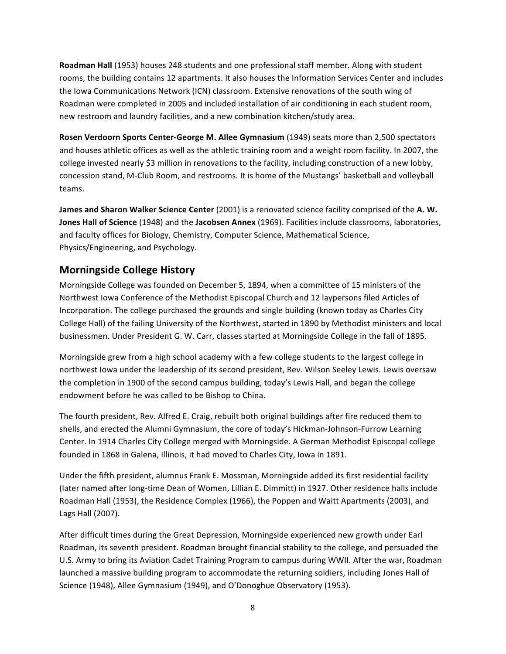**Roadman Hall** (1953) houses 248 students and one professional staff member. Along with student rooms, the building contains 12 apartments. It also houses the Information Services Center and includes the lowa Communications Network (ICN) classroom. Extensive renovations of the south wing of Roadman were completed in 2005 and included installation of air conditioning in each student room, new restroom and laundry facilities, and a new combination kitchen/study area.

**Rosen Verdoorn Sports Center-George M. Allee Gymnasium** (1949) seats more than 2,500 spectators and houses athletic offices as well as the athletic training room and a weight room facility. In 2007, the college invested nearly \$3 million in renovations to the facility, including construction of a new lobby, concession stand, M-Club Room, and restrooms. It is home of the Mustangs' basketball and volleyball teams.

**James and Sharon Walker Science Center** (2001) is a renovated science facility comprised of the A.W. **Jones Hall of Science** (1948) and the Jacobsen Annex (1969). Facilities include classrooms, laboratories, and faculty offices for Biology, Chemistry, Computer Science, Mathematical Science, Physics/Engineering, and Psychology.

## **Morningside College History**

Morningside College was founded on December 5, 1894, when a committee of 15 ministers of the Northwest lowa Conference of the Methodist Episcopal Church and 12 laypersons filed Articles of Incorporation. The college purchased the grounds and single building (known today as Charles City College Hall) of the failing University of the Northwest, started in 1890 by Methodist ministers and local businessmen. Under President G. W. Carr, classes started at Morningside College in the fall of 1895.

Morningside grew from a high school academy with a few college students to the largest college in northwest lowa under the leadership of its second president, Rev. Wilson Seeley Lewis. Lewis oversaw the completion in 1900 of the second campus building, today's Lewis Hall, and began the college endowment before he was called to be Bishop to China.

The fourth president, Rev. Alfred E. Craig, rebuilt both original buildings after fire reduced them to shells, and erected the Alumni Gymnasium, the core of today's Hickman-Johnson-Furrow Learning Center. In 1914 Charles City College merged with Morningside. A German Methodist Episcopal college founded in 1868 in Galena, Illinois, it had moved to Charles City, Iowa in 1891.

Under the fifth president, alumnus Frank E. Mossman, Morningside added its first residential facility (later named after long-time Dean of Women, Lillian E. Dimmitt) in 1927. Other residence halls include Roadman Hall (1953), the Residence Complex (1966), the Poppen and Waitt Apartments (2003), and Lags Hall (2007).

After difficult times during the Great Depression, Morningside experienced new growth under Earl Roadman, its seventh president. Roadman brought financial stability to the college, and persuaded the U.S. Army to bring its Aviation Cadet Training Program to campus during WWII. After the war, Roadman launched a massive building program to accommodate the returning soldiers, including Jones Hall of Science (1948), Allee Gymnasium (1949), and O'Donoghue Observatory (1953).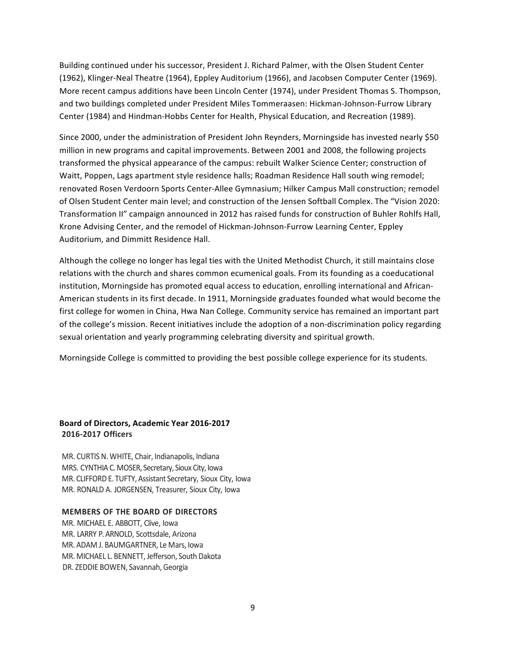Building continued under his successor, President J. Richard Palmer, with the Olsen Student Center (1962), Klinger-Neal Theatre (1964), Eppley Auditorium (1966), and Jacobsen Computer Center (1969). More recent campus additions have been Lincoln Center (1974), under President Thomas S. Thompson, and two buildings completed under President Miles Tommeraasen: Hickman-Johnson-Furrow Library Center (1984) and Hindman-Hobbs Center for Health, Physical Education, and Recreation (1989).

Since 2000, under the administration of President John Reynders, Morningside has invested nearly \$50 million in new programs and capital improvements. Between 2001 and 2008, the following projects transformed the physical appearance of the campus: rebuilt Walker Science Center; construction of Waitt, Poppen, Lags apartment style residence halls; Roadman Residence Hall south wing remodel; renovated Rosen Verdoorn Sports Center-Allee Gymnasium; Hilker Campus Mall construction; remodel of Olsen Student Center main level; and construction of the Jensen Softball Complex. The "Vision 2020: Transformation II" campaign announced in 2012 has raised funds for construction of Buhler Rohlfs Hall, Krone Advising Center, and the remodel of Hickman-Johnson-Furrow Learning Center, Eppley Auditorium, and Dimmitt Residence Hall.

Although the college no longer has legal ties with the United Methodist Church, it still maintains close relations with the church and shares common ecumenical goals. From its founding as a coeducational institution, Morningside has promoted equal access to education, enrolling international and African-American students in its first decade. In 1911, Morningside graduates founded what would become the first college for women in China, Hwa Nan College. Community service has remained an important part of the college's mission. Recent initiatives include the adoption of a non-discrimination policy regarding sexual orientation and yearly programming celebrating diversity and spiritual growth.

Morningside College is committed to providing the best possible college experience for its students.

## **Board of Directors, Academic Year 2016-2017 2016-2017 Officers**

MR. CURTIS N. WHITE, Chair, Indianapolis, Indiana MRS. CYNTHIA C. MOSER, Secretary, Sioux City, Iowa MR. CLIFFORD E. TUFTY, Assistant Secretary, Sioux City, Iowa MR. RONALD A. JORGENSEN, Treasurer, Sioux City, Iowa

#### **MEMBERS OF THE BOARD OF DIRECTORS**

MR. MICHAEL E. ABBOTT, Clive, Iowa MR. LARRY P.ARNOLD, Scottsdale, Arizona MR. ADAM J. BAUMGARTNER, Le Mars, Iowa MR. MICHAEL L. BENNETT, Jefferson, South Dakota DR. ZEDDIE BOWEN, Savannah, Georgia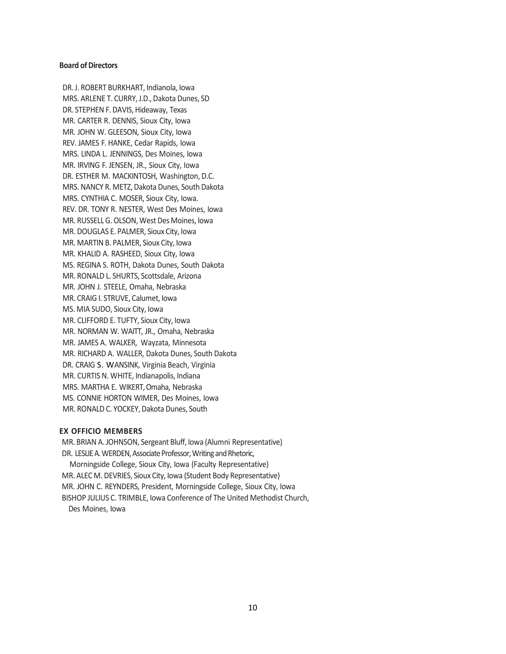#### **Board of Directors**

DR.J. ROBERT BURKHART, Indianola, Iowa MRS. ARLENE T. CURRY, J.D., Dakota Dunes, SD DR. STEPHEN F. DAVIS, Hideaway, Texas MR. CARTER R. DENNIS, Sioux City, Iowa MR. JOHN W. GLEESON, Sioux City, Iowa REV. JAMES F. HANKE, Cedar Rapids, Iowa MRS. LINDA L. JENNINGS, Des Moines, Iowa MR. IRVING F. JENSEN, JR., Sioux City, Iowa DR. ESTHER M. MACKINTOSH, Washington, D.C. MRS.NANCY R. METZ, Dakota Dunes, South Dakota MRS. CYNTHIA C. MOSER, Sioux City, Iowa. REV. DR. TONY R. NESTER, West Des Moines, Iowa MR. RUSSELL G.OLSON, West Des Moines, Iowa MR. DOUGLAS E. PALMER, Sioux City, Iowa MR. MARTIN B. PALMER, Sioux City, Iowa MR. KHALID A. RASHEED, Sioux City, Iowa MS. REGINA S. ROTH, Dakota Dunes, South Dakota MR. RONALD L. SHURTS, Scottsdale, Arizona MR. JOHN J. STEELE, Omaha, Nebraska MR. CRAIG I. STRUVE, Calumet, Iowa MS. MIA SUDO, Sioux City, Iowa MR. CLIFFORD E. TUFTY, Sioux City, Iowa MR. NORMAN W. WAITT, JR., Omaha, Nebraska MR. JAMES A. WALKER, Wayzata, Minnesota MR. RICHARD A. WALLER, Dakota Dunes, South Dakota DR. CRAIG S. WANSINK, Virginia Beach, Virginia MR. CURTIS N. WHITE, Indianapolis, Indiana MRS. MARTHA E. WIKERT, Omaha, Nebraska MS. CONNIE HORTON WIMER, Des Moines, Iowa MR. RONALD C. YOCKEY, Dakota Dunes, South

#### **EX OFFICIO MEMBERS**

MR. BRIAN A. JOHNSON, Sergeant Bluff, Iowa (Alumni Representative) DR. LESLIE A. WERDEN, Associate Professor, Writing and Rhetoric, Morningside College, Sioux City, Iowa (Faculty Representative) MR. ALEC M. DEVRIES, Sioux City, Iowa (Student Body Representative) MR. JOHN C. REYNDERS, President, Morningside College, Sioux City, Iowa BISHOP JULIUS C. TRIMBLE, Iowa Conference of The United Methodist Church, Des Moines, Iowa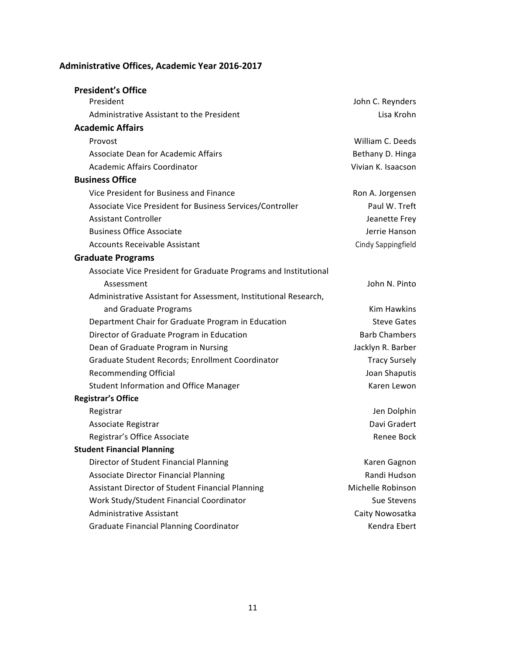## **Administrative Offices, Academic Year 2016-2017**

| <b>President's Office</b>                                        |                      |
|------------------------------------------------------------------|----------------------|
| President                                                        | John C. Reynders     |
| Administrative Assistant to the President                        | Lisa Krohn           |
| <b>Academic Affairs</b>                                          |                      |
| Provost                                                          | William C. Deeds     |
| <b>Associate Dean for Academic Affairs</b>                       | Bethany D. Hinga     |
| Academic Affairs Coordinator                                     | Vivian K. Isaacson   |
| <b>Business Office</b>                                           |                      |
| Vice President for Business and Finance                          | Ron A. Jorgensen     |
| Associate Vice President for Business Services/Controller        | Paul W. Treft        |
| <b>Assistant Controller</b>                                      | Jeanette Frey        |
| <b>Business Office Associate</b>                                 | Jerrie Hanson        |
| <b>Accounts Receivable Assistant</b>                             | Cindy Sappingfield   |
| <b>Graduate Programs</b>                                         |                      |
| Associate Vice President for Graduate Programs and Institutional |                      |
| Assessment                                                       | John N. Pinto        |
| Administrative Assistant for Assessment, Institutional Research, |                      |
| and Graduate Programs                                            | Kim Hawkins          |
| Department Chair for Graduate Program in Education               | <b>Steve Gates</b>   |
| Director of Graduate Program in Education                        | <b>Barb Chambers</b> |
| Dean of Graduate Program in Nursing                              | Jacklyn R. Barber    |
| Graduate Student Records; Enrollment Coordinator                 | <b>Tracy Sursely</b> |
| <b>Recommending Official</b>                                     | Joan Shaputis        |
| <b>Student Information and Office Manager</b>                    | Karen Lewon          |
| <b>Registrar's Office</b>                                        |                      |
| Registrar                                                        | Jen Dolphin          |
| Associate Registrar                                              | Davi Gradert         |
| Registrar's Office Associate                                     | Renee Bock           |
| <b>Student Financial Planning</b>                                |                      |
| Director of Student Financial Planning                           | Karen Gagnon         |
| <b>Associate Director Financial Planning</b>                     | Randi Hudson         |
| Assistant Director of Student Financial Planning                 | Michelle Robinson    |
| Work Study/Student Financial Coordinator                         | Sue Stevens          |
| <b>Administrative Assistant</b>                                  | Caity Nowosatka      |
| <b>Graduate Financial Planning Coordinator</b>                   | Kendra Ebert         |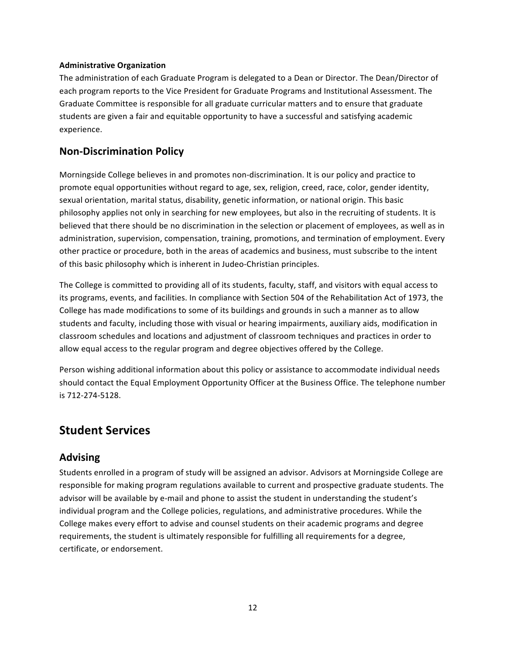## **Administrative Organization**

The administration of each Graduate Program is delegated to a Dean or Director. The Dean/Director of each program reports to the Vice President for Graduate Programs and Institutional Assessment. The Graduate Committee is responsible for all graduate curricular matters and to ensure that graduate students are given a fair and equitable opportunity to have a successful and satisfying academic experience.

## **Non-Discrimination Policy**

Morningside College believes in and promotes non-discrimination. It is our policy and practice to promote equal opportunities without regard to age, sex, religion, creed, race, color, gender identity, sexual orientation, marital status, disability, genetic information, or national origin. This basic philosophy applies not only in searching for new employees, but also in the recruiting of students. It is believed that there should be no discrimination in the selection or placement of employees, as well as in administration, supervision, compensation, training, promotions, and termination of employment. Every other practice or procedure, both in the areas of academics and business, must subscribe to the intent of this basic philosophy which is inherent in Judeo-Christian principles.

The College is committed to providing all of its students, faculty, staff, and visitors with equal access to its programs, events, and facilities. In compliance with Section 504 of the Rehabilitation Act of 1973, the College has made modifications to some of its buildings and grounds in such a manner as to allow students and faculty, including those with visual or hearing impairments, auxiliary aids, modification in classroom schedules and locations and adjustment of classroom techniques and practices in order to allow equal access to the regular program and degree objectives offered by the College.

Person wishing additional information about this policy or assistance to accommodate individual needs should contact the Equal Employment Opportunity Officer at the Business Office. The telephone number is 712-274-5128.

## **Student Services**

## **Advising**

Students enrolled in a program of study will be assigned an advisor. Advisors at Morningside College are responsible for making program regulations available to current and prospective graduate students. The advisor will be available by e-mail and phone to assist the student in understanding the student's individual program and the College policies, regulations, and administrative procedures. While the College makes every effort to advise and counsel students on their academic programs and degree requirements, the student is ultimately responsible for fulfilling all requirements for a degree, certificate, or endorsement.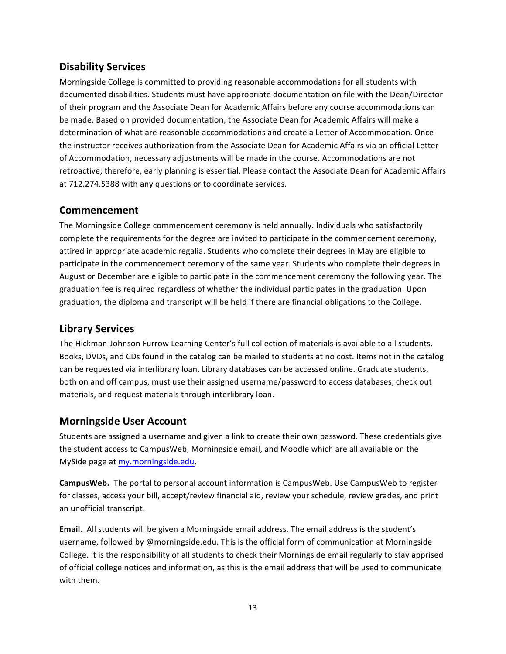## **Disability Services**

Morningside College is committed to providing reasonable accommodations for all students with documented disabilities. Students must have appropriate documentation on file with the Dean/Director of their program and the Associate Dean for Academic Affairs before any course accommodations can be made. Based on provided documentation, the Associate Dean for Academic Affairs will make a determination of what are reasonable accommodations and create a Letter of Accommodation. Once the instructor receives authorization from the Associate Dean for Academic Affairs via an official Letter of Accommodation, necessary adjustments will be made in the course. Accommodations are not retroactive; therefore, early planning is essential. Please contact the Associate Dean for Academic Affairs at 712.274.5388 with any questions or to coordinate services.

## **Commencement**

The Morningside College commencement ceremony is held annually. Individuals who satisfactorily complete the requirements for the degree are invited to participate in the commencement ceremony, attired in appropriate academic regalia. Students who complete their degrees in May are eligible to participate in the commencement ceremony of the same year. Students who complete their degrees in August or December are eligible to participate in the commencement ceremony the following year. The graduation fee is required regardless of whether the individual participates in the graduation. Upon graduation, the diploma and transcript will be held if there are financial obligations to the College.

## **Library Services**

The Hickman-Johnson Furrow Learning Center's full collection of materials is available to all students. Books, DVDs, and CDs found in the catalog can be mailed to students at no cost. Items not in the catalog can be requested via interlibrary loan. Library databases can be accessed online. Graduate students, both on and off campus, must use their assigned username/password to access databases, check out materials, and request materials through interlibrary loan.

## **Morningside User Account**

Students are assigned a username and given a link to create their own password. These credentials give the student access to CampusWeb, Morningside email, and Moodle which are all available on the MySide page at my.morningside.edu.

**CampusWeb.** The portal to personal account information is CampusWeb. Use CampusWeb to register for classes, access your bill, accept/review financial aid, review your schedule, review grades, and print an unofficial transcript.

**Email.** All students will be given a Morningside email address. The email address is the student's username, followed by @morningside.edu. This is the official form of communication at Morningside College. It is the responsibility of all students to check their Morningside email regularly to stay apprised of official college notices and information, as this is the email address that will be used to communicate with them.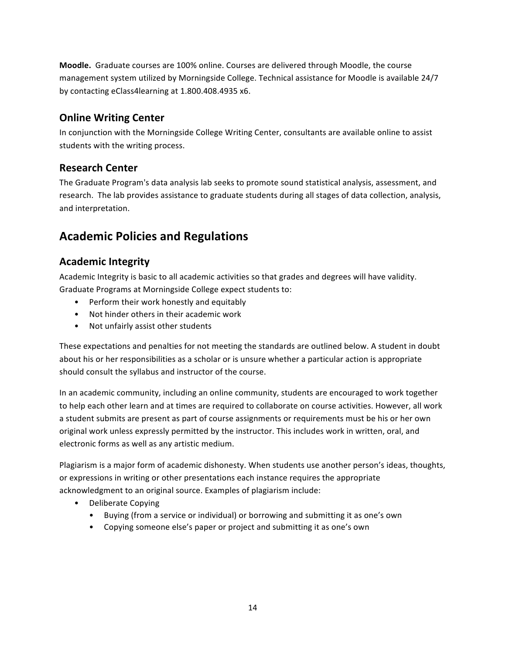**Moodle.** Graduate courses are 100% online. Courses are delivered through Moodle, the course management system utilized by Morningside College. Technical assistance for Moodle is available 24/7 by contacting eClass4learning at 1.800.408.4935 x6.

## **Online Writing Center**

In conjunction with the Morningside College Writing Center, consultants are available online to assist students with the writing process.

## **Research Center**

The Graduate Program's data analysis lab seeks to promote sound statistical analysis, assessment, and research. The lab provides assistance to graduate students during all stages of data collection, analysis, and interpretation.

## **Academic Policies and Regulations**

## **Academic Integrity**

Academic Integrity is basic to all academic activities so that grades and degrees will have validity. Graduate Programs at Morningside College expect students to:

- Perform their work honestly and equitably
- Not hinder others in their academic work
- Not unfairly assist other students

These expectations and penalties for not meeting the standards are outlined below. A student in doubt about his or her responsibilities as a scholar or is unsure whether a particular action is appropriate should consult the syllabus and instructor of the course.

In an academic community, including an online community, students are encouraged to work together to help each other learn and at times are required to collaborate on course activities. However, all work a student submits are present as part of course assignments or requirements must be his or her own original work unless expressly permitted by the instructor. This includes work in written, oral, and electronic forms as well as any artistic medium.

Plagiarism is a major form of academic dishonesty. When students use another person's ideas, thoughts, or expressions in writing or other presentations each instance requires the appropriate acknowledgment to an original source. Examples of plagiarism include:

- Deliberate Copying
	- Buying (from a service or individual) or borrowing and submitting it as one's own
	- Copying someone else's paper or project and submitting it as one's own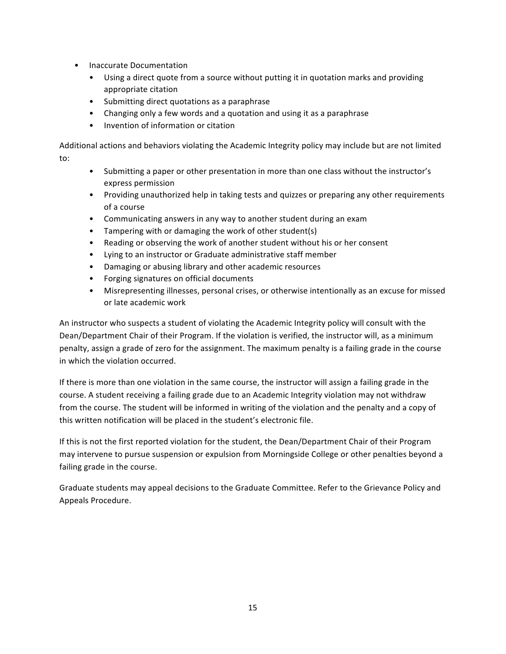- Inaccurate Documentation
	- Using a direct quote from a source without putting it in quotation marks and providing appropriate citation
	- Submitting direct quotations as a paraphrase
	- Changing only a few words and a quotation and using it as a paraphrase
	- Invention of information or citation

Additional actions and behaviors violating the Academic Integrity policy may include but are not limited to:

- Submitting a paper or other presentation in more than one class without the instructor's express permission
- Providing unauthorized help in taking tests and quizzes or preparing any other requirements of a course
- Communicating answers in any way to another student during an exam
- Tampering with or damaging the work of other student(s)
- Reading or observing the work of another student without his or her consent
- Lying to an instructor or Graduate administrative staff member
- Damaging or abusing library and other academic resources
- Forging signatures on official documents
- Misrepresenting illnesses, personal crises, or otherwise intentionally as an excuse for missed or late academic work

An instructor who suspects a student of violating the Academic Integrity policy will consult with the Dean/Department Chair of their Program. If the violation is verified, the instructor will, as a minimum penalty, assign a grade of zero for the assignment. The maximum penalty is a failing grade in the course in which the violation occurred.

If there is more than one violation in the same course, the instructor will assign a failing grade in the course. A student receiving a failing grade due to an Academic Integrity violation may not withdraw from the course. The student will be informed in writing of the violation and the penalty and a copy of this written notification will be placed in the student's electronic file.

If this is not the first reported violation for the student, the Dean/Department Chair of their Program may intervene to pursue suspension or expulsion from Morningside College or other penalties beyond a failing grade in the course.

Graduate students may appeal decisions to the Graduate Committee. Refer to the Grievance Policy and Appeals Procedure.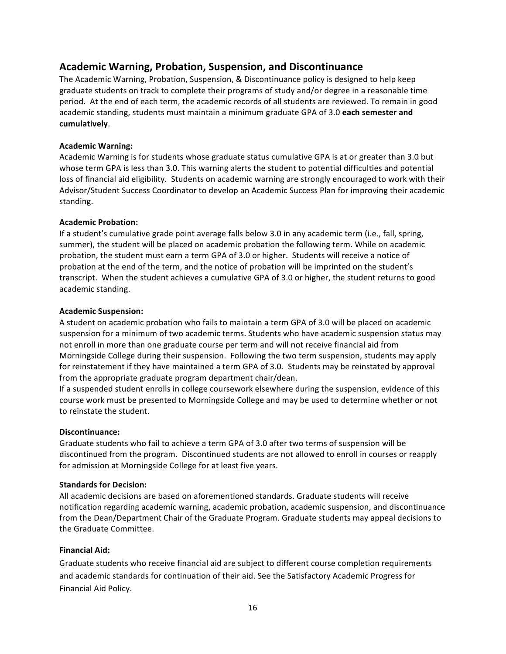## **Academic Warning, Probation, Suspension, and Discontinuance**

The Academic Warning, Probation, Suspension, & Discontinuance policy is designed to help keep graduate students on track to complete their programs of study and/or degree in a reasonable time period. At the end of each term, the academic records of all students are reviewed. To remain in good academic standing, students must maintain a minimum graduate GPA of 3.0 each semester and **cumulatively**. 

## **Academic Warning:**

Academic Warning is for students whose graduate status cumulative GPA is at or greater than 3.0 but whose term GPA is less than 3.0. This warning alerts the student to potential difficulties and potential loss of financial aid eligibility. Students on academic warning are strongly encouraged to work with their Advisor/Student Success Coordinator to develop an Academic Success Plan for improving their academic standing. 

## **Academic Probation:**

If a student's cumulative grade point average falls below 3.0 in any academic term (i.e., fall, spring, summer), the student will be placed on academic probation the following term. While on academic probation, the student must earn a term GPA of 3.0 or higher. Students will receive a notice of probation at the end of the term, and the notice of probation will be imprinted on the student's transcript. When the student achieves a cumulative GPA of 3.0 or higher, the student returns to good academic standing.

## **Academic Suspension:**

A student on academic probation who fails to maintain a term GPA of 3.0 will be placed on academic suspension for a minimum of two academic terms. Students who have academic suspension status may not enroll in more than one graduate course per term and will not receive financial aid from Morningside College during their suspension. Following the two term suspension, students may apply for reinstatement if they have maintained a term GPA of 3.0. Students may be reinstated by approval from the appropriate graduate program department chair/dean.

If a suspended student enrolls in college coursework elsewhere during the suspension, evidence of this course work must be presented to Morningside College and may be used to determine whether or not to reinstate the student.

## **Discontinuance:**

Graduate students who fail to achieve a term GPA of 3.0 after two terms of suspension will be discontinued from the program. Discontinued students are not allowed to enroll in courses or reapply for admission at Morningside College for at least five years.

## **Standards for Decision:**

All academic decisions are based on aforementioned standards. Graduate students will receive notification regarding academic warning, academic probation, academic suspension, and discontinuance from the Dean/Department Chair of the Graduate Program. Graduate students may appeal decisions to the Graduate Committee.

## **Financial Aid:**

Graduate students who receive financial aid are subject to different course completion requirements and academic standards for continuation of their aid. See the Satisfactory Academic Progress for Financial Aid Policy.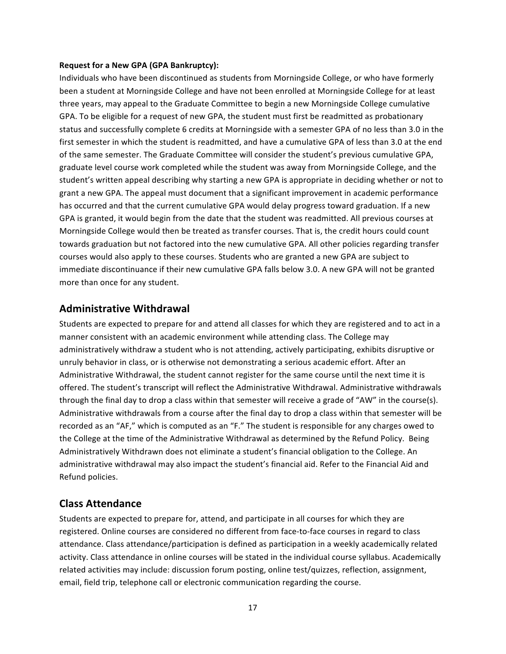#### **Request for a New GPA (GPA Bankruptcy):**

Individuals who have been discontinued as students from Morningside College, or who have formerly been a student at Morningside College and have not been enrolled at Morningside College for at least three years, may appeal to the Graduate Committee to begin a new Morningside College cumulative GPA. To be eligible for a request of new GPA, the student must first be readmitted as probationary status and successfully complete 6 credits at Morningside with a semester GPA of no less than 3.0 in the first semester in which the student is readmitted, and have a cumulative GPA of less than 3.0 at the end of the same semester. The Graduate Committee will consider the student's previous cumulative GPA, graduate level course work completed while the student was away from Morningside College, and the student's written appeal describing why starting a new GPA is appropriate in deciding whether or not to grant a new GPA. The appeal must document that a significant improvement in academic performance has occurred and that the current cumulative GPA would delay progress toward graduation. If a new GPA is granted, it would begin from the date that the student was readmitted. All previous courses at Morningside College would then be treated as transfer courses. That is, the credit hours could count towards graduation but not factored into the new cumulative GPA. All other policies regarding transfer courses would also apply to these courses. Students who are granted a new GPA are subject to immediate discontinuance if their new cumulative GPA falls below 3.0. A new GPA will not be granted more than once for any student.

## **Administrative Withdrawal**

Students are expected to prepare for and attend all classes for which they are registered and to act in a manner consistent with an academic environment while attending class. The College may administratively withdraw a student who is not attending, actively participating, exhibits disruptive or unruly behavior in class, or is otherwise not demonstrating a serious academic effort. After an Administrative Withdrawal, the student cannot register for the same course until the next time it is offered. The student's transcript will reflect the Administrative Withdrawal. Administrative withdrawals through the final day to drop a class within that semester will receive a grade of "AW" in the course(s). Administrative withdrawals from a course after the final day to drop a class within that semester will be recorded as an "AF," which is computed as an "F." The student is responsible for any charges owed to the College at the time of the Administrative Withdrawal as determined by the Refund Policy. Being Administratively Withdrawn does not eliminate a student's financial obligation to the College. An administrative withdrawal may also impact the student's financial aid. Refer to the Financial Aid and Refund policies.

## **Class Attendance**

Students are expected to prepare for, attend, and participate in all courses for which they are registered. Online courses are considered no different from face-to-face courses in regard to class attendance. Class attendance/participation is defined as participation in a weekly academically related activity. Class attendance in online courses will be stated in the individual course syllabus. Academically related activities may include: discussion forum posting, online test/quizzes, reflection, assignment, email, field trip, telephone call or electronic communication regarding the course.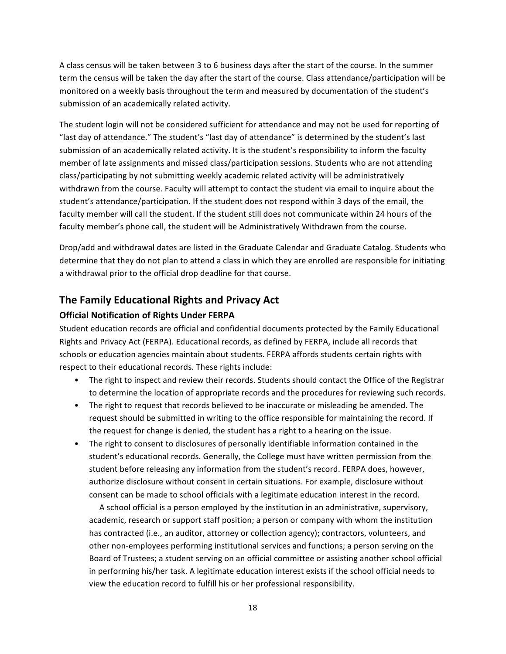A class census will be taken between 3 to 6 business days after the start of the course. In the summer term the census will be taken the day after the start of the course. Class attendance/participation will be monitored on a weekly basis throughout the term and measured by documentation of the student's submission of an academically related activity.

The student login will not be considered sufficient for attendance and may not be used for reporting of "last day of attendance." The student's "last day of attendance" is determined by the student's last submission of an academically related activity. It is the student's responsibility to inform the faculty member of late assignments and missed class/participation sessions. Students who are not attending class/participating by not submitting weekly academic related activity will be administratively withdrawn from the course. Faculty will attempt to contact the student via email to inquire about the student's attendance/participation. If the student does not respond within 3 days of the email, the faculty member will call the student. If the student still does not communicate within 24 hours of the faculty member's phone call, the student will be Administratively Withdrawn from the course.

Drop/add and withdrawal dates are listed in the Graduate Calendar and Graduate Catalog. Students who determine that they do not plan to attend a class in which they are enrolled are responsible for initiating a withdrawal prior to the official drop deadline for that course.

## **The Family Educational Rights and Privacy Act**

## **Official Notification of Rights Under FERPA**

Student education records are official and confidential documents protected by the Family Educational Rights and Privacy Act (FERPA). Educational records, as defined by FERPA, include all records that schools or education agencies maintain about students. FERPA affords students certain rights with respect to their educational records. These rights include:

- The right to inspect and review their records. Students should contact the Office of the Registrar to determine the location of appropriate records and the procedures for reviewing such records.
- The right to request that records believed to be inaccurate or misleading be amended. The request should be submitted in writing to the office responsible for maintaining the record. If the request for change is denied, the student has a right to a hearing on the issue.
- The right to consent to disclosures of personally identifiable information contained in the student's educational records. Generally, the College must have written permission from the student before releasing any information from the student's record. FERPA does, however, authorize disclosure without consent in certain situations. For example, disclosure without consent can be made to school officials with a legitimate education interest in the record.

A school official is a person employed by the institution in an administrative, supervisory, academic, research or support staff position; a person or company with whom the institution has contracted (i.e., an auditor, attorney or collection agency); contractors, volunteers, and other non-employees performing institutional services and functions; a person serving on the Board of Trustees; a student serving on an official committee or assisting another school official in performing his/her task. A legitimate education interest exists if the school official needs to view the education record to fulfill his or her professional responsibility.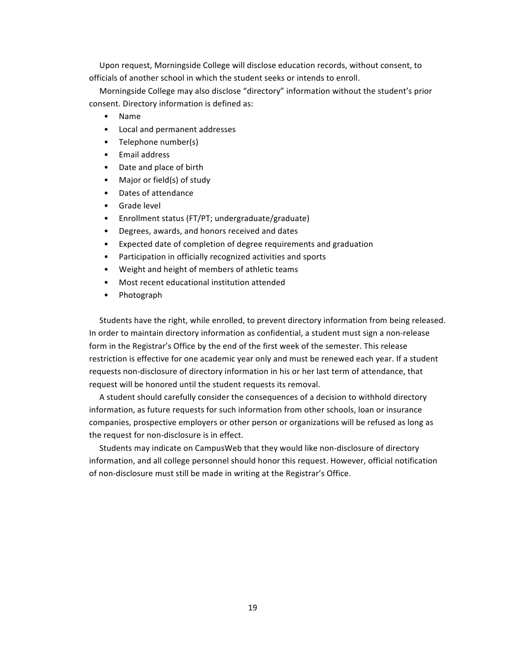Upon request, Morningside College will disclose education records, without consent, to officials of another school in which the student seeks or intends to enroll.

Morningside College may also disclose "directory" information without the student's prior consent. Directory information is defined as:

- Name
- Local and permanent addresses
- Telephone number(s)
- Email address
- Date and place of birth
- Major or field(s) of study
- Dates of attendance
- Grade level
- Enrollment status (FT/PT; undergraduate/graduate)
- Degrees, awards, and honors received and dates
- Expected date of completion of degree requirements and graduation
- Participation in officially recognized activities and sports
- Weight and height of members of athletic teams
- Most recent educational institution attended
- Photograph

Students have the right, while enrolled, to prevent directory information from being released. In order to maintain directory information as confidential, a student must sign a non-release form in the Registrar's Office by the end of the first week of the semester. This release restriction is effective for one academic year only and must be renewed each year. If a student requests non-disclosure of directory information in his or her last term of attendance, that request will be honored until the student requests its removal.

A student should carefully consider the consequences of a decision to withhold directory information, as future requests for such information from other schools, loan or insurance companies, prospective employers or other person or organizations will be refused as long as the request for non-disclosure is in effect.

Students may indicate on CampusWeb that they would like non-disclosure of directory information, and all college personnel should honor this request. However, official notification of non-disclosure must still be made in writing at the Registrar's Office.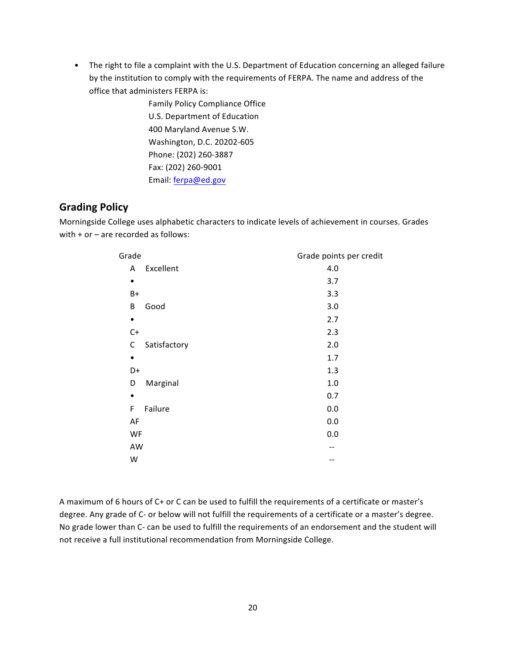• The right to file a complaint with the U.S. Department of Education concerning an alleged failure by the institution to comply with the requirements of FERPA. The name and address of the office that administers FERPA is:

> Family Policy Compliance Office U.S. Department of Education 400 Maryland Avenue S.W. Washington, D.C. 20202-605 Phone: (202) 260-3887 Fax: (202) 260-9001 Email: ferpa@ed.gov

## **Grading Policy**

Morningside College uses alphabetic characters to indicate levels of achievement in courses. Grades with  $+$  or  $-$  are recorded as follows:

| Grade             | Grade points per credit |
|-------------------|-------------------------|
| Excellent<br>A    | 4.0                     |
| ٠                 | 3.7                     |
| $B+$              | 3.3                     |
| Good<br>B         | 3.0                     |
| $\bullet$         | 2.7                     |
| $C+$              | 2.3                     |
| Satisfactory<br>C | 2.0                     |
| $\bullet$         | 1.7                     |
| D+                | 1.3                     |
| Marginal<br>D     | 1.0                     |
| ٠                 | 0.7                     |
| F<br>Failure      | 0.0                     |
| AF                | 0.0                     |
| WF                | 0.0                     |
| AW                |                         |
| W                 |                         |
|                   |                         |

A maximum of 6 hours of C+ or C can be used to fulfill the requirements of a certificate or master's degree. Any grade of C- or below will not fulfill the requirements of a certificate or a master's degree. No grade lower than C- can be used to fulfill the requirements of an endorsement and the student will not receive a full institutional recommendation from Morningside College.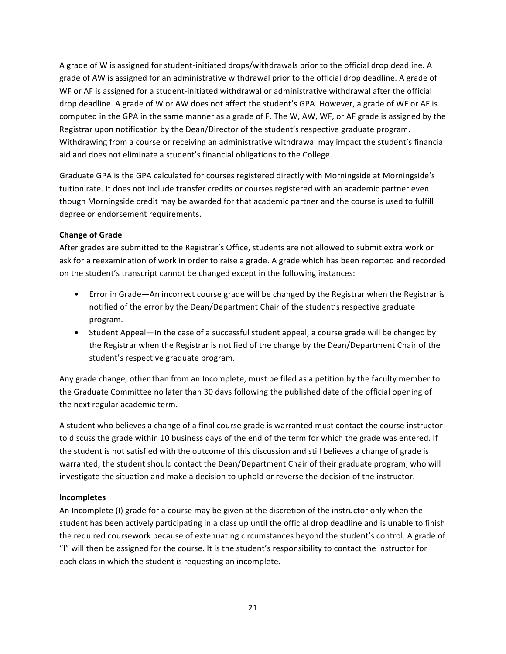A grade of W is assigned for student-initiated drops/withdrawals prior to the official drop deadline. A grade of AW is assigned for an administrative withdrawal prior to the official drop deadline. A grade of WF or AF is assigned for a student-initiated withdrawal or administrative withdrawal after the official drop deadline. A grade of W or AW does not affect the student's GPA. However, a grade of WF or AF is computed in the GPA in the same manner as a grade of F. The W, AW, WF, or AF grade is assigned by the Registrar upon notification by the Dean/Director of the student's respective graduate program. Withdrawing from a course or receiving an administrative withdrawal may impact the student's financial aid and does not eliminate a student's financial obligations to the College.

Graduate GPA is the GPA calculated for courses registered directly with Morningside at Morningside's tuition rate. It does not include transfer credits or courses registered with an academic partner even though Morningside credit may be awarded for that academic partner and the course is used to fulfill degree or endorsement requirements.

## **Change of Grade**

After grades are submitted to the Registrar's Office, students are not allowed to submit extra work or ask for a reexamination of work in order to raise a grade. A grade which has been reported and recorded on the student's transcript cannot be changed except in the following instances:

- Error in Grade—An incorrect course grade will be changed by the Registrar when the Registrar is notified of the error by the Dean/Department Chair of the student's respective graduate program.
- Student Appeal—In the case of a successful student appeal, a course grade will be changed by the Registrar when the Registrar is notified of the change by the Dean/Department Chair of the student's respective graduate program.

Any grade change, other than from an Incomplete, must be filed as a petition by the faculty member to the Graduate Committee no later than 30 days following the published date of the official opening of the next regular academic term.

A student who believes a change of a final course grade is warranted must contact the course instructor to discuss the grade within 10 business days of the end of the term for which the grade was entered. If the student is not satisfied with the outcome of this discussion and still believes a change of grade is warranted, the student should contact the Dean/Department Chair of their graduate program, who will investigate the situation and make a decision to uphold or reverse the decision of the instructor.

## **Incompletes**

An Incomplete (I) grade for a course may be given at the discretion of the instructor only when the student has been actively participating in a class up until the official drop deadline and is unable to finish the required coursework because of extenuating circumstances beyond the student's control. A grade of "I" will then be assigned for the course. It is the student's responsibility to contact the instructor for each class in which the student is requesting an incomplete.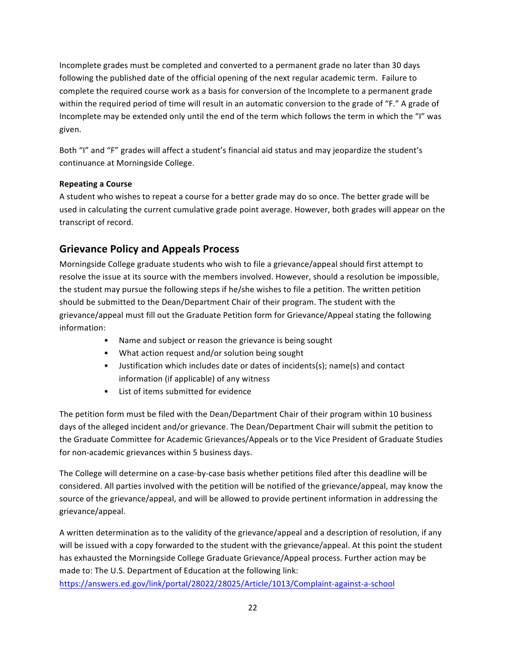Incomplete grades must be completed and converted to a permanent grade no later than 30 days following the published date of the official opening of the next regular academic term. Failure to complete the required course work as a basis for conversion of the Incomplete to a permanent grade within the required period of time will result in an automatic conversion to the grade of "F." A grade of Incomplete may be extended only until the end of the term which follows the term in which the "I" was given.

Both "I" and "F" grades will affect a student's financial aid status and may jeopardize the student's continuance at Morningside College.

## **Repeating a Course**

A student who wishes to repeat a course for a better grade may do so once. The better grade will be used in calculating the current cumulative grade point average. However, both grades will appear on the transcript of record.

## **Grievance Policy and Appeals Process**

Morningside College graduate students who wish to file a grievance/appeal should first attempt to resolve the issue at its source with the members involved. However, should a resolution be impossible, the student may pursue the following steps if he/she wishes to file a petition. The written petition should be submitted to the Dean/Department Chair of their program. The student with the grievance/appeal must fill out the Graduate Petition form for Grievance/Appeal stating the following information:

- Name and subject or reason the grievance is being sought
- What action request and/or solution being sought
- Justification which includes date or dates of incidents(s); name(s) and contact information (if applicable) of any witness
- List of items submitted for evidence

The petition form must be filed with the Dean/Department Chair of their program within 10 business days of the alleged incident and/or grievance. The Dean/Department Chair will submit the petition to the Graduate Committee for Academic Grievances/Appeals or to the Vice President of Graduate Studies for non-academic grievances within 5 business days.

The College will determine on a case-by-case basis whether petitions filed after this deadline will be considered. All parties involved with the petition will be notified of the grievance/appeal, may know the source of the grievance/appeal, and will be allowed to provide pertinent information in addressing the grievance/appeal. 

A written determination as to the validity of the grievance/appeal and a description of resolution, if any will be issued with a copy forwarded to the student with the grievance/appeal. At this point the student has exhausted the Morningside College Graduate Grievance/Appeal process. Further action may be made to: The U.S. Department of Education at the following link:

https://answers.ed.gov/link/portal/28022/28025/Article/1013/Complaint-against-a-school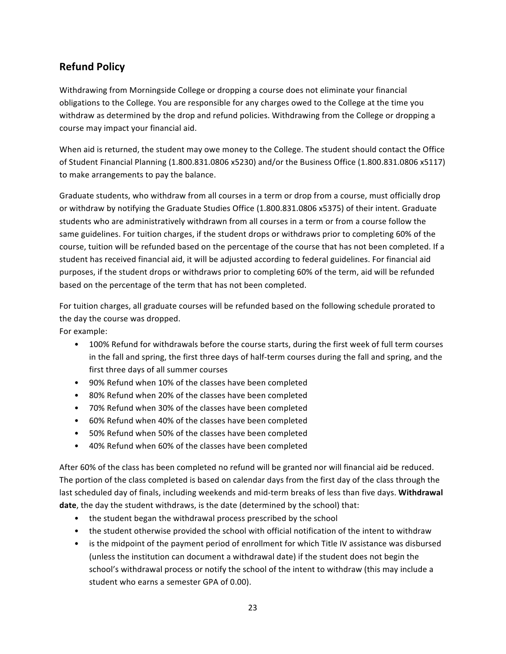## **Refund Policy**

Withdrawing from Morningside College or dropping a course does not eliminate your financial obligations to the College. You are responsible for any charges owed to the College at the time you withdraw as determined by the drop and refund policies. Withdrawing from the College or dropping a course may impact your financial aid.

When aid is returned, the student may owe money to the College. The student should contact the Office of Student Financial Planning (1.800.831.0806 x5230) and/or the Business Office (1.800.831.0806 x5117) to make arrangements to pay the balance.

Graduate students, who withdraw from all courses in a term or drop from a course, must officially drop or withdraw by notifying the Graduate Studies Office (1.800.831.0806 x5375) of their intent. Graduate students who are administratively withdrawn from all courses in a term or from a course follow the same guidelines. For tuition charges, if the student drops or withdraws prior to completing 60% of the course, tuition will be refunded based on the percentage of the course that has not been completed. If a student has received financial aid, it will be adjusted according to federal guidelines. For financial aid purposes, if the student drops or withdraws prior to completing 60% of the term, aid will be refunded based on the percentage of the term that has not been completed.

For tuition charges, all graduate courses will be refunded based on the following schedule prorated to the day the course was dropped.

For example:

- 100% Refund for withdrawals before the course starts, during the first week of full term courses in the fall and spring, the first three days of half-term courses during the fall and spring, and the first three days of all summer courses
- 90% Refund when 10% of the classes have been completed
- 80% Refund when 20% of the classes have been completed
- 70% Refund when 30% of the classes have been completed
- 60% Refund when 40% of the classes have been completed
- 50% Refund when 50% of the classes have been completed
- 40% Refund when 60% of the classes have been completed

After 60% of the class has been completed no refund will be granted nor will financial aid be reduced. The portion of the class completed is based on calendar days from the first day of the class through the last scheduled day of finals, including weekends and mid-term breaks of less than five days. Withdrawal **date**, the day the student withdraws, is the date (determined by the school) that:

- the student began the withdrawal process prescribed by the school
- the student otherwise provided the school with official notification of the intent to withdraw
- is the midpoint of the payment period of enrollment for which Title IV assistance was disbursed (unless the institution can document a withdrawal date) if the student does not begin the school's withdrawal process or notify the school of the intent to withdraw (this may include a student who earns a semester GPA of 0.00).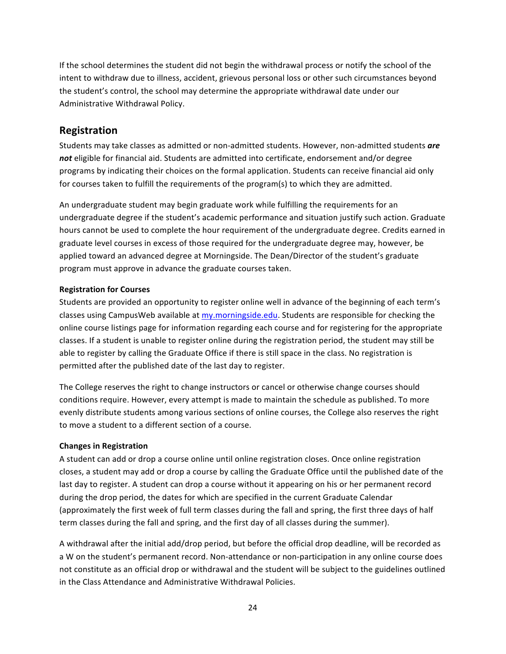If the school determines the student did not begin the withdrawal process or notify the school of the intent to withdraw due to illness, accident, grievous personal loss or other such circumstances beyond the student's control, the school may determine the appropriate withdrawal date under our Administrative Withdrawal Policy.

## **Registration**

Students may take classes as admitted or non-admitted students. However, non-admitted students *are* not eligible for financial aid. Students are admitted into certificate, endorsement and/or degree programs by indicating their choices on the formal application. Students can receive financial aid only for courses taken to fulfill the requirements of the program(s) to which they are admitted.

An undergraduate student may begin graduate work while fulfilling the requirements for an undergraduate degree if the student's academic performance and situation justify such action. Graduate hours cannot be used to complete the hour requirement of the undergraduate degree. Credits earned in graduate level courses in excess of those required for the undergraduate degree may, however, be applied toward an advanced degree at Morningside. The Dean/Director of the student's graduate program must approve in advance the graduate courses taken.

## **Registration for Courses**

Students are provided an opportunity to register online well in advance of the beginning of each term's classes using CampusWeb available at my.morningside.edu. Students are responsible for checking the online course listings page for information regarding each course and for registering for the appropriate classes. If a student is unable to register online during the registration period, the student may still be able to register by calling the Graduate Office if there is still space in the class. No registration is permitted after the published date of the last day to register.

The College reserves the right to change instructors or cancel or otherwise change courses should conditions require. However, every attempt is made to maintain the schedule as published. To more evenly distribute students among various sections of online courses, the College also reserves the right to move a student to a different section of a course.

## **Changes in Registration**

A student can add or drop a course online until online registration closes. Once online registration closes, a student may add or drop a course by calling the Graduate Office until the published date of the last day to register. A student can drop a course without it appearing on his or her permanent record during the drop period, the dates for which are specified in the current Graduate Calendar (approximately the first week of full term classes during the fall and spring, the first three days of half term classes during the fall and spring, and the first day of all classes during the summer).

A withdrawal after the initial add/drop period, but before the official drop deadline, will be recorded as a W on the student's permanent record. Non-attendance or non-participation in any online course does not constitute as an official drop or withdrawal and the student will be subject to the guidelines outlined in the Class Attendance and Administrative Withdrawal Policies.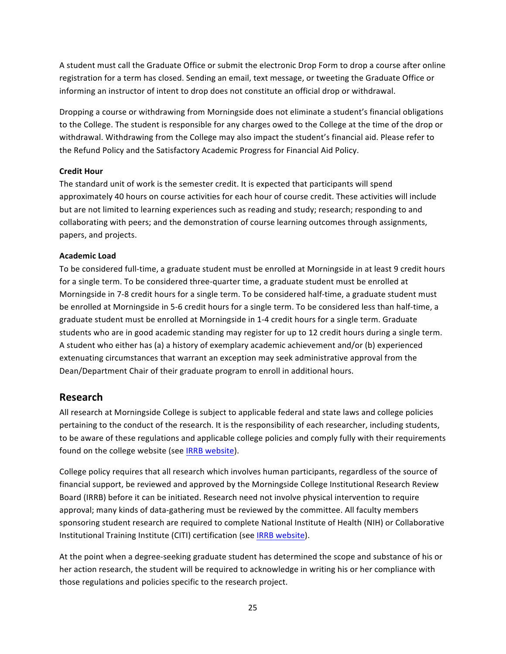A student must call the Graduate Office or submit the electronic Drop Form to drop a course after online registration for a term has closed. Sending an email, text message, or tweeting the Graduate Office or informing an instructor of intent to drop does not constitute an official drop or withdrawal.

Dropping a course or withdrawing from Morningside does not eliminate a student's financial obligations to the College. The student is responsible for any charges owed to the College at the time of the drop or withdrawal. Withdrawing from the College may also impact the student's financial aid. Please refer to the Refund Policy and the Satisfactory Academic Progress for Financial Aid Policy.

## **Credit Hour**

The standard unit of work is the semester credit. It is expected that participants will spend approximately 40 hours on course activities for each hour of course credit. These activities will include but are not limited to learning experiences such as reading and study; research; responding to and collaborating with peers; and the demonstration of course learning outcomes through assignments, papers, and projects.

## **Academic Load**

To be considered full-time, a graduate student must be enrolled at Morningside in at least 9 credit hours for a single term. To be considered three-quarter time, a graduate student must be enrolled at Morningside in 7-8 credit hours for a single term. To be considered half-time, a graduate student must be enrolled at Morningside in 5-6 credit hours for a single term. To be considered less than half-time, a graduate student must be enrolled at Morningside in 1-4 credit hours for a single term. Graduate students who are in good academic standing may register for up to 12 credit hours during a single term. A student who either has (a) a history of exemplary academic achievement and/or (b) experienced extenuating circumstances that warrant an exception may seek administrative approval from the Dean/Department Chair of their graduate program to enroll in additional hours.

## **Research**

All research at Morningside College is subject to applicable federal and state laws and college policies pertaining to the conduct of the research. It is the responsibility of each researcher, including students, to be aware of these regulations and applicable college policies and comply fully with their requirements found on the college website (see IRRB website).

College policy requires that all research which involves human participants, regardless of the source of financial support, be reviewed and approved by the Morningside College Institutional Research Review Board (IRRB) before it can be initiated. Research need not involve physical intervention to require approval; many kinds of data-gathering must be reviewed by the committee. All faculty members sponsoring student research are required to complete National Institute of Health (NIH) or Collaborative Institutional Training Institute (CITI) certification (see IRRB website).

At the point when a degree-seeking graduate student has determined the scope and substance of his or her action research, the student will be required to acknowledge in writing his or her compliance with those regulations and policies specific to the research project.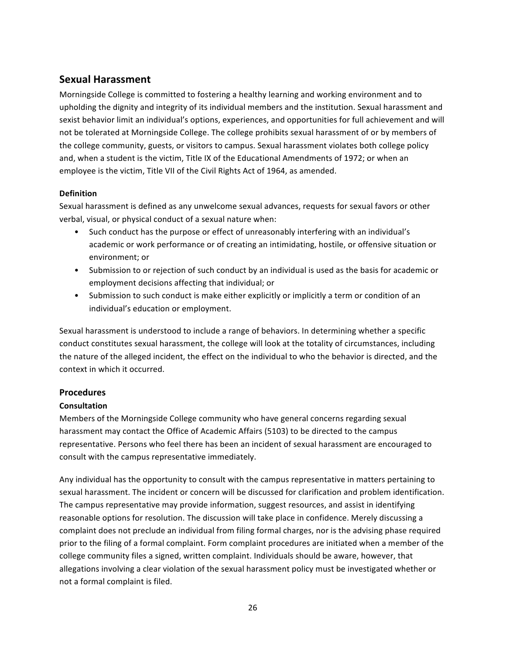## **Sexual Harassment**

Morningside College is committed to fostering a healthy learning and working environment and to upholding the dignity and integrity of its individual members and the institution. Sexual harassment and sexist behavior limit an individual's options, experiences, and opportunities for full achievement and will not be tolerated at Morningside College. The college prohibits sexual harassment of or by members of the college community, guests, or visitors to campus. Sexual harassment violates both college policy and, when a student is the victim, Title IX of the Educational Amendments of 1972; or when an employee is the victim, Title VII of the Civil Rights Act of 1964, as amended.

## **Definition**

Sexual harassment is defined as any unwelcome sexual advances, requests for sexual favors or other verbal, visual, or physical conduct of a sexual nature when:

- Such conduct has the purpose or effect of unreasonably interfering with an individual's academic or work performance or of creating an intimidating, hostile, or offensive situation or environment; or
- Submission to or rejection of such conduct by an individual is used as the basis for academic or employment decisions affecting that individual; or
- Submission to such conduct is make either explicitly or implicitly a term or condition of an individual's education or employment.

Sexual harassment is understood to include a range of behaviors. In determining whether a specific conduct constitutes sexual harassment, the college will look at the totality of circumstances, including the nature of the alleged incident, the effect on the individual to who the behavior is directed, and the context in which it occurred.

## **Procedures**

## **Consultation**

Members of the Morningside College community who have general concerns regarding sexual harassment may contact the Office of Academic Affairs (5103) to be directed to the campus representative. Persons who feel there has been an incident of sexual harassment are encouraged to consult with the campus representative immediately.

Any individual has the opportunity to consult with the campus representative in matters pertaining to sexual harassment. The incident or concern will be discussed for clarification and problem identification. The campus representative may provide information, suggest resources, and assist in identifying reasonable options for resolution. The discussion will take place in confidence. Merely discussing a complaint does not preclude an individual from filing formal charges, nor is the advising phase required prior to the filing of a formal complaint. Form complaint procedures are initiated when a member of the college community files a signed, written complaint. Individuals should be aware, however, that allegations involving a clear violation of the sexual harassment policy must be investigated whether or not a formal complaint is filed.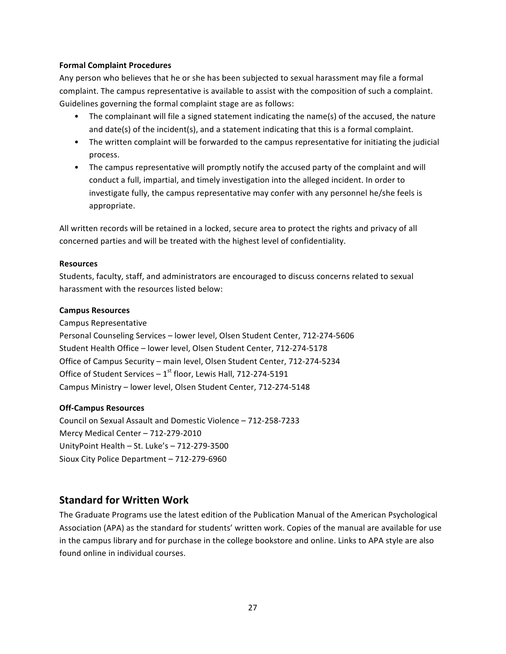#### **Formal Complaint Procedures**

Any person who believes that he or she has been subjected to sexual harassment may file a formal complaint. The campus representative is available to assist with the composition of such a complaint. Guidelines governing the formal complaint stage are as follows:

- The complainant will file a signed statement indicating the name(s) of the accused, the nature and  $date(s)$  of the incident(s), and a statement indicating that this is a formal complaint.
- The written complaint will be forwarded to the campus representative for initiating the judicial process.
- The campus representative will promptly notify the accused party of the complaint and will conduct a full, impartial, and timely investigation into the alleged incident. In order to investigate fully, the campus representative may confer with any personnel he/she feels is appropriate.

All written records will be retained in a locked, secure area to protect the rights and privacy of all concerned parties and will be treated with the highest level of confidentiality.

#### **Resources**

Students, faculty, staff, and administrators are encouraged to discuss concerns related to sexual harassment with the resources listed below:

#### **Campus Resources**

Campus Representative Personal Counseling Services - lower level, Olsen Student Center, 712-274-5606 Student Health Office - lower level, Olsen Student Center, 712-274-5178 Office of Campus Security - main level, Olsen Student Center, 712-274-5234 Office of Student Services  $-1^{st}$  floor, Lewis Hall, 712-274-5191

Campus Ministry - lower level, Olsen Student Center, 712-274-5148

## **Off-Campus Resources**

Council on Sexual Assault and Domestic Violence – 712-258-7233 Mercy Medical Center - 712-279-2010 UnityPoint Health  $-$  St. Luke's  $-$  712-279-3500 Sioux City Police Department - 712-279-6960

## **Standard for Written Work**

The Graduate Programs use the latest edition of the Publication Manual of the American Psychological Association (APA) as the standard for students' written work. Copies of the manual are available for use in the campus library and for purchase in the college bookstore and online. Links to APA style are also found online in individual courses.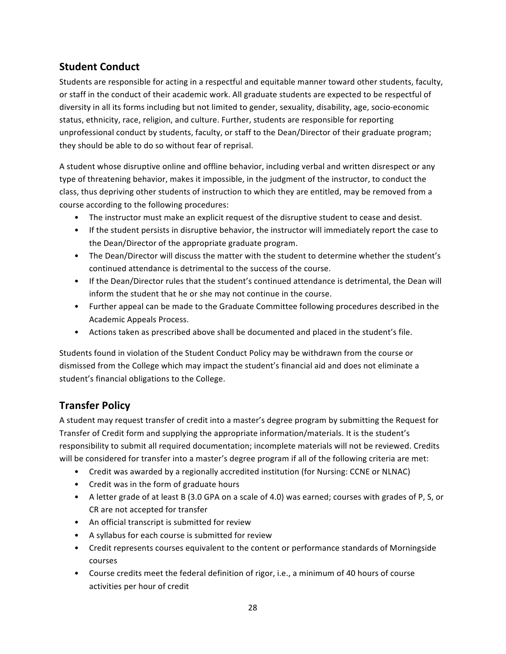## **Student Conduct**

Students are responsible for acting in a respectful and equitable manner toward other students, faculty, or staff in the conduct of their academic work. All graduate students are expected to be respectful of diversity in all its forms including but not limited to gender, sexuality, disability, age, socio-economic status, ethnicity, race, religion, and culture. Further, students are responsible for reporting unprofessional conduct by students, faculty, or staff to the Dean/Director of their graduate program; they should be able to do so without fear of reprisal.

A student whose disruptive online and offline behavior, including verbal and written disrespect or any type of threatening behavior, makes it impossible, in the judgment of the instructor, to conduct the class, thus depriving other students of instruction to which they are entitled, may be removed from a course according to the following procedures:

- The instructor must make an explicit request of the disruptive student to cease and desist.
- If the student persists in disruptive behavior, the instructor will immediately report the case to the Dean/Director of the appropriate graduate program.
- The Dean/Director will discuss the matter with the student to determine whether the student's continued attendance is detrimental to the success of the course.
- If the Dean/Director rules that the student's continued attendance is detrimental, the Dean will inform the student that he or she may not continue in the course.
- Further appeal can be made to the Graduate Committee following procedures described in the Academic Appeals Process.
- Actions taken as prescribed above shall be documented and placed in the student's file.

Students found in violation of the Student Conduct Policy may be withdrawn from the course or dismissed from the College which may impact the student's financial aid and does not eliminate a student's financial obligations to the College.

## **Transfer Policy**

A student may request transfer of credit into a master's degree program by submitting the Request for Transfer of Credit form and supplying the appropriate information/materials. It is the student's responsibility to submit all required documentation; incomplete materials will not be reviewed. Credits will be considered for transfer into a master's degree program if all of the following criteria are met:

- Credit was awarded by a regionally accredited institution (for Nursing: CCNE or NLNAC)
- Credit was in the form of graduate hours
- A letter grade of at least B (3.0 GPA on a scale of 4.0) was earned; courses with grades of P, S, or CR are not accepted for transfer
- An official transcript is submitted for review
- A syllabus for each course is submitted for review
- Credit represents courses equivalent to the content or performance standards of Morningside courses
- Course credits meet the federal definition of rigor, i.e., a minimum of 40 hours of course activities per hour of credit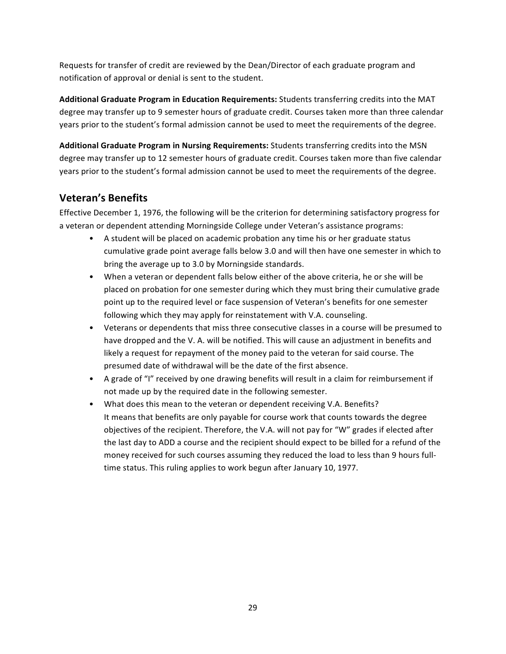Requests for transfer of credit are reviewed by the Dean/Director of each graduate program and notification of approval or denial is sent to the student.

Additional Graduate Program in Education Requirements: Students transferring credits into the MAT degree may transfer up to 9 semester hours of graduate credit. Courses taken more than three calendar years prior to the student's formal admission cannot be used to meet the requirements of the degree.

Additional Graduate Program in Nursing Requirements: Students transferring credits into the MSN degree may transfer up to 12 semester hours of graduate credit. Courses taken more than five calendar years prior to the student's formal admission cannot be used to meet the requirements of the degree.

## **Veteran's Benefits**

Effective December 1, 1976, the following will be the criterion for determining satisfactory progress for a veteran or dependent attending Morningside College under Veteran's assistance programs:

- A student will be placed on academic probation any time his or her graduate status cumulative grade point average falls below 3.0 and will then have one semester in which to bring the average up to 3.0 by Morningside standards.
- When a veteran or dependent falls below either of the above criteria, he or she will be placed on probation for one semester during which they must bring their cumulative grade point up to the required level or face suspension of Veteran's benefits for one semester following which they may apply for reinstatement with V.A. counseling.
- Veterans or dependents that miss three consecutive classes in a course will be presumed to have dropped and the V. A. will be notified. This will cause an adjustment in benefits and likely a request for repayment of the money paid to the veteran for said course. The presumed date of withdrawal will be the date of the first absence.
- A grade of "I" received by one drawing benefits will result in a claim for reimbursement if not made up by the required date in the following semester.
- What does this mean to the veteran or dependent receiving V.A. Benefits? It means that benefits are only payable for course work that counts towards the degree objectives of the recipient. Therefore, the V.A. will not pay for "W" grades if elected after the last day to ADD a course and the recipient should expect to be billed for a refund of the money received for such courses assuming they reduced the load to less than 9 hours fulltime status. This ruling applies to work begun after January 10, 1977.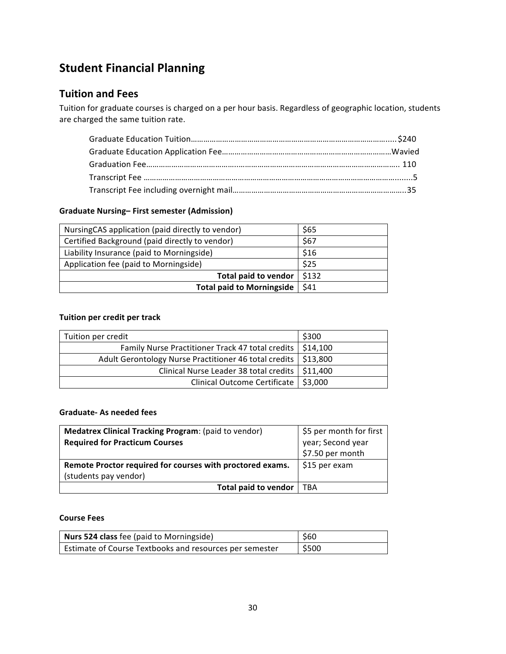# **Student Financial Planning**

## **Tuition and Fees**

Tuition for graduate courses is charged on a per hour basis. Regardless of geographic location, students are charged the same tuition rate.

#### **Graduate Nursing– First semester (Admission)**

| Nursing CAS application (paid directly to vendor) | \$65  |
|---------------------------------------------------|-------|
| Certified Background (paid directly to vendor)    | \$67  |
| Liability Insurance (paid to Morningside)         | \$16  |
| Application fee (paid to Morningside)             | \$25  |
| <b>Total paid to vendor</b>                       | \$132 |
| <b>Total paid to Morningside</b>                  | \$41  |

#### **Tuition per credit per track**

| Tuition per credit                                               | \$300 |
|------------------------------------------------------------------|-------|
| Family Nurse Practitioner Track 47 total credits   \$14,100      |       |
| Adult Gerontology Nurse Practitioner 46 total credits   \$13,800 |       |
| Clinical Nurse Leader 38 total credits   \$11,400                |       |
| Clinical Outcome Certificate   \$3,000                           |       |

#### **Graduate- As needed fees**

| <b>Medatrex Clinical Tracking Program: (paid to vendor)</b> | \$5 per month for first               |
|-------------------------------------------------------------|---------------------------------------|
| <b>Required for Practicum Courses</b>                       | year; Second year<br>\$7.50 per month |
|                                                             |                                       |
| Remote Proctor required for courses with proctored exams.   | \$15 per exam                         |
| (students pay vendor)                                       |                                       |
| <b>Total paid to vendor</b>                                 | . TBA                                 |

## **Course Fees**

| Nurs 524 class fee (paid to Morningside)                | <b>S60</b> |
|---------------------------------------------------------|------------|
| Estimate of Course Textbooks and resources per semester | \$500      |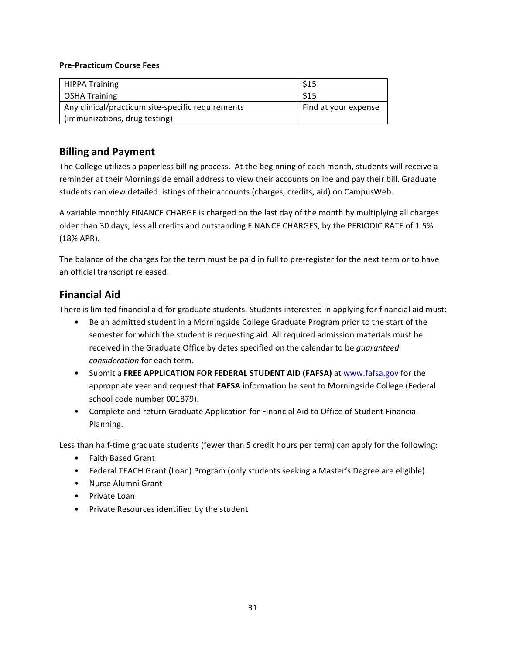#### **Pre-Practicum Course Fees**

| <b>HIPPA Training</b>                             | \$15                 |
|---------------------------------------------------|----------------------|
| OSHA Training                                     | \$15                 |
| Any clinical/practicum site-specific requirements | Find at your expense |
| (immunizations, drug testing)                     |                      |

## **Billing and Payment**

The College utilizes a paperless billing process. At the beginning of each month, students will receive a reminder at their Morningside email address to view their accounts online and pay their bill. Graduate students can view detailed listings of their accounts (charges, credits, aid) on CampusWeb.

A variable monthly FINANCE CHARGE is charged on the last day of the month by multiplying all charges older than 30 days, less all credits and outstanding FINANCE CHARGES, by the PERIODIC RATE of 1.5% (18% APR).

The balance of the charges for the term must be paid in full to pre-register for the next term or to have an official transcript released.

## **Financial Aid**

There is limited financial aid for graduate students. Students interested in applying for financial aid must:

- Be an admitted student in a Morningside College Graduate Program prior to the start of the semester for which the student is requesting aid. All required admission materials must be received in the Graduate Office by dates specified on the calendar to be *guaranteed consideration* for each term.
- Submit a FREE APPLICATION FOR FEDERAL STUDENT AID (FAFSA) at www.fafsa.gov for the appropriate year and request that FAFSA information be sent to Morningside College (Federal school code number 001879).
- Complete and return Graduate Application for Financial Aid to Office of Student Financial Planning.

Less than half-time graduate students (fewer than 5 credit hours per term) can apply for the following:

- Faith Based Grant
- Federal TEACH Grant (Loan) Program (only students seeking a Master's Degree are eligible)
- Nurse Alumni Grant
- Private Loan
- Private Resources identified by the student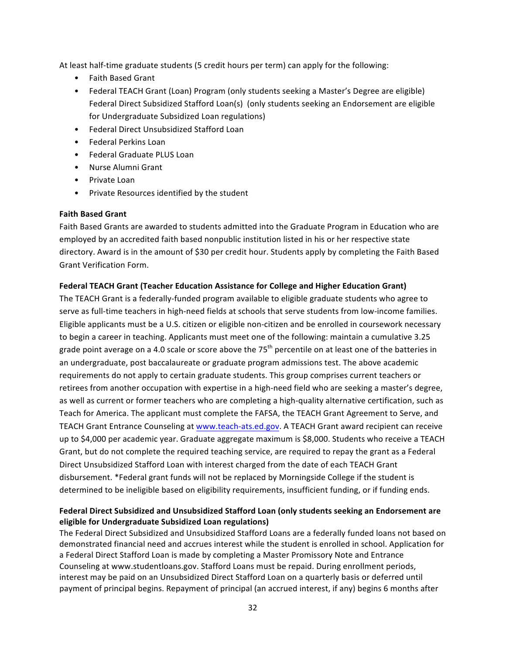At least half-time graduate students (5 credit hours per term) can apply for the following:

- Faith Based Grant
- Federal TEACH Grant (Loan) Program (only students seeking a Master's Degree are eligible) Federal Direct Subsidized Stafford Loan(s) (only students seeking an Endorsement are eligible for Undergraduate Subsidized Loan regulations)
- Federal Direct Unsubsidized Stafford Loan
- Federal Perkins Loan
- Federal Graduate PLUS Loan
- Nurse Alumni Grant
- Private Loan
- Private Resources identified by the student

## **Faith Based Grant**

Faith Based Grants are awarded to students admitted into the Graduate Program in Education who are employed by an accredited faith based nonpublic institution listed in his or her respective state directory. Award is in the amount of \$30 per credit hour. Students apply by completing the Faith Based Grant Verification Form.

## Federal TEACH Grant (Teacher Education Assistance for College and Higher Education Grant)

The TEACH Grant is a federally-funded program available to eligible graduate students who agree to serve as full-time teachers in high-need fields at schools that serve students from low-income families. Eligible applicants must be a U.S. citizen or eligible non-citizen and be enrolled in coursework necessary to begin a career in teaching. Applicants must meet one of the following: maintain a cumulative 3.25 grade point average on a 4.0 scale or score above the 75<sup>th</sup> percentile on at least one of the batteries in an undergraduate, post baccalaureate or graduate program admissions test. The above academic requirements do not apply to certain graduate students. This group comprises current teachers or retirees from another occupation with expertise in a high-need field who are seeking a master's degree, as well as current or former teachers who are completing a high-quality alternative certification, such as Teach for America. The applicant must complete the FAFSA, the TEACH Grant Agreement to Serve, and TEACH Grant Entrance Counseling at www.teach-ats.ed.gov. A TEACH Grant award recipient can receive up to \$4,000 per academic year. Graduate aggregate maximum is \$8,000. Students who receive a TEACH Grant, but do not complete the required teaching service, are required to repay the grant as a Federal Direct Unsubsidized Stafford Loan with interest charged from the date of each TEACH Grant disbursement. \*Federal grant funds will not be replaced by Morningside College if the student is determined to be ineligible based on eligibility requirements, insufficient funding, or if funding ends.

## Federal Direct Subsidized and Unsubsidized Stafford Loan (only students seeking an Endorsement are **eligible for Undergraduate Subsidized Loan regulations)**

The Federal Direct Subsidized and Unsubsidized Stafford Loans are a federally funded loans not based on demonstrated financial need and accrues interest while the student is enrolled in school. Application for a Federal Direct Stafford Loan is made by completing a Master Promissory Note and Entrance Counseling at www.studentloans.gov. Stafford Loans must be repaid. During enrollment periods, interest may be paid on an Unsubsidized Direct Stafford Loan on a quarterly basis or deferred until payment of principal begins. Repayment of principal (an accrued interest, if any) begins 6 months after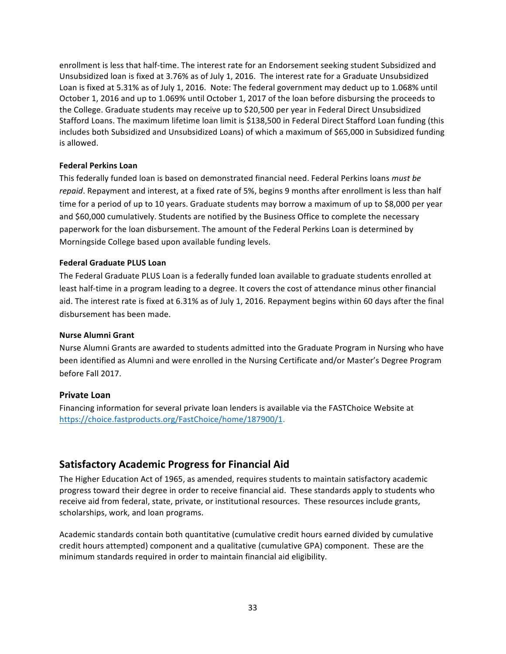enrollment is less that half-time. The interest rate for an Endorsement seeking student Subsidized and Unsubsidized loan is fixed at 3.76% as of July 1, 2016. The interest rate for a Graduate Unsubsidized Loan is fixed at 5.31% as of July 1, 2016. Note: The federal government may deduct up to 1.068% until October 1, 2016 and up to 1.069% until October 1, 2017 of the loan before disbursing the proceeds to the College. Graduate students may receive up to \$20,500 per year in Federal Direct Unsubsidized Stafford Loans. The maximum lifetime loan limit is \$138,500 in Federal Direct Stafford Loan funding (this includes both Subsidized and Unsubsidized Loans) of which a maximum of \$65,000 in Subsidized funding is allowed.

## **Federal Perkins Loan**

This federally funded loan is based on demonstrated financial need. Federal Perkins loans *must be* repaid. Repayment and interest, at a fixed rate of 5%, begins 9 months after enrollment is less than half time for a period of up to 10 years. Graduate students may borrow a maximum of up to \$8,000 per year and \$60,000 cumulatively. Students are notified by the Business Office to complete the necessary paperwork for the loan disbursement. The amount of the Federal Perkins Loan is determined by Morningside College based upon available funding levels.

#### **Federal Graduate PLUS Loan**

The Federal Graduate PLUS Loan is a federally funded loan available to graduate students enrolled at least half-time in a program leading to a degree. It covers the cost of attendance minus other financial aid. The interest rate is fixed at 6.31% as of July 1, 2016. Repayment begins within 60 days after the final disbursement has been made.

#### **Nurse Alumni Grant**

Nurse Alumni Grants are awarded to students admitted into the Graduate Program in Nursing who have been identified as Alumni and were enrolled in the Nursing Certificate and/or Master's Degree Program before Fall 2017.

## **Private Loan**

Financing information for several private loan lenders is available via the FASTChoice Website at https://choice.fastproducts.org/FastChoice/home/187900/1.

## **Satisfactory Academic Progress for Financial Aid**

The Higher Education Act of 1965, as amended, requires students to maintain satisfactory academic progress toward their degree in order to receive financial aid. These standards apply to students who receive aid from federal, state, private, or institutional resources. These resources include grants, scholarships, work, and loan programs.

Academic standards contain both quantitative (cumulative credit hours earned divided by cumulative credit hours attempted) component and a qualitative (cumulative GPA) component. These are the minimum standards required in order to maintain financial aid eligibility.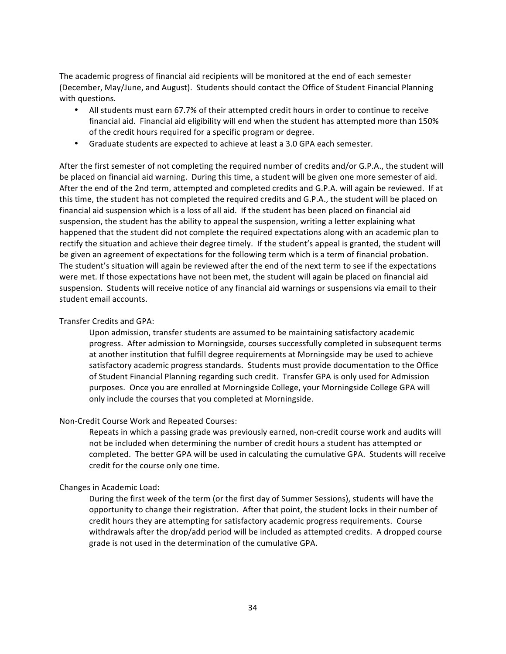The academic progress of financial aid recipients will be monitored at the end of each semester (December, May/June, and August). Students should contact the Office of Student Financial Planning with questions.

- All students must earn 67.7% of their attempted credit hours in order to continue to receive financial aid. Financial aid eligibility will end when the student has attempted more than 150% of the credit hours required for a specific program or degree.
- Graduate students are expected to achieve at least a 3.0 GPA each semester.

After the first semester of not completing the required number of credits and/or G.P.A., the student will be placed on financial aid warning. During this time, a student will be given one more semester of aid. After the end of the 2nd term, attempted and completed credits and G.P.A. will again be reviewed. If at this time, the student has not completed the required credits and G.P.A., the student will be placed on financial aid suspension which is a loss of all aid. If the student has been placed on financial aid suspension, the student has the ability to appeal the suspension, writing a letter explaining what happened that the student did not complete the required expectations along with an academic plan to rectify the situation and achieve their degree timely. If the student's appeal is granted, the student will be given an agreement of expectations for the following term which is a term of financial probation. The student's situation will again be reviewed after the end of the next term to see if the expectations were met. If those expectations have not been met, the student will again be placed on financial aid suspension. Students will receive notice of any financial aid warnings or suspensions via email to their student email accounts.

#### Transfer Credits and GPA:

Upon admission, transfer students are assumed to be maintaining satisfactory academic progress. After admission to Morningside, courses successfully completed in subsequent terms at another institution that fulfill degree requirements at Morningside may be used to achieve satisfactory academic progress standards. Students must provide documentation to the Office of Student Financial Planning regarding such credit. Transfer GPA is only used for Admission purposes. Once you are enrolled at Morningside College, your Morningside College GPA will only include the courses that you completed at Morningside.

#### Non-Credit Course Work and Repeated Courses:

Repeats in which a passing grade was previously earned, non-credit course work and audits will not be included when determining the number of credit hours a student has attempted or completed. The better GPA will be used in calculating the cumulative GPA. Students will receive credit for the course only one time.

#### Changes in Academic Load:

During the first week of the term (or the first day of Summer Sessions), students will have the opportunity to change their registration. After that point, the student locks in their number of credit hours they are attempting for satisfactory academic progress requirements. Course withdrawals after the drop/add period will be included as attempted credits. A dropped course grade is not used in the determination of the cumulative GPA.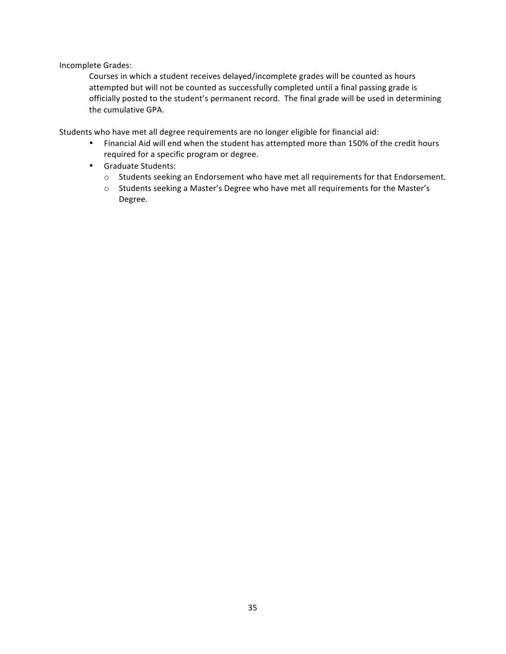Incomplete Grades:

Courses in which a student receives delayed/incomplete grades will be counted as hours attempted but will not be counted as successfully completed until a final passing grade is officially posted to the student's permanent record. The final grade will be used in determining the cumulative GPA.

Students who have met all degree requirements are no longer eligible for financial aid:

- Financial Aid will end when the student has attempted more than 150% of the credit hours required for a specific program or degree.
- Graduate Students:
	- o Students seeking an Endorsement who have met all requirements for that Endorsement.
	- $\circ$  Students seeking a Master's Degree who have met all requirements for the Master's Degree.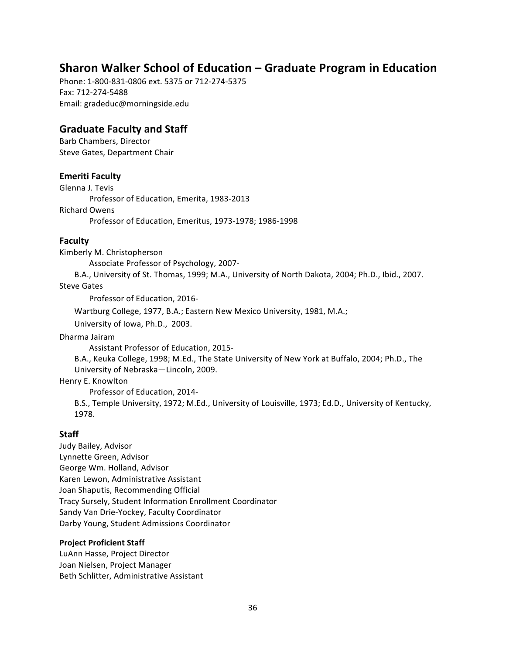## **Sharon Walker School of Education – Graduate Program in Education**

Phone: 1-800-831-0806 ext. 5375 or 712-274-5375 Fax: 712-274-5488 Email: gradeduc@morningside.edu

## **Graduate Faculty and Staff**

Barb Chambers, Director Steve Gates, Department Chair

## **Emeriti Faculty**

Glenna J. Tevis Professor of Education, Emerita, 1983-2013 Richard Owens Professor of Education, Emeritus, 1973-1978; 1986-1998

## **Faculty**

Kimberly M. Christopherson

Associate Professor of Psychology, 2007-

B.A., University of St. Thomas, 1999; M.A., University of North Dakota, 2004; Ph.D., Ibid., 2007. **Steve Gates** 

Professor of Education, 2016-

Wartburg College, 1977, B.A.; Eastern New Mexico University, 1981, M.A.;

University of Iowa, Ph.D., 2003.

Dharma Jairam

Assistant Professor of Education, 2015-

B.A., Keuka College, 1998; M.Ed., The State University of New York at Buffalo, 2004; Ph.D., The University of Nebraska-Lincoln, 2009.

## Henry E. Knowlton

Professor of Education, 2014-

B.S., Temple University, 1972; M.Ed., University of Louisville, 1973; Ed.D., University of Kentucky, 1978.

## **Staff**

Judy Bailey, Advisor Lynnette Green, Advisor George Wm. Holland, Advisor Karen Lewon, Administrative Assistant Joan Shaputis, Recommending Official Tracy Sursely, Student Information Enrollment Coordinator Sandy Van Drie-Yockey, Faculty Coordinator Darby Young, Student Admissions Coordinator

## **Project Proficient Staff**

LuAnn Hasse, Project Director Joan Nielsen, Project Manager Beth Schlitter, Administrative Assistant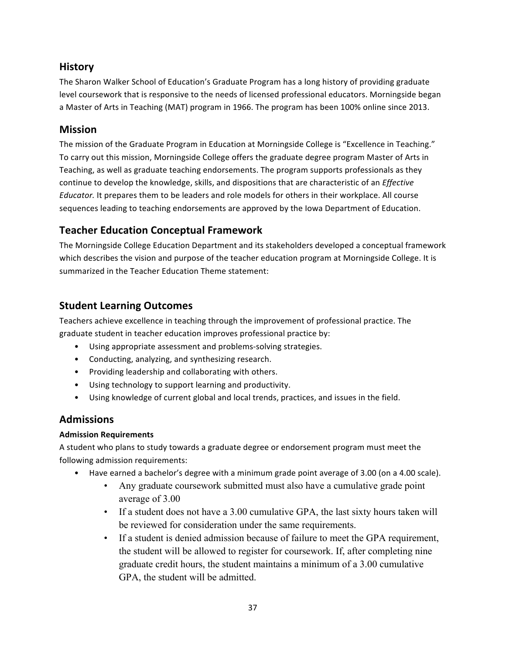# **History**

The Sharon Walker School of Education's Graduate Program has a long history of providing graduate level coursework that is responsive to the needs of licensed professional educators. Morningside began a Master of Arts in Teaching (MAT) program in 1966. The program has been 100% online since 2013.

# **Mission**

The mission of the Graduate Program in Education at Morningside College is "Excellence in Teaching." To carry out this mission, Morningside College offers the graduate degree program Master of Arts in Teaching, as well as graduate teaching endorsements. The program supports professionals as they continue to develop the knowledge, skills, and dispositions that are characteristic of an *Effective Educator*. It prepares them to be leaders and role models for others in their workplace. All course sequences leading to teaching endorsements are approved by the Iowa Department of Education.

# **Teacher Education Conceptual Framework**

The Morningside College Education Department and its stakeholders developed a conceptual framework which describes the vision and purpose of the teacher education program at Morningside College. It is summarized in the Teacher Education Theme statement:

# **Student Learning Outcomes**

Teachers achieve excellence in teaching through the improvement of professional practice. The graduate student in teacher education improves professional practice by:

- Using appropriate assessment and problems-solving strategies.
- Conducting, analyzing, and synthesizing research.
- Providing leadership and collaborating with others.
- Using technology to support learning and productivity.
- Using knowledge of current global and local trends, practices, and issues in the field.

# **Admissions**

# **Admission Requirements**

A student who plans to study towards a graduate degree or endorsement program must meet the following admission requirements:

- Have earned a bachelor's degree with a minimum grade point average of 3.00 (on a 4.00 scale).
	- Any graduate coursework submitted must also have a cumulative grade point average of 3.00
	- If a student does not have a 3.00 cumulative GPA, the last sixty hours taken will be reviewed for consideration under the same requirements.
	- If a student is denied admission because of failure to meet the GPA requirement, the student will be allowed to register for coursework. If, after completing nine graduate credit hours, the student maintains a minimum of a 3.00 cumulative GPA, the student will be admitted.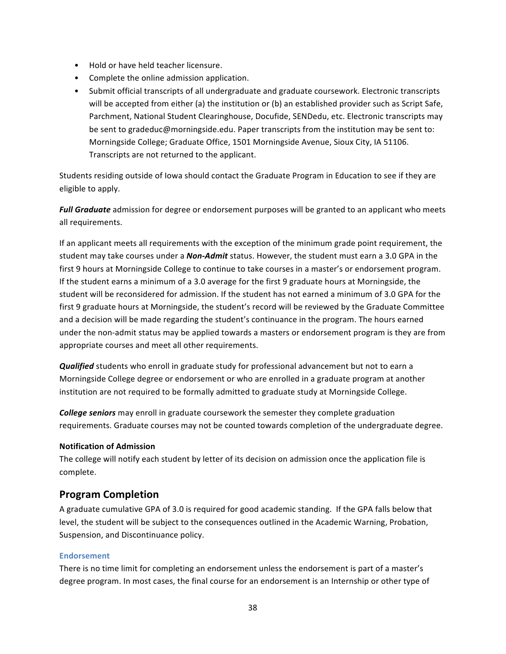- Hold or have held teacher licensure.
- Complete the online admission application.
- Submit official transcripts of all undergraduate and graduate coursework. Electronic transcripts will be accepted from either (a) the institution or (b) an established provider such as Script Safe, Parchment, National Student Clearinghouse, Docufide, SENDedu, etc. Electronic transcripts may be sent to gradeduc@morningside.edu. Paper transcripts from the institution may be sent to: Morningside College; Graduate Office, 1501 Morningside Avenue, Sioux City, IA 51106. Transcripts are not returned to the applicant.

Students residing outside of lowa should contact the Graduate Program in Education to see if they are eligible to apply.

**Full Graduate** admission for degree or endorsement purposes will be granted to an applicant who meets all requirements.

If an applicant meets all requirements with the exception of the minimum grade point requirement, the student may take courses under a *Non-Admit* status. However, the student must earn a 3.0 GPA in the first 9 hours at Morningside College to continue to take courses in a master's or endorsement program. If the student earns a minimum of a 3.0 average for the first 9 graduate hours at Morningside, the student will be reconsidered for admission. If the student has not earned a minimum of 3.0 GPA for the first 9 graduate hours at Morningside, the student's record will be reviewed by the Graduate Committee and a decision will be made regarding the student's continuance in the program. The hours earned under the non-admit status may be applied towards a masters or endorsement program is they are from appropriate courses and meet all other requirements.

**Qualified** students who enroll in graduate study for professional advancement but not to earn a Morningside College degree or endorsement or who are enrolled in a graduate program at another institution are not required to be formally admitted to graduate study at Morningside College.

**College seniors** may enroll in graduate coursework the semester they complete graduation requirements. Graduate courses may not be counted towards completion of the undergraduate degree.

# **Notification of Admission**

The college will notify each student by letter of its decision on admission once the application file is complete. 

# **Program Completion**

A graduate cumulative GPA of 3.0 is required for good academic standing. If the GPA falls below that level, the student will be subject to the consequences outlined in the Academic Warning, Probation, Suspension, and Discontinuance policy.

### **Endorsement**

There is no time limit for completing an endorsement unless the endorsement is part of a master's degree program. In most cases, the final course for an endorsement is an Internship or other type of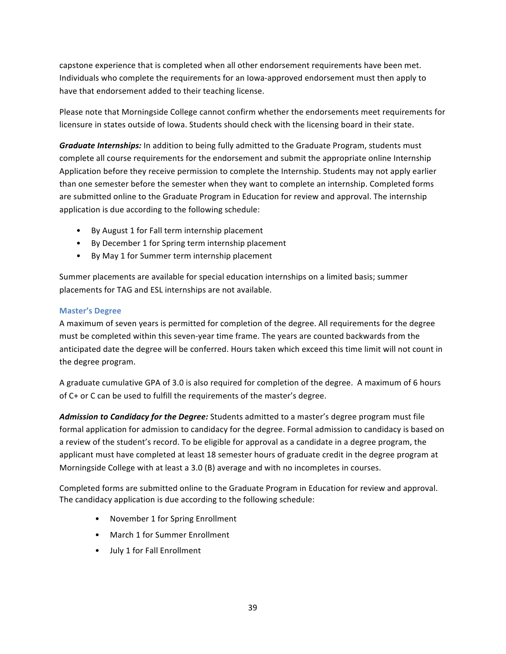capstone experience that is completed when all other endorsement requirements have been met. Individuals who complete the requirements for an lowa-approved endorsement must then apply to have that endorsement added to their teaching license.

Please note that Morningside College cannot confirm whether the endorsements meet requirements for licensure in states outside of lowa. Students should check with the licensing board in their state.

Graduate Internships: In addition to being fully admitted to the Graduate Program, students must complete all course requirements for the endorsement and submit the appropriate online Internship Application before they receive permission to complete the Internship. Students may not apply earlier than one semester before the semester when they want to complete an internship. Completed forms are submitted online to the Graduate Program in Education for review and approval. The internship application is due according to the following schedule:

- By August 1 for Fall term internship placement
- By December 1 for Spring term internship placement
- By May 1 for Summer term internship placement

Summer placements are available for special education internships on a limited basis; summer placements for TAG and ESL internships are not available.

#### **Master's Degree**

A maximum of seven years is permitted for completion of the degree. All requirements for the degree must be completed within this seven-year time frame. The years are counted backwards from the anticipated date the degree will be conferred. Hours taken which exceed this time limit will not count in the degree program.

A graduate cumulative GPA of 3.0 is also required for completion of the degree. A maximum of 6 hours of C+ or C can be used to fulfill the requirements of the master's degree.

Admission to Candidacy for the Degree: Students admitted to a master's degree program must file formal application for admission to candidacy for the degree. Formal admission to candidacy is based on a review of the student's record. To be eligible for approval as a candidate in a degree program, the applicant must have completed at least 18 semester hours of graduate credit in the degree program at Morningside College with at least a 3.0 (B) average and with no incompletes in courses.

Completed forms are submitted online to the Graduate Program in Education for review and approval. The candidacy application is due according to the following schedule:

- November 1 for Spring Enrollment
- March 1 for Summer Enrollment
- July 1 for Fall Enrollment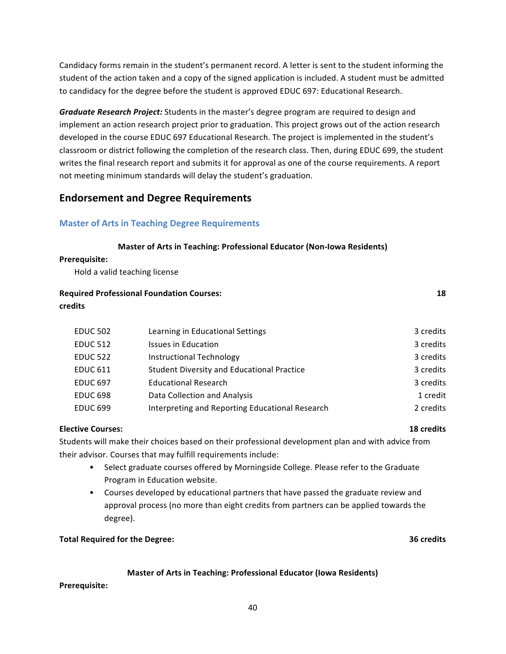Candidacy forms remain in the student's permanent record. A letter is sent to the student informing the student of the action taken and a copy of the signed application is included. A student must be admitted to candidacy for the degree before the student is approved EDUC 697: Educational Research.

Graduate Research Project: Students in the master's degree program are required to design and implement an action research project prior to graduation. This project grows out of the action research developed in the course EDUC 697 Educational Research. The project is implemented in the student's classroom or district following the completion of the research class. Then, during EDUC 699, the student writes the final research report and submits it for approval as one of the course requirements. A report not meeting minimum standards will delay the student's graduation.

# **Endorsement and Degree Requirements**

# **Master of Arts in Teaching Degree Requirements**

#### **Master of Arts in Teaching: Professional Educator (Non-Iowa Residents)**

#### **Prerequisite:**

Hold a valid teaching license

# **Required Professional Foundation Courses: 18 18 credits**

| <b>EDUC 502</b> | Learning in Educational Settings                  | 3 credits |
|-----------------|---------------------------------------------------|-----------|
| <b>EDUC 512</b> | <b>Issues in Education</b>                        | 3 credits |
| <b>EDUC 522</b> | Instructional Technology                          | 3 credits |
| <b>EDUC 611</b> | <b>Student Diversity and Educational Practice</b> | 3 credits |
| <b>EDUC 697</b> | <b>Educational Research</b>                       | 3 credits |
| <b>EDUC 698</b> | Data Collection and Analysis                      | 1 credit  |
| <b>EDUC 699</b> | Interpreting and Reporting Educational Research   | 2 credits |
|                 |                                                   |           |

### **Elective Courses: 18 credits**

Students will make their choices based on their professional development plan and with advice from their advisor. Courses that may fulfill requirements include:

- Select graduate courses offered by Morningside College. Please refer to the Graduate Program in Education website.
- Courses developed by educational partners that have passed the graduate review and approval process (no more than eight credits from partners can be applied towards the degree).

### **Total Required for the Degree: 1888 1988 1988 1988 1988 1988 1988 1988 1988 1988 1988 1988 1988 1988 1988 1988 1988 1988 1988 1988 1988 1988 1988 1988 1988 1988 1988**

### **Master of Arts in Teaching: Professional Educator (Iowa Residents)**

**Prerequisite:**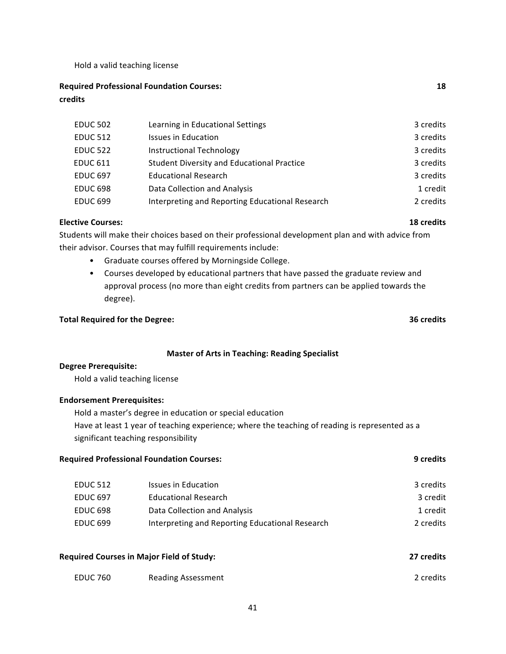Hold a valid teaching license

**Required Professional Foundation Courses: 18 credits**

| <b>EDUC 502</b> | Learning in Educational Settings                  | 3 credits |
|-----------------|---------------------------------------------------|-----------|
| <b>EDUC 512</b> | <b>Issues in Education</b>                        | 3 credits |
| <b>EDUC 522</b> | <b>Instructional Technology</b>                   | 3 credits |
| <b>EDUC 611</b> | <b>Student Diversity and Educational Practice</b> | 3 credits |
| <b>EDUC 697</b> | <b>Educational Research</b>                       | 3 credits |
| <b>EDUC 698</b> | Data Collection and Analysis                      | 1 credit  |
| <b>EDUC 699</b> | Interpreting and Reporting Educational Research   | 2 credits |

#### **Elective Courses: 18** credits

Students will make their choices based on their professional development plan and with advice from their advisor. Courses that may fulfill requirements include:

- Graduate courses offered by Morningside College.
- Courses developed by educational partners that have passed the graduate review and approval process (no more than eight credits from partners can be applied towards the degree).

### **Total Required for the Degree: 1988 1998 1999 1999 1999 1999 1999 1999 1999 1999 1999 1999 1999 1999 1999 1999 1999 1999 1999 1999 1999 1999 1999 1999 1999 1999 1999**

#### **Master of Arts in Teaching: Reading Specialist**

#### **Degree Prerequisite:**

Hold a valid teaching license

#### **Endorsement Prerequisites:**

Hold a master's degree in education or special education Have at least 1 year of teaching experience; where the teaching of reading is represented as a significant teaching responsibility

| <b>9</b> credits |
|------------------|
|                  |

| EDUC 512        | Issues in Education                             | 3 credits |
|-----------------|-------------------------------------------------|-----------|
| EDUC 697        | Educational Research                            | 3 credit  |
| <b>EDUC 698</b> | Data Collection and Analysis                    | 1 credit  |
| <b>EDUC 699</b> | Interpreting and Reporting Educational Research | 2 credits |

| <b>Required Courses in Major Field of Study:</b> |                           | 27 credits |
|--------------------------------------------------|---------------------------|------------|
| <b>EDUC 760</b>                                  | <b>Reading Assessment</b> | 2 credits  |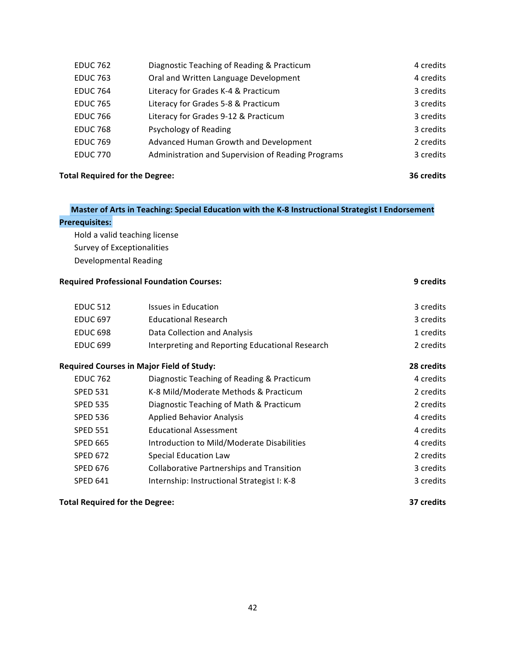| <b>EDUC 762</b> | Diagnostic Teaching of Reading & Practicum         | 4 credits |
|-----------------|----------------------------------------------------|-----------|
| <b>EDUC 763</b> | Oral and Written Language Development              | 4 credits |
| <b>EDUC 764</b> | Literacy for Grades K-4 & Practicum                | 3 credits |
| <b>EDUC 765</b> | Literacy for Grades 5-8 & Practicum                | 3 credits |
| <b>EDUC 766</b> | Literacy for Grades 9-12 & Practicum               | 3 credits |
| <b>EDUC 768</b> | Psychology of Reading                              | 3 credits |
| <b>EDUC 769</b> | Advanced Human Growth and Development              | 2 credits |
| <b>EDUC 770</b> | Administration and Supervision of Reading Programs | 3 credits |
|                 |                                                    |           |

### **Total Required for the Degree: 1988 1999 1999 1999 1999 1999 1999 1999 1999 1999 1999 1999 1999 1999 1999 1999 1999 1999 1999 1999 1999 1999 1999 1999 1999 1999 1999**

# **Master of Arts in Teaching: Special Education with the K-8 Instructional Strategist I Endorsement**

#### **Prerequisites:**

Hold a valid teaching license Survey of Exceptionalities Developmental Reading

#### **Required Professional Foundation Courses: 19 and 20 and 20 and 20 and 20 and 20 and 20 and 20 and 20 and 20 and 20 and 20 and 20 and 20 and 20 and 20 and 20 and 20 and 20 and 20 and 20 and 20 and 20 and 20 and 20 and 20**

| <b>EDUC 512</b> | Issues in Education                              | 3 credits  |
|-----------------|--------------------------------------------------|------------|
| <b>EDUC 697</b> | <b>Educational Research</b>                      | 3 credits  |
| <b>EDUC 698</b> | Data Collection and Analysis                     | 1 credits  |
| <b>EDUC 699</b> | Interpreting and Reporting Educational Research  | 2 credits  |
|                 | <b>Required Courses in Major Field of Study:</b> | 28 credits |
| <b>EDUC 762</b> | Diagnostic Teaching of Reading & Practicum       | 4 credits  |
| <b>SPED 531</b> | K-8 Mild/Moderate Methods & Practicum            | 2 credits  |
| <b>SPED 535</b> | Diagnostic Teaching of Math & Practicum          | 2 credits  |
| <b>SPED 536</b> | <b>Applied Behavior Analysis</b>                 | 4 credits  |
| <b>SPED 551</b> | <b>Educational Assessment</b>                    | 4 credits  |
| <b>SPED 665</b> | Introduction to Mild/Moderate Disabilities       | 4 credits  |
| <b>SPED 672</b> | <b>Special Education Law</b>                     | 2 credits  |
| <b>SPED 676</b> | <b>Collaborative Partnerships and Transition</b> | 3 credits  |
| <b>SPED 641</b> | Internship: Instructional Strategist I: K-8      | 3 credits  |
|                 |                                                  |            |

# **Total Required for the Degree: 37** credits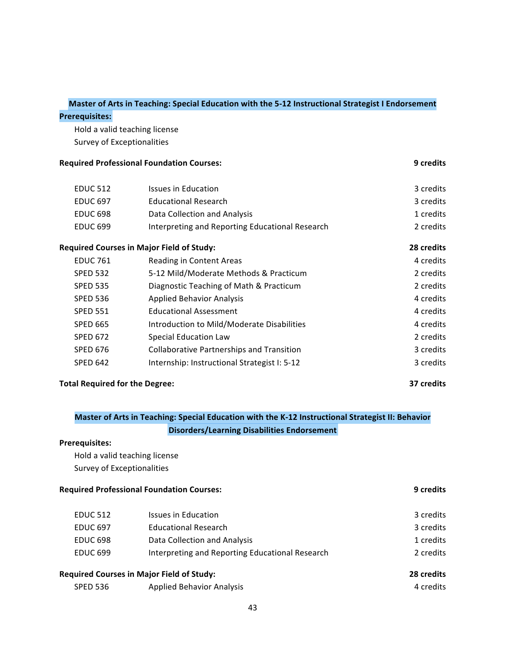#### **Master of Arts in Teaching: Special Education with the 5-12 Instructional Strategist I Endorsement**

#### **Prerequisites:**

Hold a valid teaching license Survey of Exceptionalities

### **Required Professional Foundation Courses: 19 and 20 and 20 and 20 and 20 and 20 and 20 and 20 and 20 and 20 and 20 and 20 and 20 and 20 and 20 and 20 and 20 and 20 and 20 and 20 and 20 and 20 and 20 and 20 and 20 and 20**

| <b>EDUC 512</b> | Issues in Education                              | 3 credits  |
|-----------------|--------------------------------------------------|------------|
| <b>EDUC 697</b> | <b>Educational Research</b>                      | 3 credits  |
| <b>EDUC 698</b> | Data Collection and Analysis                     | 1 credits  |
| <b>EDUC 699</b> | Interpreting and Reporting Educational Research  | 2 credits  |
|                 | <b>Required Courses in Major Field of Study:</b> | 28 credits |
| <b>EDUC 761</b> | Reading in Content Areas                         | 4 credits  |
| <b>SPED 532</b> | 5-12 Mild/Moderate Methods & Practicum           | 2 credits  |
| <b>SPED 535</b> | Diagnostic Teaching of Math & Practicum          | 2 credits  |
| <b>SPED 536</b> | <b>Applied Behavior Analysis</b>                 | 4 credits  |
| <b>SPED 551</b> | <b>Educational Assessment</b>                    | 4 credits  |
| <b>SPED 665</b> | Introduction to Mild/Moderate Disabilities       | 4 credits  |
| <b>SPED 672</b> | <b>Special Education Law</b>                     | 2 credits  |
| <b>SPED 676</b> | <b>Collaborative Partnerships and Transition</b> | 3 credits  |
| <b>SPED 642</b> | Internship: Instructional Strategist I: 5-12     | 3 credits  |
|                 |                                                  |            |

### **Total Required for the Degree: 37** credits

# **Master of Arts in Teaching: Special Education with the K-12 Instructional Strategist II: Behavior Disorders/Learning Disabilities Endorsement**

### **Prerequisites:**

Hold a valid teaching license Survey of Exceptionalities

### **Required Professional Foundation Courses: 19 and 20 and 20 and 20 and 20 and 20 and 20 and 20 and 20 and 20 and 20 and 20 and 20 and 20 and 20 and 20 and 20 and 20 and 20 and 20 and 20 and 20 and 20 and 20 and 20 and 20**

| <b>Required Courses in Major Field of Study:</b> |                                                 | 28 credits |
|--------------------------------------------------|-------------------------------------------------|------------|
| <b>EDUC 699</b>                                  | Interpreting and Reporting Educational Research | 2 credits  |
| <b>EDUC 698</b>                                  | Data Collection and Analysis                    | 1 credits  |
| <b>EDUC 697</b>                                  | <b>Educational Research</b>                     | 3 credits  |
| <b>EDUC 512</b>                                  | Issues in Education                             | 3 credits  |
|                                                  |                                                 |            |

SPED 536 Applied Behavior Analysis 4 Credits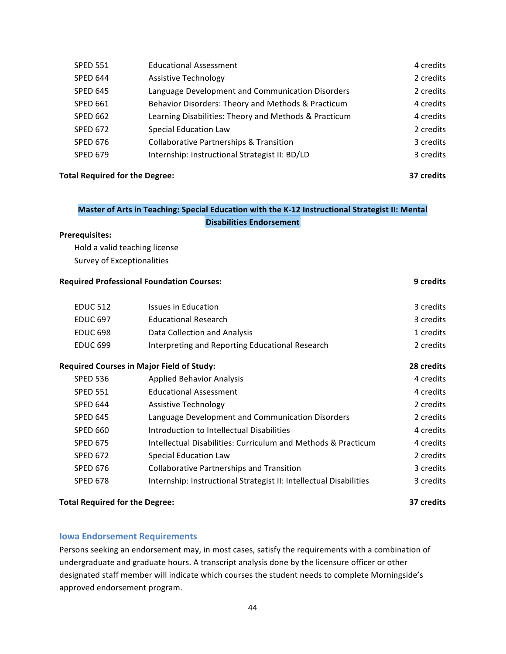| <b>SPED 551</b> | <b>Educational Assessment</b>                         | 4 credits |
|-----------------|-------------------------------------------------------|-----------|
| <b>SPED 644</b> | <b>Assistive Technology</b>                           | 2 credits |
| <b>SPED 645</b> | Language Development and Communication Disorders      | 2 credits |
| <b>SPED 661</b> | Behavior Disorders: Theory and Methods & Practicum    | 4 credits |
| <b>SPED 662</b> | Learning Disabilities: Theory and Methods & Practicum | 4 credits |
| <b>SPED 672</b> | <b>Special Education Law</b>                          | 2 credits |
| <b>SPED 676</b> | <b>Collaborative Partnerships &amp; Transition</b>    | 3 credits |
| <b>SPED 679</b> | Internship: Instructional Strategist II: BD/LD        | 3 credits |
|                 |                                                       |           |

### **Total Required for the Degree: 37** credits

# Master of Arts in Teaching: Special Education with the K-12 Instructional Strategist II: Mental **Disabilities Endorsement**

#### **Prerequisites:**

Hold a valid teaching license Survey of Exceptionalities

### **Required Professional Foundation Courses: 19 and 20 and 20 and 20 and 20 and 20 and 20 and 20 and 20 and 20 and 20 and 20 and 20 and 20 and 20 and 20 and 20 and 20 and 20 and 20 and 20 and 20 and 20 and 20 and 20 and 20**

| <b>EDUC 512</b> | Issues in Education                              | 3 credits  |
|-----------------|--------------------------------------------------|------------|
| <b>EDUC 697</b> | <b>Educational Research</b>                      | 3 credits  |
| <b>EDUC 698</b> | Data Collection and Analysis                     | 1 credits  |
| <b>EDUC 699</b> | Interpreting and Reporting Educational Research  | 2 credits  |
|                 | <b>Required Courses in Major Field of Study:</b> | 28 credits |
| <b>SPED 536</b> | <b>Applied Behavior Analysis</b>                 | 4 credits  |
| <b>SPED 551</b> | <b>Educational Assessment</b>                    | 4 credits  |
| <b>SPED 644</b> | <b>Assistive Technology</b>                      | 2 credits  |
|                 |                                                  |            |

| <b>SPED 645</b> | Language Development and Communication Disorders                   | 2 credits |
|-----------------|--------------------------------------------------------------------|-----------|
| <b>SPED 660</b> | Introduction to Intellectual Disabilities                          | 4 credits |
| <b>SPED 675</b> | Intellectual Disabilities: Curriculum and Methods & Practicum      | 4 credits |
| <b>SPED 672</b> | Special Education Law                                              | 2 credits |
| <b>SPED 676</b> | <b>Collaborative Partnerships and Transition</b>                   | 3 credits |
| <b>SPED 678</b> | Internship: Instructional Strategist II: Intellectual Disabilities | 3 credits |
|                 |                                                                    |           |

# **Total Required for the Degree: 37** credits

# **Iowa Endorsement Requirements**

Persons seeking an endorsement may, in most cases, satisfy the requirements with a combination of undergraduate and graduate hours. A transcript analysis done by the licensure officer or other designated staff member will indicate which courses the student needs to complete Morningside's approved endorsement program.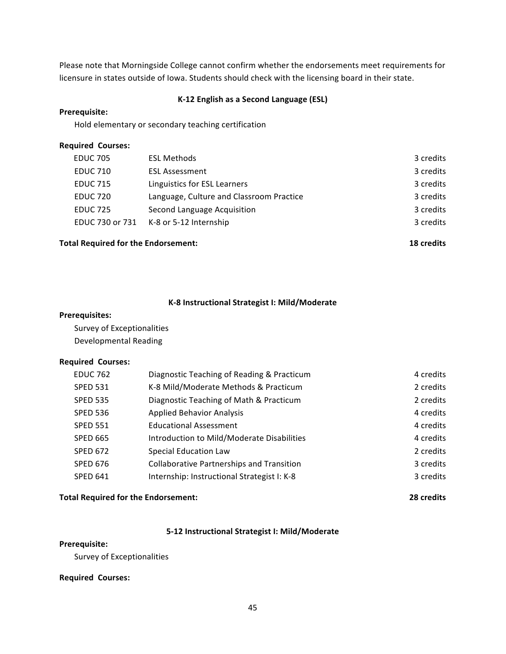Please note that Morningside College cannot confirm whether the endorsements meet requirements for licensure in states outside of lowa. Students should check with the licensing board in their state.

#### **K-12 English as a Second Language (ESL)**

#### **Prerequisite:**

Hold elementary or secondary teaching certification

#### **Required Courses:**

| <b>EDUC 705</b> | <b>ESL Methods</b>                       | 3 credits |
|-----------------|------------------------------------------|-----------|
| <b>EDUC 710</b> | <b>ESL Assessment</b>                    | 3 credits |
| <b>EDUC 715</b> | Linguistics for ESL Learners             | 3 credits |
| <b>EDUC 720</b> | Language, Culture and Classroom Practice | 3 credits |
| <b>EDUC 725</b> | Second Language Acquisition              | 3 credits |
| EDUC 730 or 731 | K-8 or 5-12 Internship                   | 3 credits |
|                 |                                          |           |

# **Total Required for the Endorsement: 18** credits

#### **K-8 Instructional Strategist I: Mild/Moderate**

#### **Prerequisites:**

Survey of Exceptionalities Developmental Reading

#### **Required Courses:**

| <b>EDUC 762</b> | Diagnostic Teaching of Reading & Practicum       | 4 credits |
|-----------------|--------------------------------------------------|-----------|
| <b>SPED 531</b> | K-8 Mild/Moderate Methods & Practicum            | 2 credits |
| <b>SPED 535</b> | Diagnostic Teaching of Math & Practicum          | 2 credits |
| <b>SPED 536</b> | <b>Applied Behavior Analysis</b>                 | 4 credits |
| <b>SPED 551</b> | <b>Educational Assessment</b>                    | 4 credits |
| <b>SPED 665</b> | Introduction to Mild/Moderate Disabilities       | 4 credits |
| <b>SPED 672</b> | <b>Special Education Law</b>                     | 2 credits |
| <b>SPED 676</b> | <b>Collaborative Partnerships and Transition</b> | 3 credits |
| <b>SPED 641</b> | Internship: Instructional Strategist I: K-8      | 3 credits |
|                 |                                                  |           |

### **Total Required for the Endorsement: 28** credits

# **5-12 Instructional Strategist I: Mild/Moderate**

#### **Prerequisite:**

Survey of Exceptionalities

#### **Required Courses:**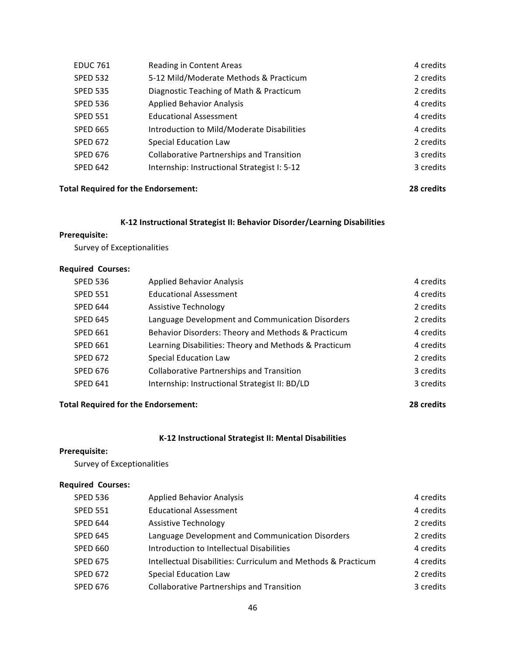| <b>EDUC 761</b> | Reading in Content Areas                         | 4 credits |
|-----------------|--------------------------------------------------|-----------|
| <b>SPED 532</b> | 5-12 Mild/Moderate Methods & Practicum           | 2 credits |
| <b>SPED 535</b> | Diagnostic Teaching of Math & Practicum          | 2 credits |
| <b>SPED 536</b> | <b>Applied Behavior Analysis</b>                 | 4 credits |
| <b>SPED 551</b> | <b>Educational Assessment</b>                    | 4 credits |
| <b>SPED 665</b> | Introduction to Mild/Moderate Disabilities       | 4 credits |
| <b>SPED 672</b> | <b>Special Education Law</b>                     | 2 credits |
| <b>SPED 676</b> | <b>Collaborative Partnerships and Transition</b> | 3 credits |
| <b>SPED 642</b> | Internship: Instructional Strategist I: 5-12     | 3 credits |
|                 |                                                  |           |

#### **Total Required for the Endorsement: 28 credits**

# **K-12 Instructional Strategist II: Behavior Disorder/Learning Disabilities**

### **Prerequisite:**

Survey of Exceptionalities

### **Required Courses:**

| <b>SPED 536</b> | <b>Applied Behavior Analysis</b>                      | 4 credits |
|-----------------|-------------------------------------------------------|-----------|
| <b>SPED 551</b> | <b>Educational Assessment</b>                         | 4 credits |
| SPED 644        | <b>Assistive Technology</b>                           | 2 credits |
| <b>SPED 645</b> | Language Development and Communication Disorders      | 2 credits |
| <b>SPED 661</b> | Behavior Disorders: Theory and Methods & Practicum    | 4 credits |
| <b>SPED 661</b> | Learning Disabilities: Theory and Methods & Practicum | 4 credits |
| <b>SPED 672</b> | <b>Special Education Law</b>                          | 2 credits |
| <b>SPED 676</b> | <b>Collaborative Partnerships and Transition</b>      | 3 credits |
| <b>SPED 641</b> | Internship: Instructional Strategist II: BD/LD        | 3 credits |

### **Total Required for the Endorsement: 28** credits

### **K-12 Instructional Strategist II: Mental Disabilities**

#### **Prerequisite:**

Survey of Exceptionalities

#### **Required Courses:**

| <b>SPED 536</b> | <b>Applied Behavior Analysis</b>                              | 4 credits |
|-----------------|---------------------------------------------------------------|-----------|
| <b>SPED 551</b> | <b>Educational Assessment</b>                                 | 4 credits |
| <b>SPED 644</b> | <b>Assistive Technology</b>                                   | 2 credits |
| <b>SPED 645</b> | Language Development and Communication Disorders              | 2 credits |
| <b>SPED 660</b> | Introduction to Intellectual Disabilities                     | 4 credits |
| <b>SPED 675</b> | Intellectual Disabilities: Curriculum and Methods & Practicum | 4 credits |
| <b>SPED 672</b> | <b>Special Education Law</b>                                  | 2 credits |
| <b>SPED 676</b> | <b>Collaborative Partnerships and Transition</b>              | 3 credits |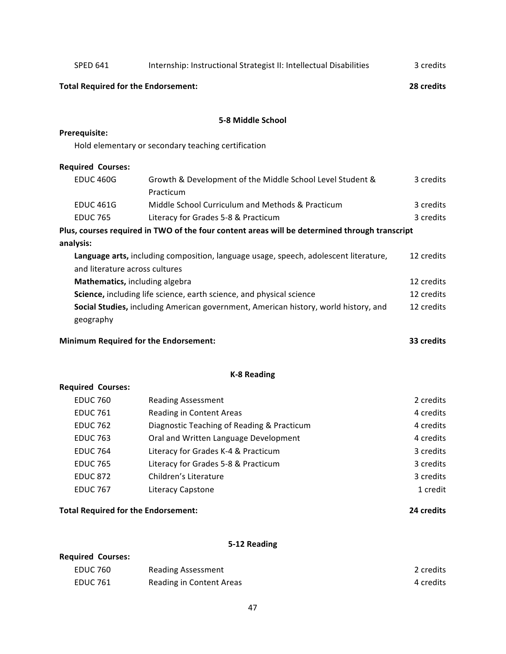| <b>SPED 641</b>                                                      | Internship: Instructional Strategist II: Intellectual Disabilities                            | 3 credits  |
|----------------------------------------------------------------------|-----------------------------------------------------------------------------------------------|------------|
| <b>Total Required for the Endorsement:</b>                           |                                                                                               | 28 credits |
|                                                                      | 5-8 Middle School                                                                             |            |
| Prerequisite:                                                        |                                                                                               |            |
|                                                                      | Hold elementary or secondary teaching certification                                           |            |
| <b>Required Courses:</b>                                             |                                                                                               |            |
| <b>EDUC 460G</b>                                                     | Growth & Development of the Middle School Level Student &<br>Practicum                        | 3 credits  |
| <b>EDUC 461G</b>                                                     | Middle School Curriculum and Methods & Practicum                                              | 3 credits  |
| <b>EDUC 765</b>                                                      | Literacy for Grades 5-8 & Practicum                                                           | 3 credits  |
|                                                                      | Plus, courses required in TWO of the four content areas will be determined through transcript |            |
| analysis:                                                            |                                                                                               |            |
|                                                                      | Language arts, including composition, language usage, speech, adolescent literature,          | 12 credits |
| and literature across cultures                                       |                                                                                               |            |
| Mathematics, including algebra                                       |                                                                                               | 12 credits |
| Science, including life science, earth science, and physical science |                                                                                               | 12 credits |
|                                                                      | Social Studies, including American government, American history, world history, and           | 12 credits |
| geography                                                            |                                                                                               |            |
|                                                                      | <b>Minimum Required for the Endorsement:</b>                                                  | 33 credits |
|                                                                      | <b>K-8 Reading</b>                                                                            |            |
| <b>Required Courses:</b>                                             |                                                                                               |            |
| <b>EDUC 760</b>                                                      | <b>Reading Assessment</b>                                                                     | 2 credits  |
| <b>EDUC 761</b>                                                      | <b>Reading in Content Areas</b>                                                               | 4 credits  |
| <b>EDUC 762</b>                                                      | Diagnostic Teaching of Reading & Practicum                                                    | 4 credits  |
| <b>EDUC 763</b>                                                      | Oral and Written Language Development                                                         | 4 credits  |
| <b>EDUC 764</b>                                                      | Literacy for Grades K-4 & Practicum                                                           | 3 credits  |
| <b>EDUC 765</b>                                                      | Literacy for Grades 5-8 & Practicum                                                           | 3 credits  |
| <b>EDUC 872</b>                                                      | Children's Literature                                                                         | 3 credits  |
| <b>EDUC 767</b>                                                      | Literacy Capstone                                                                             | 1 credit   |

# **Total Required for the Endorsement: 24 credits**

# **5-12 Reading**

| <b>Required Courses:</b> |                           |           |
|--------------------------|---------------------------|-----------|
| EDUC 760                 | <b>Reading Assessment</b> | 2 credits |
| <b>EDUC 761</b>          | Reading in Content Areas  | 4 credits |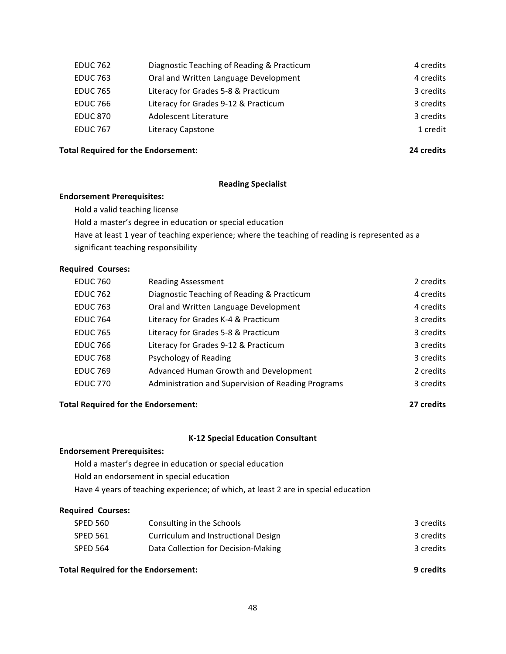| Diagnostic Teaching of Reading & Practicum | 4 credits |
|--------------------------------------------|-----------|
| Oral and Written Language Development      | 4 credits |
| Literacy for Grades 5-8 & Practicum        | 3 credits |
| Literacy for Grades 9-12 & Practicum       | 3 credits |
| Adolescent Literature                      | 3 credits |
| Literacy Capstone                          | 1 credit  |
|                                            |           |

#### **Total Required for the Endorsement: 24 credits**

#### **Reading Specialist**

#### **Endorsement Prerequisites:**

Hold a valid teaching license

Hold a master's degree in education or special education

Have at least 1 year of teaching experience; where the teaching of reading is represented as a significant teaching responsibility

### **Required Courses:**

| <b>EDUC 760</b> | <b>Reading Assessment</b>                          | 2 credits |
|-----------------|----------------------------------------------------|-----------|
| <b>EDUC 762</b> | Diagnostic Teaching of Reading & Practicum         | 4 credits |
| <b>EDUC 763</b> | Oral and Written Language Development              | 4 credits |
| <b>EDUC 764</b> | Literacy for Grades K-4 & Practicum                | 3 credits |
| <b>EDUC 765</b> | Literacy for Grades 5-8 & Practicum                | 3 credits |
| <b>EDUC 766</b> | Literacy for Grades 9-12 & Practicum               | 3 credits |
| <b>EDUC 768</b> | Psychology of Reading                              | 3 credits |
| <b>EDUC 769</b> | Advanced Human Growth and Development              | 2 credits |
| <b>EDUC 770</b> | Administration and Supervision of Reading Programs | 3 credits |

### **Total Required for the Endorsement: 27** credits

#### **K-12 Special Education Consultant**

#### **Endorsement Prerequisites:**

Hold a master's degree in education or special education Hold an endorsement in special education

Have 4 years of teaching experience; of which, at least 2 are in special education

#### **Required Courses:**

| <b>Total Required for the Endorsement:</b> |                                     | 9 credits |
|--------------------------------------------|-------------------------------------|-----------|
| <b>SPED 564</b>                            | Data Collection for Decision-Making | 3 credits |
| <b>SPED 561</b>                            | Curriculum and Instructional Design | 3 credits |
| <b>SPED 560</b>                            | Consulting in the Schools           | 3 credits |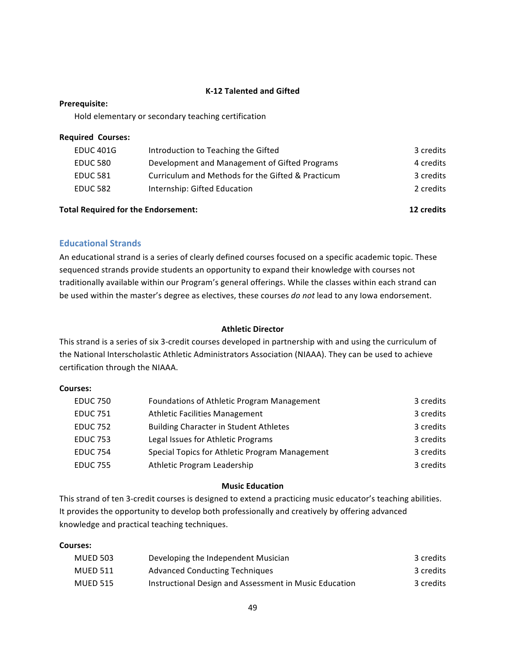### **K-12 Talented and Gifted**

#### **Prerequisite:**

Hold elementary or secondary teaching certification

| <b>Required Courses:</b> |  |
|--------------------------|--|
|--------------------------|--|

| EDUC 401G       | Introduction to Teaching the Gifted               | 3 credits |
|-----------------|---------------------------------------------------|-----------|
| <b>EDUC 580</b> | Development and Management of Gifted Programs     | 4 credits |
| <b>EDUC 581</b> | Curriculum and Methods for the Gifted & Practicum | 3 credits |
| <b>EDUC 582</b> | Internship: Gifted Education                      | 2 credits |
|                 |                                                   |           |

#### **Total Required for the Endorsement: 12** credits **12** credits

### **Educational Strands**

An educational strand is a series of clearly defined courses focused on a specific academic topic. These sequenced strands provide students an opportunity to expand their knowledge with courses not traditionally available within our Program's general offerings. While the classes within each strand can be used within the master's degree as electives, these courses *do not* lead to any lowa endorsement.

### **Athletic Director**

This strand is a series of six 3-credit courses developed in partnership with and using the curriculum of the National Interscholastic Athletic Administrators Association (NIAAA). They can be used to achieve certification through the NIAAA.

#### **Courses:**

| <b>EDUC 750</b> | Foundations of Athletic Program Management     | 3 credits |
|-----------------|------------------------------------------------|-----------|
| <b>EDUC 751</b> | <b>Athletic Facilities Management</b>          | 3 credits |
| <b>EDUC 752</b> | <b>Building Character in Student Athletes</b>  | 3 credits |
| <b>EDUC 753</b> | Legal Issues for Athletic Programs             | 3 credits |
| <b>EDUC 754</b> | Special Topics for Athletic Program Management | 3 credits |
| <b>EDUC 755</b> | Athletic Program Leadership                    | 3 credits |

#### **Music Education**

This strand of ten 3-credit courses is designed to extend a practicing music educator's teaching abilities. It provides the opportunity to develop both professionally and creatively by offering advanced knowledge and practical teaching techniques.

#### **Courses:**

| <b>MUED 503</b> | Developing the Independent Musician                    | 3 credits |
|-----------------|--------------------------------------------------------|-----------|
| MUED 511        | <b>Advanced Conducting Techniques</b>                  | 3 credits |
| <b>MUED 515</b> | Instructional Design and Assessment in Music Education | 3 credits |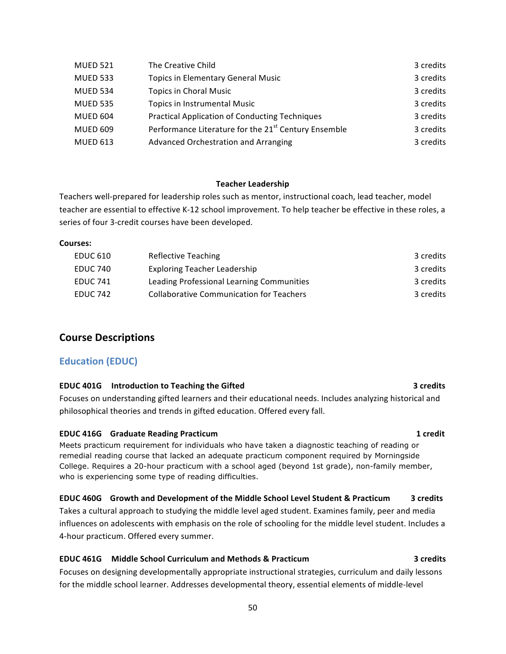| <b>MUED 521</b> | The Creative Child                                               | 3 credits |
|-----------------|------------------------------------------------------------------|-----------|
| <b>MUED 533</b> | <b>Topics in Elementary General Music</b>                        | 3 credits |
| <b>MUED 534</b> | <b>Topics in Choral Music</b>                                    | 3 credits |
| <b>MUED 535</b> | <b>Topics in Instrumental Music</b>                              | 3 credits |
| MUED 604        | <b>Practical Application of Conducting Techniques</b>            | 3 credits |
| <b>MUED 609</b> | Performance Literature for the 21 <sup>st</sup> Century Ensemble | 3 credits |
| <b>MUED 613</b> | Advanced Orchestration and Arranging                             | 3 credits |

### **Teacher Leadership**

Teachers well-prepared for leadership roles such as mentor, instructional coach, lead teacher, model teacher are essential to effective K-12 school improvement. To help teacher be effective in these roles, a series of four 3-credit courses have been developed.

#### **Courses:**

| EDUC 610        | Reflective Teaching                             | 3 credits |
|-----------------|-------------------------------------------------|-----------|
| EDUC 740        | <b>Exploring Teacher Leadership</b>             | 3 credits |
| EDUC 741        | Leading Professional Learning Communities       | 3 credits |
| <b>EDUC 742</b> | <b>Collaborative Communication for Teachers</b> | 3 credits |

# **Course Descriptions**

### **Education (EDUC)**

#### **EDUC** 401G **Introduction to Teaching the Gifted** *COMPONER CONTERNATE CONTERNATE 3* **credits**

Focuses on understanding gifted learners and their educational needs. Includes analyzing historical and philosophical theories and trends in gifted education. Offered every fall.

#### **EDUC** 416G Graduate Reading Practicum **1 1 Credit**

Meets practicum requirement for individuals who have taken a diagnostic teaching of reading or remedial reading course that lacked an adequate practicum component required by Morningside College. Requires a 20-hour practicum with a school aged (beyond 1st grade), non-family member, who is experiencing some type of reading difficulties.

### **EDUC 460G** Growth and Development of the Middle School Level Student & Practicum 3 credits

Takes a cultural approach to studying the middle level aged student. Examines family, peer and media influences on adolescents with emphasis on the role of schooling for the middle level student. Includes a 4-hour practicum. Offered every summer.

### **EDUC 461G** Middle School Curriculum and Methods & Practicum **1988 3** Credits

Focuses on designing developmentally appropriate instructional strategies, curriculum and daily lessons for the middle school learner. Addresses developmental theory, essential elements of middle-level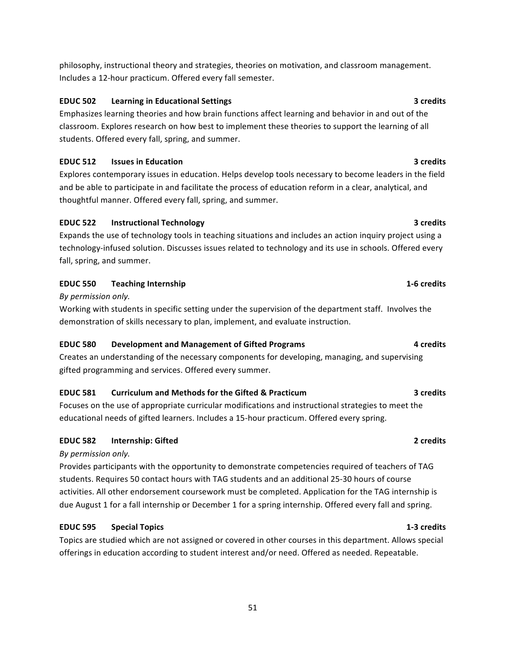philosophy, instructional theory and strategies, theories on motivation, and classroom management. Includes a 12-hour practicum. Offered every fall semester.

### **EDUC** 502 Learning in Educational Settings **1996 1997 1998 3** credits

Emphasizes learning theories and how brain functions affect learning and behavior in and out of the classroom. Explores research on how best to implement these theories to support the learning of all students. Offered every fall, spring, and summer.

### **EDUC** 512 **Issues in Education 3** *credits* **3** *credits*

Explores contemporary issues in education. Helps develop tools necessary to become leaders in the field and be able to participate in and facilitate the process of education reform in a clear, analytical, and thoughtful manner. Offered every fall, spring, and summer.

### **EDUC 522 Instructional Technology 3** credits

Expands the use of technology tools in teaching situations and includes an action inquiry project using a technology-infused solution. Discusses issues related to technology and its use in schools. Offered every fall, spring, and summer.

### **EDUC** 550 Teaching Internship **1-6** credits

*By permission only.*

Working with students in specific setting under the supervision of the department staff. Involves the demonstration of skills necessary to plan, implement, and evaluate instruction.

# **EDUC 580 Development and Management of Gifted Programs 4 credits**

Creates an understanding of the necessary components for developing, managing, and supervising gifted programming and services. Offered every summer.

### **EDUC** 581 Curriculum and Methods for the Gifted & Practicum 3 credits

Focuses on the use of appropriate curricular modifications and instructional strategies to meet the educational needs of gifted learners. Includes a 15-hour practicum. Offered every spring.

# **EDUC 582 Internship: Gifted 2** *Credits* **2** *Credits*

### *By permission only.*

Provides participants with the opportunity to demonstrate competencies required of teachers of TAG students. Requires 50 contact hours with TAG students and an additional 25-30 hours of course activities. All other endorsement coursework must be completed. Application for the TAG internship is due August 1 for a fall internship or December 1 for a spring internship. Offered every fall and spring.

# **EDUC 595 Special Topics 1-3 credits**

Topics are studied which are not assigned or covered in other courses in this department. Allows special offerings in education according to student interest and/or need. Offered as needed. Repeatable.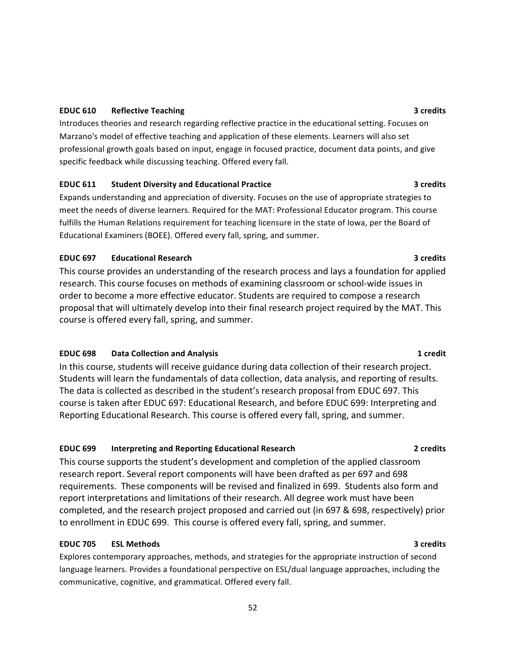### **EDUC** 610 **Reflective Teaching 3** credits

Introduces theories and research regarding reflective practice in the educational setting. Focuses on Marzano's model of effective teaching and application of these elements. Learners will also set professional growth goals based on input, engage in focused practice, document data points, and give specific feedback while discussing teaching. Offered every fall.

#### **EDUC 611** Student Diversity and Educational Practice **3 3** Credits

Expands understanding and appreciation of diversity. Focuses on the use of appropriate strategies to meet the needs of diverse learners. Required for the MAT: Professional Educator program. This course fulfills the Human Relations requirement for teaching licensure in the state of lowa, per the Board of Educational Examiners (BOEE). Offered every fall, spring, and summer.

#### **EDUC 697 Educational Research 3** *Credits* **3** *Credits*

This course provides an understanding of the research process and lays a foundation for applied research. This course focuses on methods of examining classroom or school-wide issues in order to become a more effective educator. Students are required to compose a research proposal that will ultimately develop into their final research project required by the MAT. This course is offered every fall, spring, and summer.

### **EDUC 698** Data Collection and Analysis **1 1 Collection 1 1 1 1 1 1**

In this course, students will receive guidance during data collection of their research project. Students will learn the fundamentals of data collection, data analysis, and reporting of results. The data is collected as described in the student's research proposal from EDUC 697. This course is taken after EDUC 697: Educational Research, and before EDUC 699: Interpreting and Reporting Educational Research. This course is offered every fall, spring, and summer.

#### **EDUC 699 Interpreting and Reporting Educational Research <b>1999 2** credits

This course supports the student's development and completion of the applied classroom research report. Several report components will have been drafted as per 697 and 698 requirements. These components will be revised and finalized in 699. Students also form and report interpretations and limitations of their research. All degree work must have been completed, and the research project proposed and carried out (in 697 & 698, respectively) prior to enrollment in EDUC 699. This course is offered every fall, spring, and summer.

### **EDUC 705 ESL Methods 3 credits**

Explores contemporary approaches, methods, and strategies for the appropriate instruction of second language learners. Provides a foundational perspective on ESL/dual language approaches, including the communicative, cognitive, and grammatical. Offered every fall.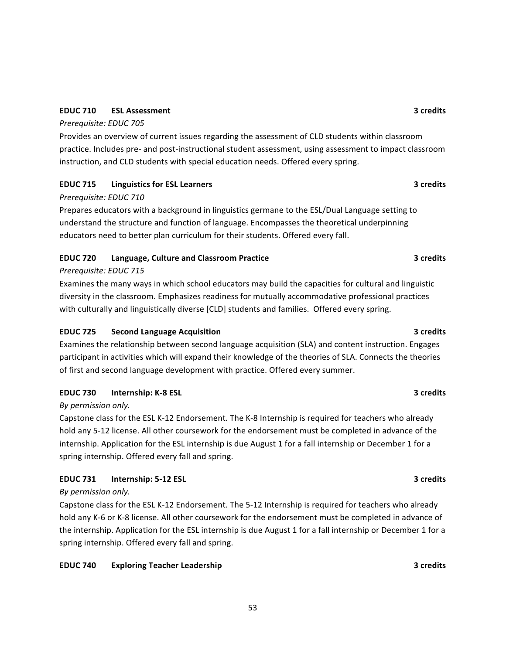### **EDUC 710 ESL Assessment 3 credits**

### *Prerequisite: EDUC 705*

Provides an overview of current issues regarding the assessment of CLD students within classroom practice. Includes pre- and post-instructional student assessment, using assessment to impact classroom instruction, and CLD students with special education needs. Offered every spring.

# **EDUC** 715 **Linguistics for ESL Learners 3** credits **3** credits

### *Prerequisite: EDUC 710*

Prepares educators with a background in linguistics germane to the ESL/Dual Language setting to understand the structure and function of language. Encompasses the theoretical underpinning educators need to better plan curriculum for their students. Offered every fall.

# **EDUC 720** Language, Culture and Classroom Practice **3 1991 10 3 3 3 3 1**

### *Prerequisite: EDUC 715*

Examines the many ways in which school educators may build the capacities for cultural and linguistic diversity in the classroom. Emphasizes readiness for mutually accommodative professional practices with culturally and linguistically diverse [CLD] students and families. Offered every spring.

# **EDUC** 725 **Second Language Acquisition 3** credits **3** credits

Examines the relationship between second language acquisition (SLA) and content instruction. Engages participant in activities which will expand their knowledge of the theories of SLA. Connects the theories of first and second language development with practice. Offered every summer.

# **EDUC** 730 **Internship:** K-8 ESL **3** Credits

# *By permission only.*

Capstone class for the ESL K-12 Endorsement. The K-8 Internship is required for teachers who already hold any 5-12 license. All other coursework for the endorsement must be completed in advance of the internship. Application for the ESL internship is due August 1 for a fall internship or December 1 for a spring internship. Offered every fall and spring.

# **EDUC** 731 **Internship:** 5-12 ESL **3** Credits

### *By permission only.*

Capstone class for the ESL K-12 Endorsement. The 5-12 Internship is required for teachers who already hold any K-6 or K-8 license. All other coursework for the endorsement must be completed in advance of the internship. Application for the ESL internship is due August 1 for a fall internship or December 1 for a spring internship. Offered every fall and spring.

# **EDUC** 740 **Exploring Teacher Leadership 3** credits **3** credits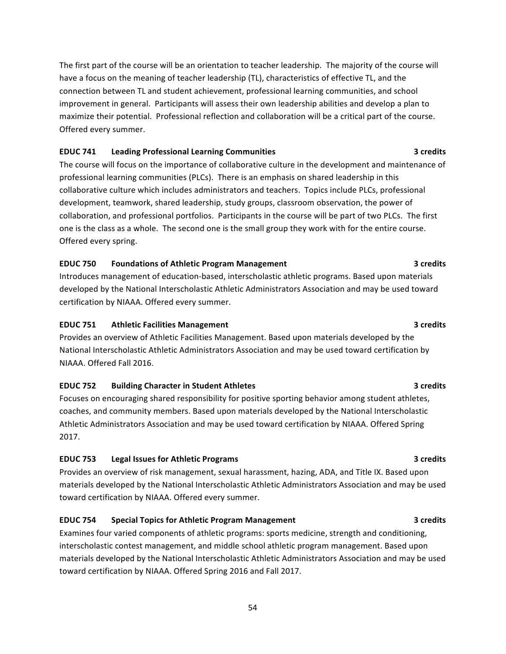The first part of the course will be an orientation to teacher leadership. The majority of the course will have a focus on the meaning of teacher leadership (TL), characteristics of effective TL, and the connection between TL and student achievement, professional learning communities, and school improvement in general. Participants will assess their own leadership abilities and develop a plan to maximize their potential. Professional reflection and collaboration will be a critical part of the course. Offered every summer.

### **EDUC** 741 Leading Professional Learning Communities **1996 1997 12:33 THE 2008 3** credits

The course will focus on the importance of collaborative culture in the development and maintenance of professional learning communities (PLCs). There is an emphasis on shared leadership in this collaborative culture which includes administrators and teachers. Topics include PLCs, professional development, teamwork, shared leadership, study groups, classroom observation, the power of collaboration, and professional portfolios. Participants in the course will be part of two PLCs. The first one is the class as a whole. The second one is the small group they work with for the entire course. Offered every spring.

### **EDUC** 750 Foundations of Athletic Program Management **1996 1997 1998 1998 1998 1998**

Introduces management of education-based, interscholastic athletic programs. Based upon materials developed by the National Interscholastic Athletic Administrators Association and may be used toward certification by NIAAA. Offered every summer.

### **EDUC** 751 Athletic Facilities Management **3** Company 13 Company 13 Company 13 Company 13 Company 13 Company 13 Company 13 Company 13 Company 13 Company 13 Company 13 Company 13 Company 13 Company 13 Company 13 Company 13

Provides an overview of Athletic Facilities Management. Based upon materials developed by the National Interscholastic Athletic Administrators Association and may be used toward certification by NIAAA. Offered Fall 2016.

### **EDUC** 752 **Building Character in Student Athletes 1988 1998 3** credits

Focuses on encouraging shared responsibility for positive sporting behavior among student athletes, coaches, and community members. Based upon materials developed by the National Interscholastic Athletic Administrators Association and may be used toward certification by NIAAA. Offered Spring 2017.

### **EDUC** 753 Legal Issues for Athletic Programs **1988 1988 1998 1998 1998 1998 1999 1999 1999 1999 1999**

Provides an overview of risk management, sexual harassment, hazing, ADA, and Title IX. Based upon materials developed by the National Interscholastic Athletic Administrators Association and may be used toward certification by NIAAA. Offered every summer.

# **EDUC** 754 Special Topics for Athletic Program Management **1996 1997 3** credits

Examines four varied components of athletic programs: sports medicine, strength and conditioning, interscholastic contest management, and middle school athletic program management. Based upon materials developed by the National Interscholastic Athletic Administrators Association and may be used toward certification by NIAAA. Offered Spring 2016 and Fall 2017.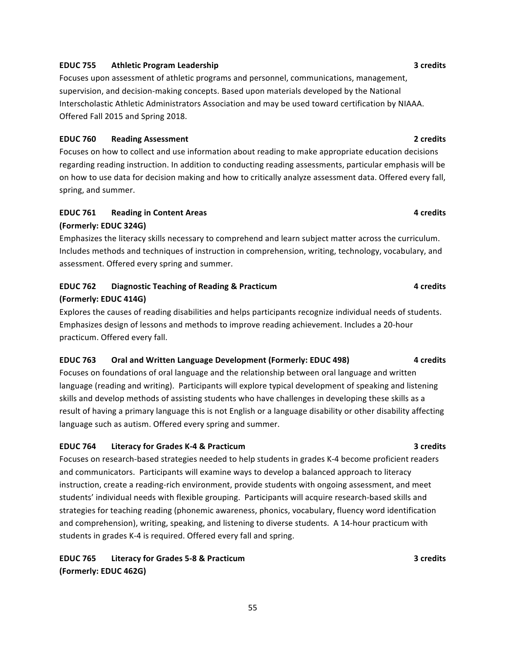# spring, and summer.

# **(Formerly: EDUC 324G)**

Emphasizes the literacy skills necessary to comprehend and learn subject matter across the curriculum. Includes methods and techniques of instruction in comprehension, writing, technology, vocabulary, and assessment. Offered every spring and summer.

**EDUC** 761 **Reading in Content Areas 1988 1999 1999 1999 1999 1999 1999 1999 1999 1999 1999 1999 1999 1999 1999 1999 1999 1999 1999 1999 1999 1999 1999 1999 1999 1999 1** 

# **EDUC 762 Diagnostic Teaching of Reading & Practicum 4 credits**

### **(Formerly: EDUC 414G)**

Explores the causes of reading disabilities and helps participants recognize individual needs of students. Emphasizes design of lessons and methods to improve reading achievement. Includes a 20-hour practicum. Offered every fall.

#### **EDUC 763** Oral and Written Language Development (Formerly: EDUC 498) 4 credits

Focuses on foundations of oral language and the relationship between oral language and written language (reading and writing). Participants will explore typical development of speaking and listening skills and develop methods of assisting students who have challenges in developing these skills as a result of having a primary language this is not English or a language disability or other disability affecting language such as autism. Offered every spring and summer.

#### **EDUC 764 Literacy for Grades K-4 & Practicum 3 credits**

Focuses on research-based strategies needed to help students in grades K-4 become proficient readers and communicators. Participants will examine ways to develop a balanced approach to literacy instruction, create a reading-rich environment, provide students with ongoing assessment, and meet students' individual needs with flexible grouping. Participants will acquire research-based skills and strategies for teaching reading (phonemic awareness, phonics, vocabulary, fluency word identification and comprehension), writing, speaking, and listening to diverse students. A 14-hour practicum with students in grades K-4 is required. Offered every fall and spring.

# **EDUC 765 Literacy for Grades 5-8 & Practicum 10.1 <b>10.1 and 10.1 and 10.1 and 10.1 and 11.1 and 11.1 and 11.1 and 11.1 and 11.1 and 11.1 and 11.1 and 11.1 and 11.1 and 11.1 and 11.1 and 11.1 and 11.1 and 11.1 and 11.1 (Formerly: EDUC 462G)**

#### **EDUC** 755 Athletic Program Leadership **3** credits 3

Focuses upon assessment of athletic programs and personnel, communications, management, supervision, and decision-making concepts. Based upon materials developed by the National Interscholastic Athletic Administrators Association and may be used toward certification by NIAAA. Offered Fall 2015 and Spring 2018.

**EDUC** 760 **Reading Assessment 1986 Reading Assessment 1986 Reading Assessment 1986 Reading Assessment** Focuses on how to collect and use information about reading to make appropriate education decisions regarding reading instruction. In addition to conducting reading assessments, particular emphasis will be

# on how to use data for decision making and how to critically analyze assessment data. Offered every fall,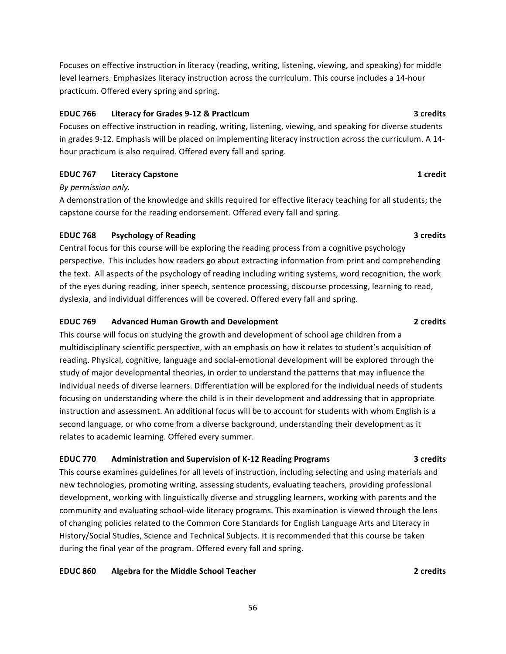Focuses on effective instruction in literacy (reading, writing, listening, viewing, and speaking) for middle level learners. Emphasizes literacy instruction across the curriculum. This course includes a 14-hour practicum. Offered every spring and spring.

### **EDUC 766 Literacy for Grades 9-12 & Practicum 3** credits **3**

Focuses on effective instruction in reading, writing, listening, viewing, and speaking for diverse students in grades 9-12. Emphasis will be placed on implementing literacy instruction across the curriculum. A 14hour practicum is also required. Offered every fall and spring.

### **EDUC 767 Literacy Capstone 1 Credit**

#### *By permission only.*

A demonstration of the knowledge and skills required for effective literacy teaching for all students; the capstone course for the reading endorsement. Offered every fall and spring.

### **EDUC** 768 **Psychology of Reading 3** credits

Central focus for this course will be exploring the reading process from a cognitive psychology perspective. This includes how readers go about extracting information from print and comprehending the text. All aspects of the psychology of reading including writing systems, word recognition, the work of the eyes during reading, inner speech, sentence processing, discourse processing, learning to read, dyslexia, and individual differences will be covered. Offered every fall and spring.

### **EDUC 769 Advanced Human Growth and Development 1996 1997 2** credits

This course will focus on studying the growth and development of school age children from a multidisciplinary scientific perspective, with an emphasis on how it relates to student's acquisition of reading. Physical, cognitive, language and social-emotional development will be explored through the study of major developmental theories, in order to understand the patterns that may influence the individual needs of diverse learners. Differentiation will be explored for the individual needs of students focusing on understanding where the child is in their development and addressing that in appropriate instruction and assessment. An additional focus will be to account for students with whom English is a second language, or who come from a diverse background, understanding their development as it relates to academic learning. Offered every summer.

# **EDUC 770** Administration and Supervision of K-12 Reading Programs 3 credits

This course examines guidelines for all levels of instruction, including selecting and using materials and new technologies, promoting writing, assessing students, evaluating teachers, providing professional development, working with linguistically diverse and struggling learners, working with parents and the community and evaluating school-wide literacy programs. This examination is viewed through the lens of changing policies related to the Common Core Standards for English Language Arts and Literacy in History/Social Studies, Science and Technical Subjects. It is recommended that this course be taken during the final year of the program. Offered every fall and spring.

# **EDUC** 860 **Algebra for the Middle School Teacher 1888 2 2 2 2 2 2 2**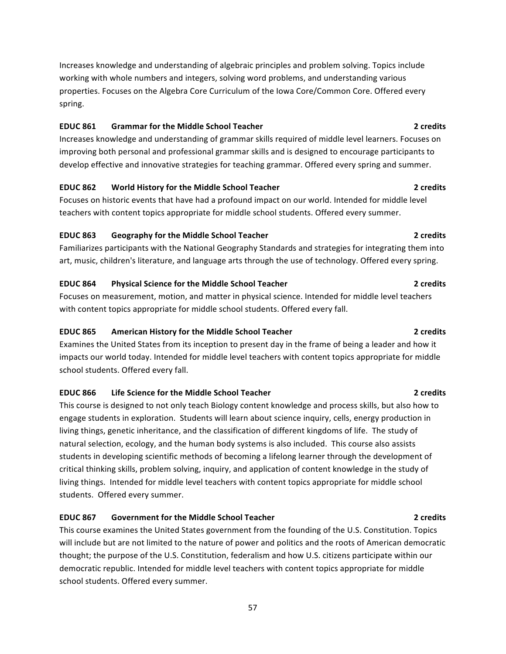Increases knowledge and understanding of algebraic principles and problem solving. Topics include working with whole numbers and integers, solving word problems, and understanding various properties. Focuses on the Algebra Core Curriculum of the Iowa Core/Common Core. Offered every spring.

#### **EDUC** 861 Grammar for the Middle School Teacher **1888 1988 2** credits

Increases knowledge and understanding of grammar skills required of middle level learners. Focuses on improving both personal and professional grammar skills and is designed to encourage participants to develop effective and innovative strategies for teaching grammar. Offered every spring and summer.

#### **EDUC 862 World History for the Middle School Teacher 2 2 2 2 2**

Focuses on historic events that have had a profound impact on our world. Intended for middle level teachers with content topics appropriate for middle school students. Offered every summer.

#### **EDUC** 863 **Geography for the Middle School Teacher 1888 Constanting to the School Teacher 2** credits

Familiarizes participants with the National Geography Standards and strategies for integrating them into art, music, children's literature, and language arts through the use of technology. Offered every spring.

### **EDUC** 864 **Physical Science for the Middle School Teacher <b>1996 2** credits 2 credits

Focuses on measurement, motion, and matter in physical science. Intended for middle level teachers with content topics appropriate for middle school students. Offered every fall.

### **EDUC 865** American History for the Middle School Teacher **1888 1988** 2 credits

Examines the United States from its inception to present day in the frame of being a leader and how it impacts our world today. Intended for middle level teachers with content topics appropriate for middle school students. Offered every fall.

### **EDUC** 866 Life Science for the Middle School Teacher **2 2** credits 2

This course is designed to not only teach Biology content knowledge and process skills, but also how to engage students in exploration. Students will learn about science inquiry, cells, energy production in living things, genetic inheritance, and the classification of different kingdoms of life. The study of natural selection, ecology, and the human body systems is also included. This course also assists students in developing scientific methods of becoming a lifelong learner through the development of critical thinking skills, problem solving, inquiry, and application of content knowledge in the study of living things. Intended for middle level teachers with content topics appropriate for middle school students. Offered every summer.

### **EDUC 867** Government for the Middle School Teacher **1996 Contained According the Container School** Teacher

This course examines the United States government from the founding of the U.S. Constitution. Topics will include but are not limited to the nature of power and politics and the roots of American democratic thought; the purpose of the U.S. Constitution, federalism and how U.S. citizens participate within our democratic republic. Intended for middle level teachers with content topics appropriate for middle school students. Offered every summer.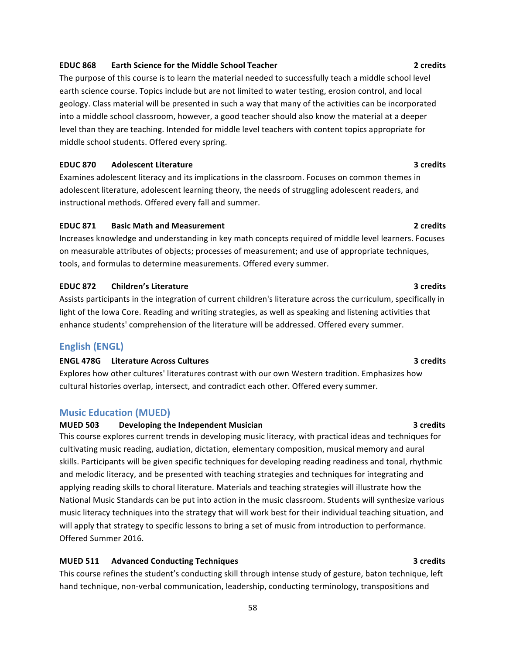#### **EDUC** 868 **Earth Science for the Middle School Teacher 1888 2** credits

The purpose of this course is to learn the material needed to successfully teach a middle school level earth science course. Topics include but are not limited to water testing, erosion control, and local geology. Class material will be presented in such a way that many of the activities can be incorporated into a middle school classroom, however, a good teacher should also know the material at a deeper level than they are teaching. Intended for middle level teachers with content topics appropriate for middle school students. Offered every spring.

#### **EDUC 870 Adolescent Literature 3** *Credits* **3** *Credits*

Examines adolescent literacy and its implications in the classroom. Focuses on common themes in adolescent literature, adolescent learning theory, the needs of struggling adolescent readers, and instructional methods. Offered every fall and summer.

#### **EDUC 871 Basic Math and Measurement 2 credits**

Increases knowledge and understanding in key math concepts required of middle level learners. Focuses on measurable attributes of objects; processes of measurement; and use of appropriate techniques, tools, and formulas to determine measurements. Offered every summer.

### **EDUC 872** Children's Literature **3** credits **3** credits

Assists participants in the integration of current children's literature across the curriculum, specifically in light of the lowa Core. Reading and writing strategies, as well as speaking and listening activities that enhance students' comprehension of the literature will be addressed. Offered every summer.

### **English (ENGL)**

### **ENGL 478G** Literature Across Cultures **1989 1989 1989 1989 1989 1989 1989 1989 1989 1989 1989 1989 1989 1989 1989 1989 1989 1989 1989 1989 1989 1989 1989 1989 1989 1989**

Explores how other cultures' literatures contrast with our own Western tradition. Emphasizes how cultural histories overlap, intersect, and contradict each other. Offered every summer.

#### **Music Education (MUED)**

#### **MUED 503 Developing the Independent Musician** *CON* **<b>CON EXECUTE: CON 3** credits

This course explores current trends in developing music literacy, with practical ideas and techniques for cultivating music reading, audiation, dictation, elementary composition, musical memory and aural skills. Participants will be given specific techniques for developing reading readiness and tonal, rhythmic and melodic literacy, and be presented with teaching strategies and techniques for integrating and applying reading skills to choral literature. Materials and teaching strategies will illustrate how the National Music Standards can be put into action in the music classroom. Students will synthesize various music literacy techniques into the strategy that will work best for their individual teaching situation, and will apply that strategy to specific lessons to bring a set of music from introduction to performance. Offered Summer 2016.

#### **MUED 511** Advanced Conducting Techniques **1998 1998 1998 1998 1998 1998 1998 1999 1999 1999 1999**

This course refines the student's conducting skill through intense study of gesture, baton technique, left hand technique, non-verbal communication, leadership, conducting terminology, transpositions and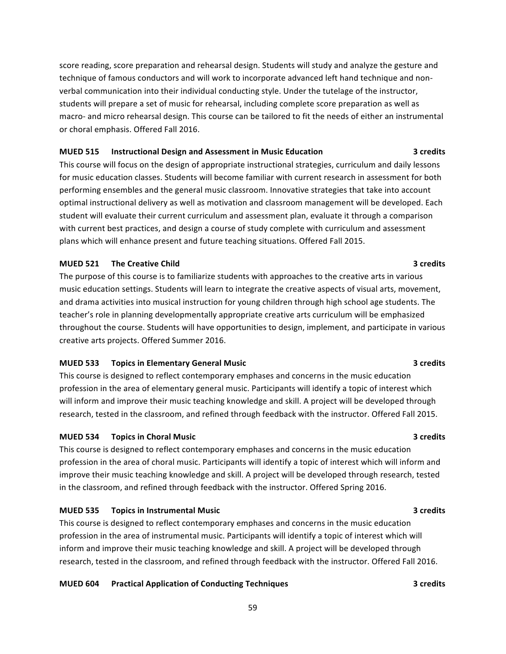score reading, score preparation and rehearsal design. Students will study and analyze the gesture and technique of famous conductors and will work to incorporate advanced left hand technique and nonverbal communication into their individual conducting style. Under the tutelage of the instructor, students will prepare a set of music for rehearsal, including complete score preparation as well as macro- and micro rehearsal design. This course can be tailored to fit the needs of either an instrumental or choral emphasis. Offered Fall 2016.

#### **MUED 515** Instructional Design and Assessment in Music Education **8 1988** 3 credits

This course will focus on the design of appropriate instructional strategies, curriculum and daily lessons for music education classes. Students will become familiar with current research in assessment for both performing ensembles and the general music classroom. Innovative strategies that take into account optimal instructional delivery as well as motivation and classroom management will be developed. Each student will evaluate their current curriculum and assessment plan, evaluate it through a comparison with current best practices, and design a course of study complete with curriculum and assessment plans which will enhance present and future teaching situations. Offered Fall 2015.

#### **MUED 521** The Creative Child **Burnet Child 3** credits **3**

The purpose of this course is to familiarize students with approaches to the creative arts in various music education settings. Students will learn to integrate the creative aspects of visual arts, movement, and drama activities into musical instruction for young children through high school age students. The teacher's role in planning developmentally appropriate creative arts curriculum will be emphasized throughout the course. Students will have opportunities to design, implement, and participate in various creative arts projects. Offered Summer 2016.

#### **MUED 533** Topics in Elementary General Music **All According to the Contract Contract Contract Contract Contract Contract Contract Contract Contract Contract Contract Contract Contract Contract Contract Contract Contract C**

This course is designed to reflect contemporary emphases and concerns in the music education profession in the area of elementary general music. Participants will identify a topic of interest which will inform and improve their music teaching knowledge and skill. A project will be developed through research, tested in the classroom, and refined through feedback with the instructor. Offered Fall 2015.

#### **MUED 534 Topics in Choral Music 3 credits**

This course is designed to reflect contemporary emphases and concerns in the music education profession in the area of choral music. Participants will identify a topic of interest which will inform and improve their music teaching knowledge and skill. A project will be developed through research, tested in the classroom, and refined through feedback with the instructor. Offered Spring 2016.

#### **MUED 535 Topics in Instrumental Music 3 credits**

This course is designed to reflect contemporary emphases and concerns in the music education profession in the area of instrumental music. Participants will identify a topic of interest which will inform and improve their music teaching knowledge and skill. A project will be developed through research, tested in the classroom, and refined through feedback with the instructor. Offered Fall 2016.

#### **MUED 604 Practical Application of Conducting Techniques 3 credits**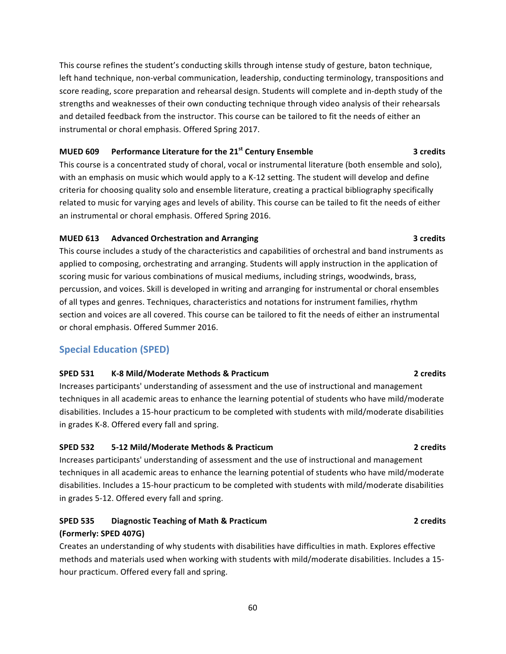This course refines the student's conducting skills through intense study of gesture, baton technique, left hand technique, non-verbal communication, leadership, conducting terminology, transpositions and score reading, score preparation and rehearsal design. Students will complete and in-depth study of the strengths and weaknesses of their own conducting technique through video analysis of their rehearsals and detailed feedback from the instructor. This course can be tailored to fit the needs of either an instrumental or choral emphasis. Offered Spring 2017.

# **MUED 609** Performance Literature for the 21<sup>st</sup> Century Ensemble **8** 3 credits

This course is a concentrated study of choral, vocal or instrumental literature (both ensemble and solo), with an emphasis on music which would apply to a K-12 setting. The student will develop and define criteria for choosing quality solo and ensemble literature, creating a practical bibliography specifically related to music for varying ages and levels of ability. This course can be tailed to fit the needs of either an instrumental or choral emphasis. Offered Spring 2016.

### **MUED 613** Advanced Orchestration and Arranging *COMPACC CONFERENT CONFERENT CONFERENT CONFERENT* **CONFERENT CONFERENT CONFERENT CONFERENCE**

This course includes a study of the characteristics and capabilities of orchestral and band instruments as applied to composing, orchestrating and arranging. Students will apply instruction in the application of scoring music for various combinations of musical mediums, including strings, woodwinds, brass, percussion, and voices. Skill is developed in writing and arranging for instrumental or choral ensembles of all types and genres. Techniques, characteristics and notations for instrument families, rhythm section and voices are all covered. This course can be tailored to fit the needs of either an instrumental or choral emphasis. Offered Summer 2016.

# **Special Education (SPED)**

### **SPED 531 K-8 Mild/Moderate Methods & Practicum 2 credits**

Increases participants' understanding of assessment and the use of instructional and management techniques in all academic areas to enhance the learning potential of students who have mild/moderate disabilities. Includes a 15-hour practicum to be completed with students with mild/moderate disabilities in grades K-8. Offered every fall and spring.

### **SPED 532 5-12 Mild/Moderate Methods & Practicum 2 credits**

Increases participants' understanding of assessment and the use of instructional and management techniques in all academic areas to enhance the learning potential of students who have mild/moderate disabilities. Includes a 15-hour practicum to be completed with students with mild/moderate disabilities in grades 5-12. Offered every fall and spring.

# **SPED 535 Diagnostic Teaching of Math & Practicum 2 credits (Formerly: SPED 407G)**

Creates an understanding of why students with disabilities have difficulties in math. Explores effective methods and materials used when working with students with mild/moderate disabilities. Includes a 15hour practicum. Offered every fall and spring.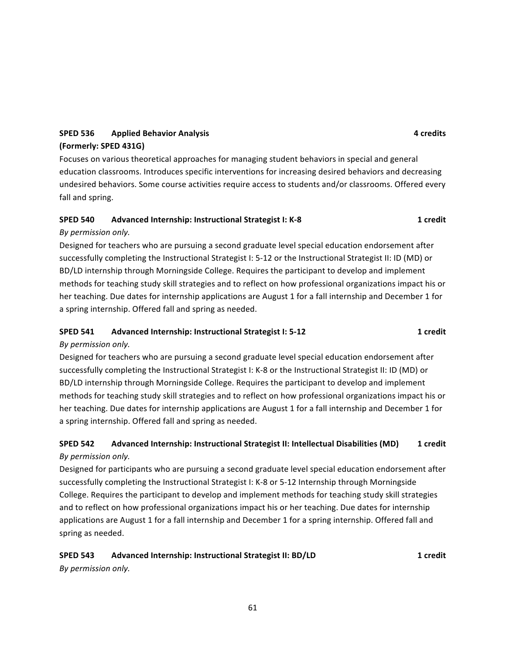# **SPED 536 Applied Behavior Analysis 1988 Applied Behavior Analysis 1988 Applied Behavior Analysis 4 Applied Behavior Analysis 1988 Applied Behavior Analysis 1988 Applied Behavior Analysis 1988 App (Formerly: SPED 431G)**

Focuses on various theoretical approaches for managing student behaviors in special and general education classrooms. Introduces specific interventions for increasing desired behaviors and decreasing undesired behaviors. Some course activities require access to students and/or classrooms. Offered every fall and spring.

# **SPED 540 Advanced Internship: Instructional Strategist I: K-8 1 1 1 1 1**

# *By permission only.*

Designed for teachers who are pursuing a second graduate level special education endorsement after successfully completing the Instructional Strategist I: 5-12 or the Instructional Strategist II: ID (MD) or BD/LD internship through Morningside College. Requires the participant to develop and implement methods for teaching study skill strategies and to reflect on how professional organizations impact his or her teaching. Due dates for internship applications are August 1 for a fall internship and December 1 for a spring internship. Offered fall and spring as needed.

# **SPED 541 Advanced Internship: Instructional Strategist I: 5-12 1 credit**

# *By permission only.*

Designed for teachers who are pursuing a second graduate level special education endorsement after successfully completing the Instructional Strategist I: K-8 or the Instructional Strategist II: ID (MD) or BD/LD internship through Morningside College. Requires the participant to develop and implement methods for teaching study skill strategies and to reflect on how professional organizations impact his or her teaching. Due dates for internship applications are August 1 for a fall internship and December 1 for a spring internship. Offered fall and spring as needed.

# **SPED 542** Advanced Internship: Instructional Strategist II: Intellectual Disabilities (MD) 1 credit *By permission only.*

Designed for participants who are pursuing a second graduate level special education endorsement after successfully completing the Instructional Strategist I: K-8 or 5-12 Internship through Morningside College. Requires the participant to develop and implement methods for teaching study skill strategies and to reflect on how professional organizations impact his or her teaching. Due dates for internship applications are August 1 for a fall internship and December 1 for a spring internship. Offered fall and spring as needed.

# **SPED 543** Advanced Internship: Instructional Strategist II: BD/LD **1 1 1 1** *By permission only.*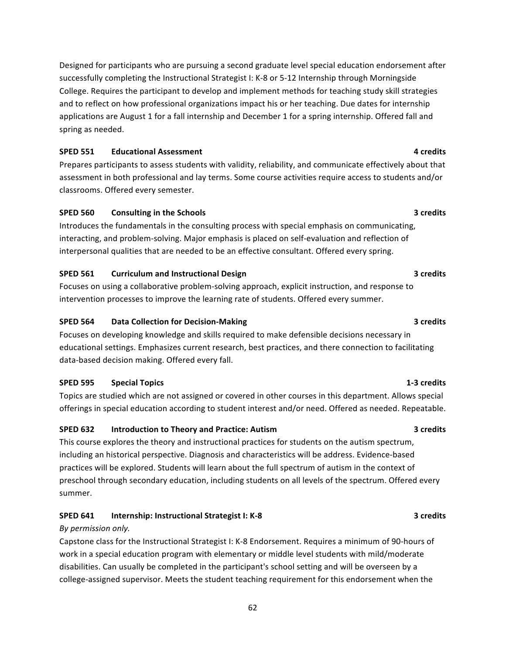Designed for participants who are pursuing a second graduate level special education endorsement after successfully completing the Instructional Strategist I: K-8 or 5-12 Internship through Morningside College. Requires the participant to develop and implement methods for teaching study skill strategies and to reflect on how professional organizations impact his or her teaching. Due dates for internship applications are August 1 for a fall internship and December 1 for a spring internship. Offered fall and spring as needed.

### **SPED 551 Educational Assessment 4 credits**

Prepares participants to assess students with validity, reliability, and communicate effectively about that assessment in both professional and lay terms. Some course activities require access to students and/or classrooms. Offered every semester.

### **SPED 560 Consulting in the Schools 3** credits **3** credits

Introduces the fundamentals in the consulting process with special emphasis on communicating, interacting, and problem-solving. Major emphasis is placed on self-evaluation and reflection of interpersonal qualities that are needed to be an effective consultant. Offered every spring.

### **SPED 561 Curriculum and Instructional Design <b>3 3 3 3 3 3**

Focuses on using a collaborative problem-solving approach, explicit instruction, and response to intervention processes to improve the learning rate of students. Offered every summer.

### **SPED 564 Data Collection for Decision-Making <b>3 3 3 3 3 3**

Focuses on developing knowledge and skills required to make defensible decisions necessary in educational settings. Emphasizes current research, best practices, and there connection to facilitating data-based decision making. Offered every fall.

# **SPED 595 Special Topics 1-3** credits

Topics are studied which are not assigned or covered in other courses in this department. Allows special offerings in special education according to student interest and/or need. Offered as needed. Repeatable.

# **SPED 632 Introduction to Theory and Practice:** Autism **1998 1998 3** credits

This course explores the theory and instructional practices for students on the autism spectrum, including an historical perspective. Diagnosis and characteristics will be address. Evidence-based practices will be explored. Students will learn about the full spectrum of autism in the context of preschool through secondary education, including students on all levels of the spectrum. Offered every summer.

# **SPED 641 Internship:** Instructional Strategist I: K-8 **3 3 3** Credits

### *By permission only.*

Capstone class for the Instructional Strategist I: K-8 Endorsement. Requires a minimum of 90-hours of work in a special education program with elementary or middle level students with mild/moderate disabilities. Can usually be completed in the participant's school setting and will be overseen by a college-assigned supervisor. Meets the student teaching requirement for this endorsement when the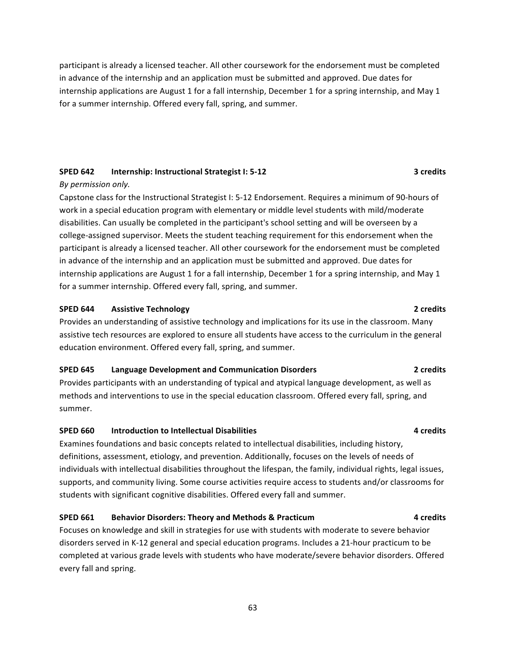participant is already a licensed teacher. All other coursework for the endorsement must be completed in advance of the internship and an application must be submitted and approved. Due dates for internship applications are August 1 for a fall internship, December 1 for a spring internship, and May 1 for a summer internship. Offered every fall, spring, and summer.

### **SPED 642 Internship:** Instructional Strategist I: 5-12 **3** credits

#### *By permission only.*

Capstone class for the Instructional Strategist I: 5-12 Endorsement. Requires a minimum of 90-hours of work in a special education program with elementary or middle level students with mild/moderate disabilities. Can usually be completed in the participant's school setting and will be overseen by a college-assigned supervisor. Meets the student teaching requirement for this endorsement when the participant is already a licensed teacher. All other coursework for the endorsement must be completed in advance of the internship and an application must be submitted and approved. Due dates for internship applications are August 1 for a fall internship, December 1 for a spring internship, and May 1 for a summer internship. Offered every fall, spring, and summer.

#### **SPED 644 Assistive Technology 2** *Credits* **2** *Credits*

Provides an understanding of assistive technology and implications for its use in the classroom. Many assistive tech resources are explored to ensure all students have access to the curriculum in the general education environment. Offered every fall, spring, and summer.

#### **SPED 645 Language Development and Communication Disorders 1888 1998 2** credits

Provides participants with an understanding of typical and atypical language development, as well as methods and interventions to use in the special education classroom. Offered every fall, spring, and summer.

### **SPED 660 Introduction to Intellectual Disabilities 1888 1998 1999 1208 1208 1208 1208 1208 1208**

Examines foundations and basic concepts related to intellectual disabilities, including history, definitions, assessment, etiology, and prevention. Additionally, focuses on the levels of needs of individuals with intellectual disabilities throughout the lifespan, the family, individual rights, legal issues, supports, and community living. Some course activities require access to students and/or classrooms for students with significant cognitive disabilities. Offered every fall and summer.

### **SPED 661 Behavior Disorders: Theory and Methods & Practicum 4 credits**

Focuses on knowledge and skill in strategies for use with students with moderate to severe behavior disorders served in K-12 general and special education programs. Includes a 21-hour practicum to be completed at various grade levels with students who have moderate/severe behavior disorders. Offered every fall and spring.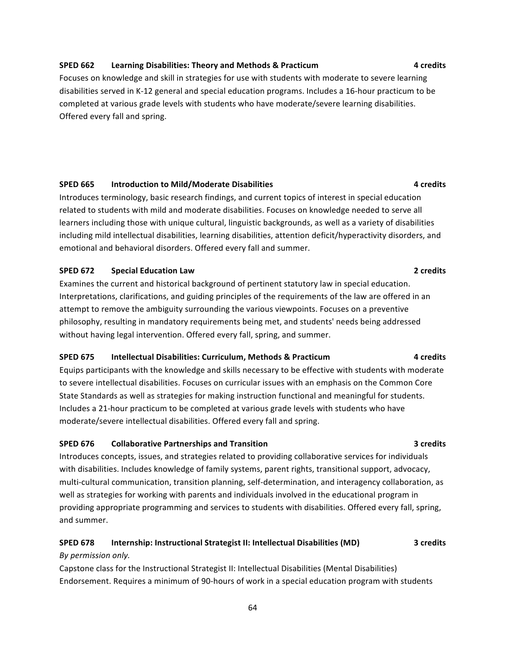#### **SPED 662 Learning Disabilities: Theory and Methods & Practicum 4 credits**

Focuses on knowledge and skill in strategies for use with students with moderate to severe learning disabilities served in K-12 general and special education programs. Includes a 16-hour practicum to be completed at various grade levels with students who have moderate/severe learning disabilities. Offered every fall and spring.

#### **SPED 665 Introduction to Mild/Moderate Disabilities 1888 1999 12:38 12:49 12:49 12:49 12:49 12:49 12:49 12:49 12:49 12:49 12:49 12:49 12:49 12:49 12:49 12:49 12:49 12:49 12:49 12:49 12:49 12:49 12:49 12:49 12:49 12:49**

Introduces terminology, basic research findings, and current topics of interest in special education related to students with mild and moderate disabilities. Focuses on knowledge needed to serve all learners including those with unique cultural, linguistic backgrounds, as well as a variety of disabilities including mild intellectual disabilities, learning disabilities, attention deficit/hyperactivity disorders, and emotional and behavioral disorders. Offered every fall and summer.

#### **SPED 672 Special Education Law 2 CONSIDERED 12 2 2 2 2 2 2**

Examines the current and historical background of pertinent statutory law in special education. Interpretations, clarifications, and guiding principles of the requirements of the law are offered in an attempt to remove the ambiguity surrounding the various viewpoints. Focuses on a preventive philosophy, resulting in mandatory requirements being met, and students' needs being addressed without having legal intervention. Offered every fall, spring, and summer.

#### **SPED 675 Intellectual Disabilities: Curriculum, Methods & Practicum 4 credits**

Equips participants with the knowledge and skills necessary to be effective with students with moderate to severe intellectual disabilities. Focuses on curricular issues with an emphasis on the Common Core State Standards as well as strategies for making instruction functional and meaningful for students. Includes a 21-hour practicum to be completed at various grade levels with students who have moderate/severe intellectual disabilities. Offered every fall and spring.

#### **SPED 676 Collaborative Partnerships and Transition 3 Credits 3 3 3**

Introduces concepts, issues, and strategies related to providing collaborative services for individuals with disabilities. Includes knowledge of family systems, parent rights, transitional support, advocacy, multi-cultural communication, transition planning, self-determination, and interagency collaboration, as well as strategies for working with parents and individuals involved in the educational program in providing appropriate programming and services to students with disabilities. Offered every fall, spring, and summer.

#### **SPED 678 Internship: Instructional Strategist II: Intellectual Disabilities (MD)** 3 credits

#### *By permission only.*

Capstone class for the Instructional Strategist II: Intellectual Disabilities (Mental Disabilities) Endorsement. Requires a minimum of 90-hours of work in a special education program with students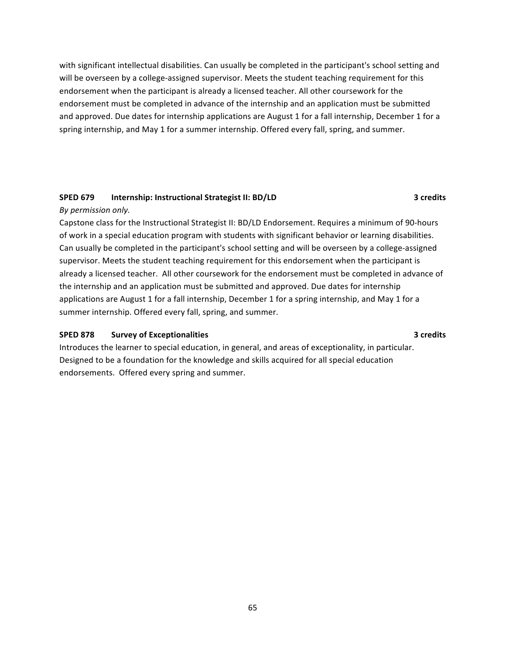with significant intellectual disabilities. Can usually be completed in the participant's school setting and will be overseen by a college-assigned supervisor. Meets the student teaching requirement for this endorsement when the participant is already a licensed teacher. All other coursework for the endorsement must be completed in advance of the internship and an application must be submitted and approved. Due dates for internship applications are August 1 for a fall internship, December 1 for a spring internship, and May 1 for a summer internship. Offered every fall, spring, and summer.

### **SPED 679 Internship:** Instructional Strategist II: BD/LD **3** credits

### *By permission only.*

Capstone class for the Instructional Strategist II: BD/LD Endorsement. Requires a minimum of 90-hours of work in a special education program with students with significant behavior or learning disabilities. Can usually be completed in the participant's school setting and will be overseen by a college-assigned supervisor. Meets the student teaching requirement for this endorsement when the participant is already a licensed teacher. All other coursework for the endorsement must be completed in advance of the internship and an application must be submitted and approved. Due dates for internship applications are August 1 for a fall internship, December 1 for a spring internship, and May 1 for a summer internship. Offered every fall, spring, and summer.

### **SPED 878** Survey of Exceptionalities **3** Credits **3** Credits

Introduces the learner to special education, in general, and areas of exceptionality, in particular. Designed to be a foundation for the knowledge and skills acquired for all special education endorsements. Offered every spring and summer.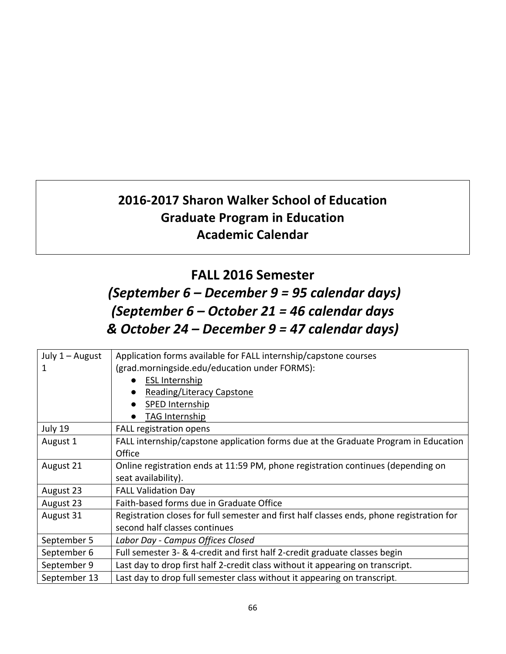# **2016-2017 Sharon Walker School of Education Graduate Program in Education Academic Calendar**

# **FALL 2016 Semester**

# *(September 6 – December 9 = 95 calendar days) (September 6 – October 21 = 46 calendar days & October 24 – December 9 = 47 calendar days)*

| July $1 -$ August | Application forms available for FALL internship/capstone courses                          |
|-------------------|-------------------------------------------------------------------------------------------|
| 1                 | (grad.morningside.edu/education under FORMS):                                             |
|                   | <b>ESL Internship</b>                                                                     |
|                   | Reading/Literacy Capstone                                                                 |
|                   | SPED Internship                                                                           |
|                   | TAG Internship                                                                            |
| July 19           | <b>FALL registration opens</b>                                                            |
| August 1          | FALL internship/capstone application forms due at the Graduate Program in Education       |
|                   | Office                                                                                    |
| August 21         | Online registration ends at 11:59 PM, phone registration continues (depending on          |
|                   | seat availability).                                                                       |
| August 23         | <b>FALL Validation Day</b>                                                                |
| August 23         | Faith-based forms due in Graduate Office                                                  |
| August 31         | Registration closes for full semester and first half classes ends, phone registration for |
|                   | second half classes continues                                                             |
| September 5       | Labor Day - Campus Offices Closed                                                         |
| September 6       | Full semester 3- & 4-credit and first half 2-credit graduate classes begin                |
| September 9       | Last day to drop first half 2-credit class without it appearing on transcript.            |
| September 13      | Last day to drop full semester class without it appearing on transcript.                  |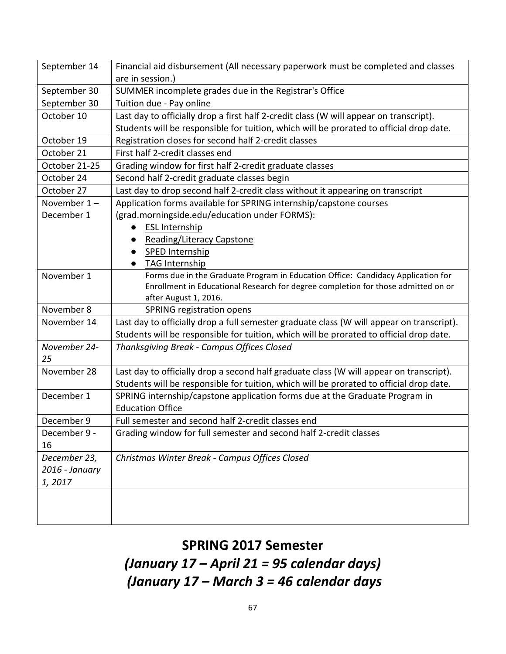| September 14       | Financial aid disbursement (All necessary paperwork must be completed and classes         |
|--------------------|-------------------------------------------------------------------------------------------|
|                    | are in session.)                                                                          |
| September 30       | SUMMER incomplete grades due in the Registrar's Office                                    |
| September 30       | Tuition due - Pay online                                                                  |
| October 10         | Last day to officially drop a first half 2-credit class (W will appear on transcript).    |
|                    | Students will be responsible for tuition, which will be prorated to official drop date.   |
| October 19         | Registration closes for second half 2-credit classes                                      |
| October 21         | First half 2-credit classes end                                                           |
| October 21-25      | Grading window for first half 2-credit graduate classes                                   |
| October 24         | Second half 2-credit graduate classes begin                                               |
| October 27         | Last day to drop second half 2-credit class without it appearing on transcript            |
| November $1 -$     | Application forms available for SPRING internship/capstone courses                        |
| December 1         | (grad.morningside.edu/education under FORMS):                                             |
|                    | <b>ESL Internship</b>                                                                     |
|                    | Reading/Literacy Capstone                                                                 |
|                    | SPED Internship                                                                           |
|                    | <b>TAG Internship</b>                                                                     |
| November 1         | Forms due in the Graduate Program in Education Office: Candidacy Application for          |
|                    | Enrollment in Educational Research for degree completion for those admitted on or         |
|                    | after August 1, 2016.                                                                     |
| November 8         | <b>SPRING registration opens</b>                                                          |
| November 14        | Last day to officially drop a full semester graduate class (W will appear on transcript). |
|                    | Students will be responsible for tuition, which will be prorated to official drop date.   |
| November 24-<br>25 | Thanksgiving Break - Campus Offices Closed                                                |
| November 28        | Last day to officially drop a second half graduate class (W will appear on transcript).   |
|                    | Students will be responsible for tuition, which will be prorated to official drop date.   |
| December 1         | SPRING internship/capstone application forms due at the Graduate Program in               |
|                    | <b>Education Office</b>                                                                   |
| December 9         | Full semester and second half 2-credit classes end                                        |
| December 9 -       | Grading window for full semester and second half 2-credit classes                         |
| 16                 |                                                                                           |
| December 23,       | Christmas Winter Break - Campus Offices Closed                                            |
| 2016 - January     |                                                                                           |
| 1,2017             |                                                                                           |
|                    |                                                                                           |
|                    |                                                                                           |
|                    |                                                                                           |

# **SPRING 2017 Semester**

*(January 17 – April 21 = 95 calendar days) (January 17 – March 3 = 46 calendar days*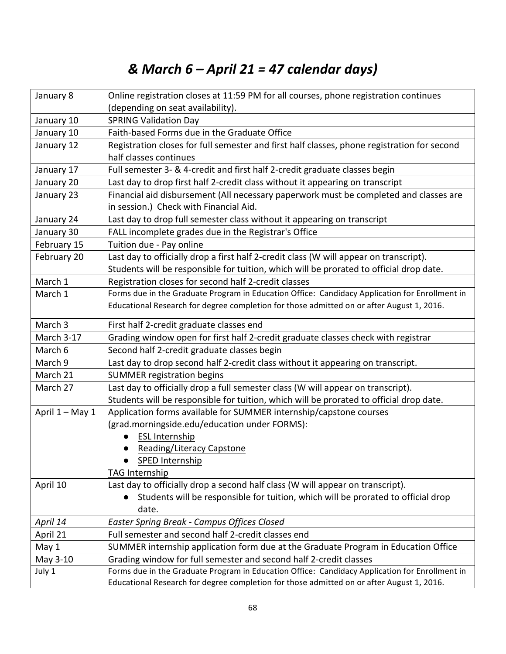# *& March 6 – April 21 = 47 calendar days)*

| January 8       | Online registration closes at 11:59 PM for all courses, phone registration continues           |
|-----------------|------------------------------------------------------------------------------------------------|
|                 | (depending on seat availability).                                                              |
| January 10      | <b>SPRING Validation Day</b>                                                                   |
| January 10      | Faith-based Forms due in the Graduate Office                                                   |
| January 12      | Registration closes for full semester and first half classes, phone registration for second    |
|                 | half classes continues                                                                         |
| January 17      | Full semester 3- & 4-credit and first half 2-credit graduate classes begin                     |
| January 20      | Last day to drop first half 2-credit class without it appearing on transcript                  |
| January 23      | Financial aid disbursement (All necessary paperwork must be completed and classes are          |
|                 | in session.) Check with Financial Aid.                                                         |
| January 24      | Last day to drop full semester class without it appearing on transcript                        |
| January 30      | FALL incomplete grades due in the Registrar's Office                                           |
| February 15     | Tuition due - Pay online                                                                       |
| February 20     | Last day to officially drop a first half 2-credit class (W will appear on transcript).         |
|                 | Students will be responsible for tuition, which will be prorated to official drop date.        |
| March 1         | Registration closes for second half 2-credit classes                                           |
| March 1         | Forms due in the Graduate Program in Education Office: Candidacy Application for Enrollment in |
|                 | Educational Research for degree completion for those admitted on or after August 1, 2016.      |
| March 3         | First half 2-credit graduate classes end                                                       |
| March 3-17      | Grading window open for first half 2-credit graduate classes check with registrar              |
| March 6         | Second half 2-credit graduate classes begin                                                    |
| March 9         | Last day to drop second half 2-credit class without it appearing on transcript.                |
| March 21        | <b>SUMMER registration begins</b>                                                              |
| March 27        | Last day to officially drop a full semester class (W will appear on transcript).               |
|                 | Students will be responsible for tuition, which will be prorated to official drop date.        |
| April 1 - May 1 | Application forms available for SUMMER internship/capstone courses                             |
|                 | (grad.morningside.edu/education under FORMS):                                                  |
|                 | <b>ESL Internship</b>                                                                          |
|                 | <b>Reading/Literacy Capstone</b>                                                               |
|                 | <b>SPED Internship</b>                                                                         |
|                 | TAG Internship                                                                                 |
| April 10        | Last day to officially drop a second half class (W will appear on transcript).                 |
|                 | Students will be responsible for tuition, which will be prorated to official drop              |
|                 | date.                                                                                          |
| April 14        | <b>Easter Spring Break - Campus Offices Closed</b>                                             |
| April 21        | Full semester and second half 2-credit classes end                                             |
| May 1           | SUMMER internship application form due at the Graduate Program in Education Office             |
| May 3-10        | Grading window for full semester and second half 2-credit classes                              |
| July 1          | Forms due in the Graduate Program in Education Office: Candidacy Application for Enrollment in |
|                 | Educational Research for degree completion for those admitted on or after August 1, 2016.      |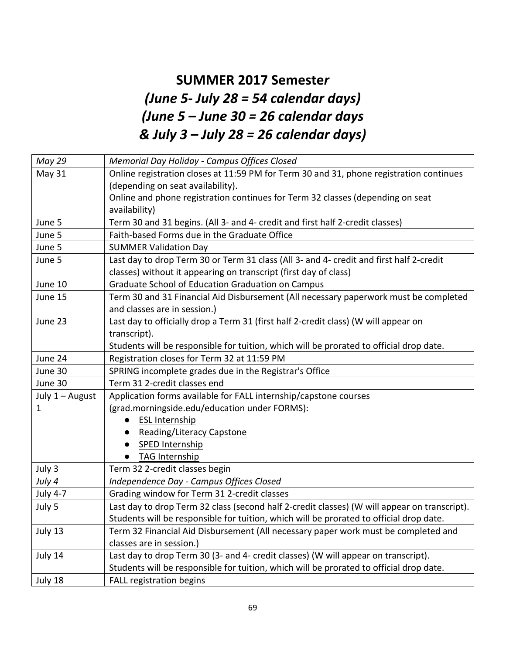# **SUMMER 2017 Semeste***r (June 5- July 28 = 54 calendar days) (June 5 – June 30 = 26 calendar days & July 3 – July 28 = 26 calendar days)*

| May 29          | Memorial Day Holiday - Campus Offices Closed                                                 |
|-----------------|----------------------------------------------------------------------------------------------|
| May 31          | Online registration closes at 11:59 PM for Term 30 and 31, phone registration continues      |
|                 | (depending on seat availability).                                                            |
|                 | Online and phone registration continues for Term 32 classes (depending on seat               |
|                 | availability)                                                                                |
| June 5          | Term 30 and 31 begins. (All 3- and 4- credit and first half 2-credit classes)                |
| June 5          | Faith-based Forms due in the Graduate Office                                                 |
| June 5          | <b>SUMMER Validation Day</b>                                                                 |
| June 5          | Last day to drop Term 30 or Term 31 class (All 3- and 4- credit and first half 2-credit      |
|                 | classes) without it appearing on transcript (first day of class)                             |
| June 10         | Graduate School of Education Graduation on Campus                                            |
| June 15         | Term 30 and 31 Financial Aid Disbursement (All necessary paperwork must be completed         |
|                 | and classes are in session.)                                                                 |
| June 23         | Last day to officially drop a Term 31 (first half 2-credit class) (W will appear on          |
|                 | transcript).                                                                                 |
|                 | Students will be responsible for tuition, which will be prorated to official drop date.      |
| June 24         | Registration closes for Term 32 at 11:59 PM                                                  |
| June 30         | SPRING incomplete grades due in the Registrar's Office                                       |
| June 30         | Term 31 2-credit classes end                                                                 |
| July 1 - August | Application forms available for FALL internship/capstone courses                             |
| 1               | (grad.morningside.edu/education under FORMS):                                                |
|                 | <b>ESL Internship</b><br>$\bullet$                                                           |
|                 | <b>Reading/Literacy Capstone</b><br>$\bullet$                                                |
|                 | SPED Internship                                                                              |
|                 | <b>TAG Internship</b>                                                                        |
| July 3          | Term 32 2-credit classes begin                                                               |
| July 4          | Independence Day - Campus Offices Closed                                                     |
| <b>July 4-7</b> | Grading window for Term 31 2-credit classes                                                  |
| July 5          | Last day to drop Term 32 class (second half 2-credit classes) (W will appear on transcript). |
|                 | Students will be responsible for tuition, which will be prorated to official drop date.      |
| July 13         | Term 32 Financial Aid Disbursement (All necessary paper work must be completed and           |
|                 | classes are in session.)                                                                     |
| July 14         | Last day to drop Term 30 (3- and 4- credit classes) (W will appear on transcript).           |
|                 | Students will be responsible for tuition, which will be prorated to official drop date.      |
| July 18         | <b>FALL registration begins</b>                                                              |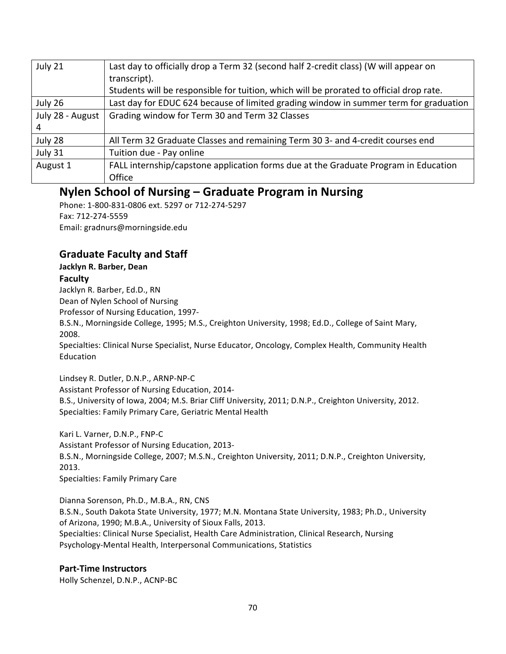| July 21          | Last day to officially drop a Term 32 (second half 2-credit class) (W will appear on    |
|------------------|-----------------------------------------------------------------------------------------|
|                  | transcript).                                                                            |
|                  | Students will be responsible for tuition, which will be prorated to official drop rate. |
| July 26          | Last day for EDUC 624 because of limited grading window in summer term for graduation   |
| July 28 - August | Grading window for Term 30 and Term 32 Classes                                          |
|                  |                                                                                         |
| July 28          | All Term 32 Graduate Classes and remaining Term 30 3- and 4-credit courses end          |
| July 31          | Tuition due - Pay online                                                                |
| August 1         | FALL internship/capstone application forms due at the Graduate Program in Education     |
|                  | Office                                                                                  |

# **Nylen School of Nursing – Graduate Program in Nursing**

Phone: 1-800-831-0806 ext. 5297 or 712-274-5297 Fax: 712-274-5559 Email: gradnurs@morningside.edu

# **Graduate Faculty and Staff**

# **Jacklyn R. Barber, Dean**

# **Faculty**

Jacklyn R. Barber, Ed.D., RN Dean of Nylen School of Nursing Professor of Nursing Education, 1997-B.S.N., Morningside College, 1995; M.S., Creighton University, 1998; Ed.D., College of Saint Mary, 2008.

Specialties: Clinical Nurse Specialist, Nurse Educator, Oncology, Complex Health, Community Health Education

Lindsey R. Dutler, D.N.P., ARNP-NP-C Assistant Professor of Nursing Education, 2014-B.S., University of Iowa, 2004; M.S. Briar Cliff University, 2011; D.N.P., Creighton University, 2012. Specialties: Family Primary Care, Geriatric Mental Health

Kari L. Varner, D.N.P., FNP-C Assistant Professor of Nursing Education, 2013-B.S.N., Morningside College, 2007; M.S.N., Creighton University, 2011; D.N.P., Creighton University, 2013. Specialties: Family Primary Care

Dianna Sorenson, Ph.D., M.B.A., RN, CNS B.S.N., South Dakota State University, 1977; M.N. Montana State University, 1983; Ph.D., University of Arizona, 1990; M.B.A., University of Sioux Falls, 2013. Specialties: Clinical Nurse Specialist, Health Care Administration, Clinical Research, Nursing Psychology-Mental Health, Interpersonal Communications, Statistics

# **Part-Time Instructors**

Holly Schenzel, D.N.P., ACNP-BC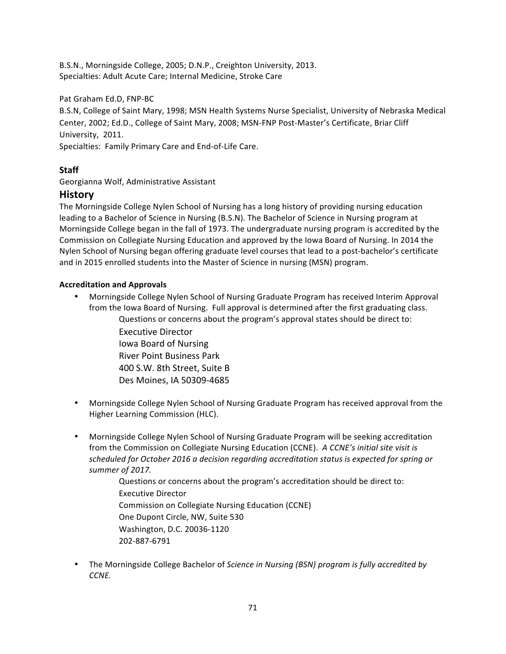B.S.N., Morningside College, 2005; D.N.P., Creighton University, 2013. Specialties: Adult Acute Care; Internal Medicine, Stroke Care

Pat Graham Ed.D, FNP-BC

B.S.N, College of Saint Mary, 1998; MSN Health Systems Nurse Specialist, University of Nebraska Medical Center, 2002; Ed.D., College of Saint Mary, 2008; MSN-FNP Post-Master's Certificate, Briar Cliff University, 2011.

Specialties: Family Primary Care and End-of-Life Care.

# **Staff**

Georgianna Wolf, Administrative Assistant

# **History**

The Morningside College Nylen School of Nursing has a long history of providing nursing education leading to a Bachelor of Science in Nursing (B.S.N). The Bachelor of Science in Nursing program at Morningside College began in the fall of 1973. The undergraduate nursing program is accredited by the Commission on Collegiate Nursing Education and approved by the Iowa Board of Nursing. In 2014 the Nylen School of Nursing began offering graduate level courses that lead to a post-bachelor's certificate and in 2015 enrolled students into the Master of Science in nursing (MSN) program.

# **Accreditation and Approvals**

Morningside College Nylen School of Nursing Graduate Program has received Interim Approval from the Iowa Board of Nursing. Full approval is determined after the first graduating class. Questions or concerns about the program's approval states should be direct to:

Executive Director Iowa Board of Nursing River Point Business Park 400 S.W. 8th Street, Suite B Des Moines, IA 50309-4685

- Morningside College Nylen School of Nursing Graduate Program has received approval from the Higher Learning Commission (HLC).
- Morningside College Nylen School of Nursing Graduate Program will be seeking accreditation from the Commission on Collegiate Nursing Education (CCNE). A CCNE's initial site visit is scheduled for October 2016 a decision regarding accreditation status is expected for spring or summer of 2017.

Questions or concerns about the program's accreditation should be direct to: Executive Director Commission on Collegiate Nursing Education (CCNE) One Dupont Circle, NW, Suite 530 Washington, D.C. 20036-1120 202-887-6791

The Morningside College Bachelor of *Science in Nursing (BSN) program is fully accredited by CCNE.*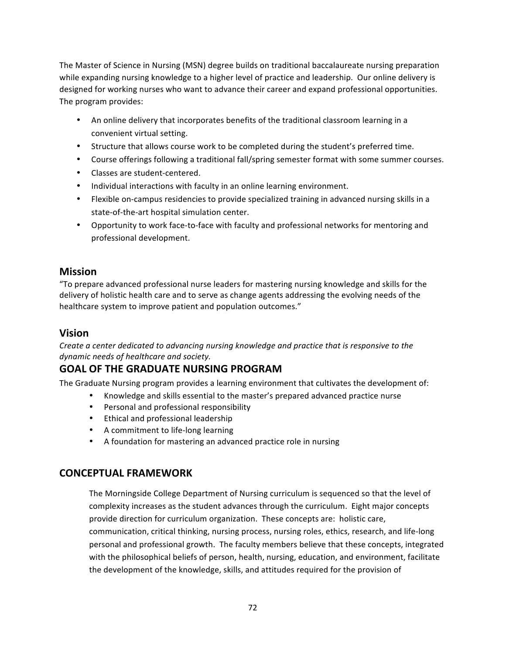The Master of Science in Nursing (MSN) degree builds on traditional baccalaureate nursing preparation while expanding nursing knowledge to a higher level of practice and leadership. Our online delivery is designed for working nurses who want to advance their career and expand professional opportunities. The program provides:

- An online delivery that incorporates benefits of the traditional classroom learning in a convenient virtual setting.
- Structure that allows course work to be completed during the student's preferred time.
- Course offerings following a traditional fall/spring semester format with some summer courses.
- Classes are student-centered.
- Individual interactions with faculty in an online learning environment.
- Flexible on-campus residencies to provide specialized training in advanced nursing skills in a state-of-the-art hospital simulation center.
- Opportunity to work face-to-face with faculty and professional networks for mentoring and professional development.

# **Mission**

"To prepare advanced professional nurse leaders for mastering nursing knowledge and skills for the delivery of holistic health care and to serve as change agents addressing the evolving needs of the healthcare system to improve patient and population outcomes."

# **Vision**

*Create a center dedicated to advancing nursing knowledge and practice that is responsive to the dynamic needs of healthcare and society.*

# **GOAL OF THE GRADUATE NURSING PROGRAM**

The Graduate Nursing program provides a learning environment that cultivates the development of:

- Knowledge and skills essential to the master's prepared advanced practice nurse
- Personal and professional responsibility
- Ethical and professional leadership
- A commitment to life-long learning
- A foundation for mastering an advanced practice role in nursing

# **CONCEPTUAL FRAMEWORK**

The Morningside College Department of Nursing curriculum is sequenced so that the level of complexity increases as the student advances through the curriculum. Eight major concepts provide direction for curriculum organization. These concepts are: holistic care, communication, critical thinking, nursing process, nursing roles, ethics, research, and life-long personal and professional growth. The faculty members believe that these concepts, integrated with the philosophical beliefs of person, health, nursing, education, and environment, facilitate the development of the knowledge, skills, and attitudes required for the provision of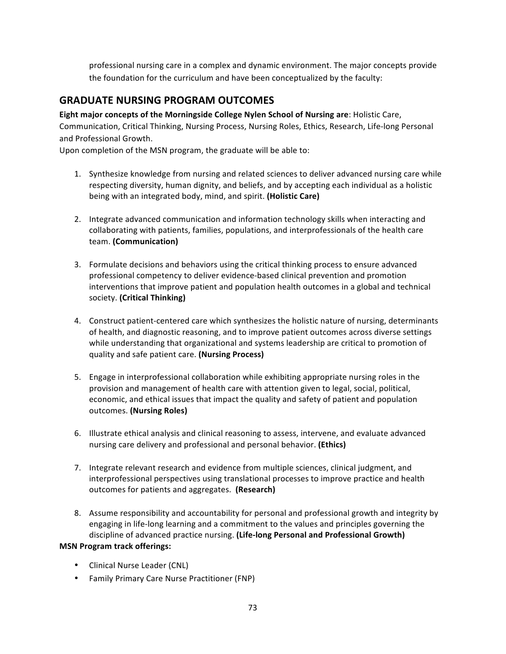professional nursing care in a complex and dynamic environment. The major concepts provide the foundation for the curriculum and have been conceptualized by the faculty:

## **GRADUATE NURSING PROGRAM OUTCOMES**

**Eight major concepts of the Morningside College Nylen School of Nursing are: Holistic Care,** Communication, Critical Thinking, Nursing Process, Nursing Roles, Ethics, Research, Life-long Personal and Professional Growth.

Upon completion of the MSN program, the graduate will be able to:

- 1. Synthesize knowledge from nursing and related sciences to deliver advanced nursing care while respecting diversity, human dignity, and beliefs, and by accepting each individual as a holistic being with an integrated body, mind, and spirit. **(Holistic Care)**
- 2. Integrate advanced communication and information technology skills when interacting and collaborating with patients, families, populations, and interprofessionals of the health care team. **(Communication)**
- 3. Formulate decisions and behaviors using the critical thinking process to ensure advanced professional competency to deliver evidence-based clinical prevention and promotion interventions that improve patient and population health outcomes in a global and technical society. **(Critical Thinking)**
- 4. Construct patient-centered care which synthesizes the holistic nature of nursing, determinants of health, and diagnostic reasoning, and to improve patient outcomes across diverse settings while understanding that organizational and systems leadership are critical to promotion of quality and safe patient care. (Nursing Process)
- 5. Engage in interprofessional collaboration while exhibiting appropriate nursing roles in the provision and management of health care with attention given to legal, social, political, economic, and ethical issues that impact the quality and safety of patient and population outcomes. **(Nursing Roles)**
- 6. Illustrate ethical analysis and clinical reasoning to assess, intervene, and evaluate advanced nursing care delivery and professional and personal behavior. (Ethics)
- 7. Integrate relevant research and evidence from multiple sciences, clinical judgment, and interprofessional perspectives using translational processes to improve practice and health outcomes for patients and aggregates. (Research)
- 8. Assume responsibility and accountability for personal and professional growth and integrity by engaging in life-long learning and a commitment to the values and principles governing the discipline of advanced practice nursing. (Life-long Personal and Professional Growth)

## **MSN Program track offerings:**

- Clinical Nurse Leader (CNL)
- Family Primary Care Nurse Practitioner (FNP)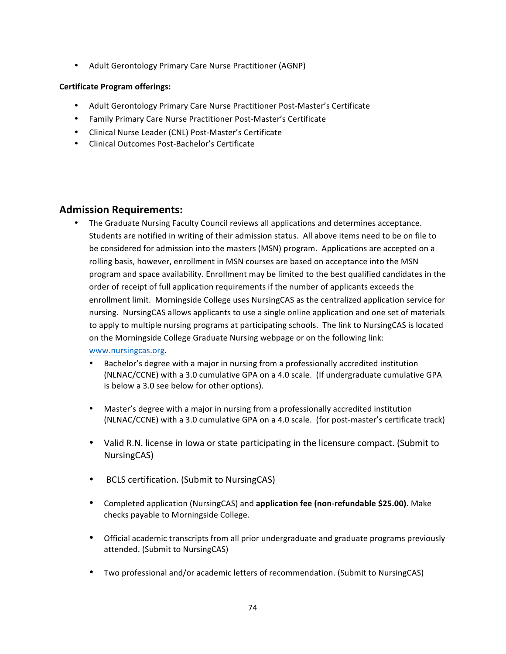• Adult Gerontology Primary Care Nurse Practitioner (AGNP)

## **Certificate Program offerings:**

- Adult Gerontology Primary Care Nurse Practitioner Post-Master's Certificate
- Family Primary Care Nurse Practitioner Post-Master's Certificate
- Clinical Nurse Leader (CNL) Post-Master's Certificate
- Clinical Outcomes Post-Bachelor's Certificate

## **Admission Requirements:**

• The Graduate Nursing Faculty Council reviews all applications and determines acceptance. Students are notified in writing of their admission status. All above items need to be on file to be considered for admission into the masters (MSN) program. Applications are accepted on a rolling basis, however, enrollment in MSN courses are based on acceptance into the MSN program and space availability. Enrollment may be limited to the best qualified candidates in the order of receipt of full application requirements if the number of applicants exceeds the enrollment limit. Morningside College uses NursingCAS as the centralized application service for nursing. NursingCAS allows applicants to use a single online application and one set of materials to apply to multiple nursing programs at participating schools. The link to NursingCAS is located on the Morningside College Graduate Nursing webpage or on the following link: www.nursingcas.org. 

## • Bachelor's degree with a major in nursing from a professionally accredited institution (NLNAC/CCNE) with a 3.0 cumulative GPA on a 4.0 scale. (If undergraduate cumulative GPA is below a 3.0 see below for other options).

- Master's degree with a major in nursing from a professionally accredited institution (NLNAC/CCNE) with a 3.0 cumulative GPA on a 4.0 scale. (for post-master's certificate track)
- Valid R.N. license in lowa or state participating in the licensure compact. (Submit to NursingCAS)
- BCLS certification. (Submit to NursingCAS)
- Completed application (NursingCAS) and **application fee (non-refundable \$25.00).** Make checks payable to Morningside College.
- Official academic transcripts from all prior undergraduate and graduate programs previously attended. (Submit to NursingCAS)
- Two professional and/or academic letters of recommendation. (Submit to NursingCAS)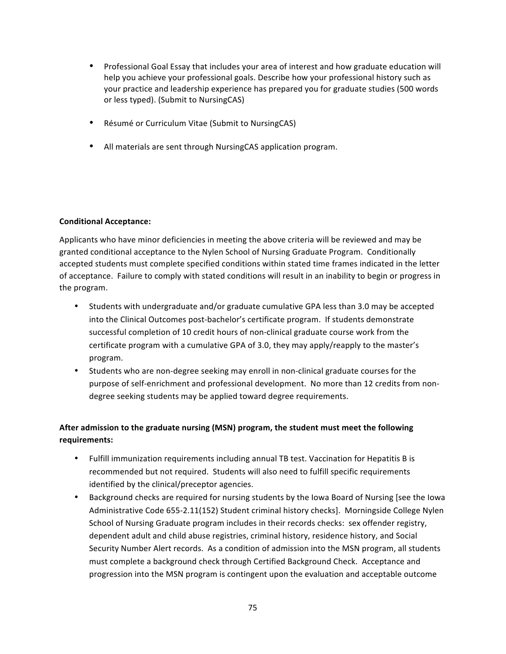- Professional Goal Essay that includes your area of interest and how graduate education will help you achieve your professional goals. Describe how your professional history such as your practice and leadership experience has prepared you for graduate studies (500 words or less typed). (Submit to NursingCAS)
- Résumé or Curriculum Vitae (Submit to NursingCAS)
- All materials are sent through NursingCAS application program.

## **Conditional Acceptance:**

Applicants who have minor deficiencies in meeting the above criteria will be reviewed and may be granted conditional acceptance to the Nylen School of Nursing Graduate Program. Conditionally accepted students must complete specified conditions within stated time frames indicated in the letter of acceptance. Failure to comply with stated conditions will result in an inability to begin or progress in the program.

- Students with undergraduate and/or graduate cumulative GPA less than 3.0 may be accepted into the Clinical Outcomes post-bachelor's certificate program. If students demonstrate successful completion of 10 credit hours of non-clinical graduate course work from the certificate program with a cumulative GPA of 3.0, they may apply/reapply to the master's program.
- Students who are non-degree seeking may enroll in non-clinical graduate courses for the purpose of self-enrichment and professional development. No more than 12 credits from nondegree seeking students may be applied toward degree requirements.

## After admission to the graduate nursing (MSN) program, the student must meet the following **requirements:**

- Fulfill immunization requirements including annual TB test. Vaccination for Hepatitis B is recommended but not required. Students will also need to fulfill specific requirements identified by the clinical/preceptor agencies.
- Background checks are required for nursing students by the lowa Board of Nursing [see the lowa Administrative Code 655-2.11(152) Student criminal history checks]. Morningside College Nylen School of Nursing Graduate program includes in their records checks: sex offender registry, dependent adult and child abuse registries, criminal history, residence history, and Social Security Number Alert records. As a condition of admission into the MSN program, all students must complete a background check through Certified Background Check. Acceptance and progression into the MSN program is contingent upon the evaluation and acceptable outcome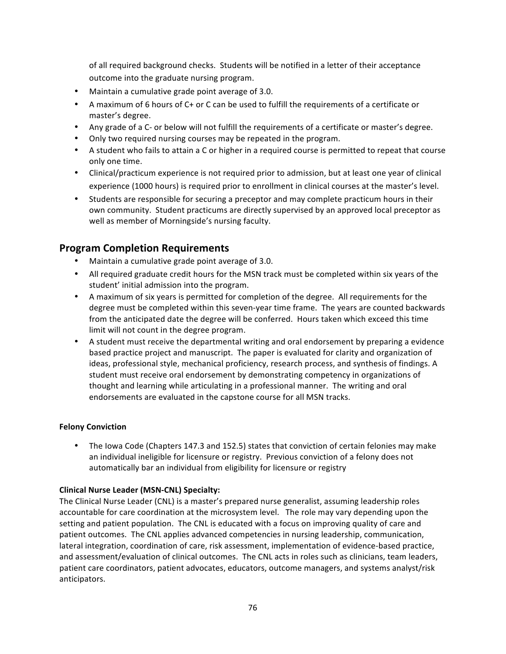of all required background checks. Students will be notified in a letter of their acceptance outcome into the graduate nursing program.

- Maintain a cumulative grade point average of 3.0.
- A maximum of 6 hours of C+ or C can be used to fulfill the requirements of a certificate or master's degree.
- Any grade of a C- or below will not fulfill the requirements of a certificate or master's degree.
- Only two required nursing courses may be repeated in the program.
- A student who fails to attain a C or higher in a required course is permitted to repeat that course only one time.
- Clinical/practicum experience is not required prior to admission, but at least one year of clinical experience (1000 hours) is required prior to enrollment in clinical courses at the master's level.
- Students are responsible for securing a preceptor and may complete practicum hours in their own community. Student practicums are directly supervised by an approved local preceptor as well as member of Morningside's nursing faculty.

## **Program Completion Requirements**

- Maintain a cumulative grade point average of 3.0.
- All required graduate credit hours for the MSN track must be completed within six years of the student' initial admission into the program.
- A maximum of six years is permitted for completion of the degree. All requirements for the degree must be completed within this seven-year time frame. The years are counted backwards from the anticipated date the degree will be conferred. Hours taken which exceed this time limit will not count in the degree program.
- A student must receive the departmental writing and oral endorsement by preparing a evidence based practice project and manuscript. The paper is evaluated for clarity and organization of ideas, professional style, mechanical proficiency, research process, and synthesis of findings. A student must receive oral endorsement by demonstrating competency in organizations of thought and learning while articulating in a professional manner. The writing and oral endorsements are evaluated in the capstone course for all MSN tracks.

## **Felony Conviction**

• The lowa Code (Chapters 147.3 and 152.5) states that conviction of certain felonies may make an individual ineligible for licensure or registry. Previous conviction of a felony does not automatically bar an individual from eligibility for licensure or registry

## **Clinical Nurse Leader (MSN-CNL) Specialty:**

The Clinical Nurse Leader (CNL) is a master's prepared nurse generalist, assuming leadership roles accountable for care coordination at the microsystem level. The role may vary depending upon the setting and patient population. The CNL is educated with a focus on improving quality of care and patient outcomes. The CNL applies advanced competencies in nursing leadership, communication, lateral integration, coordination of care, risk assessment, implementation of evidence-based practice, and assessment/evaluation of clinical outcomes. The CNL acts in roles such as clinicians, team leaders, patient care coordinators, patient advocates, educators, outcome managers, and systems analyst/risk anticipators.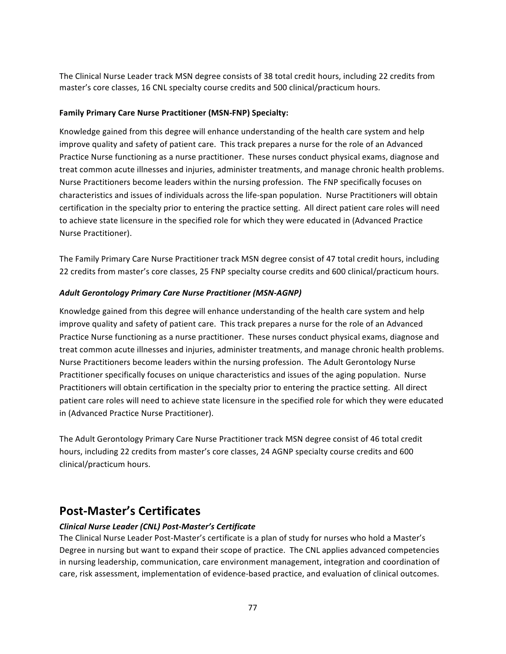The Clinical Nurse Leader track MSN degree consists of 38 total credit hours, including 22 credits from master's core classes, 16 CNL specialty course credits and 500 clinical/practicum hours.

## **Family Primary Care Nurse Practitioner (MSN-FNP) Specialty:**

Knowledge gained from this degree will enhance understanding of the health care system and help improve quality and safety of patient care. This track prepares a nurse for the role of an Advanced Practice Nurse functioning as a nurse practitioner. These nurses conduct physical exams, diagnose and treat common acute illnesses and injuries, administer treatments, and manage chronic health problems. Nurse Practitioners become leaders within the nursing profession. The FNP specifically focuses on characteristics and issues of individuals across the life-span population. Nurse Practitioners will obtain certification in the specialty prior to entering the practice setting. All direct patient care roles will need to achieve state licensure in the specified role for which they were educated in (Advanced Practice Nurse Practitioner).

The Family Primary Care Nurse Practitioner track MSN degree consist of 47 total credit hours, including 22 credits from master's core classes, 25 FNP specialty course credits and 600 clinical/practicum hours.

## Adult Gerontology Primary Care Nurse Practitioner (MSN-AGNP)

Knowledge gained from this degree will enhance understanding of the health care system and help improve quality and safety of patient care. This track prepares a nurse for the role of an Advanced Practice Nurse functioning as a nurse practitioner. These nurses conduct physical exams, diagnose and treat common acute illnesses and injuries, administer treatments, and manage chronic health problems. Nurse Practitioners become leaders within the nursing profession. The Adult Gerontology Nurse Practitioner specifically focuses on unique characteristics and issues of the aging population. Nurse Practitioners will obtain certification in the specialty prior to entering the practice setting. All direct patient care roles will need to achieve state licensure in the specified role for which they were educated in (Advanced Practice Nurse Practitioner).

The Adult Gerontology Primary Care Nurse Practitioner track MSN degree consist of 46 total credit hours, including 22 credits from master's core classes, 24 AGNP specialty course credits and 600 clinical/practicum hours.

# **Post-Master's Certificates**

## *Clinical Nurse Leader (CNL) Post-Master's Certificate*

The Clinical Nurse Leader Post-Master's certificate is a plan of study for nurses who hold a Master's Degree in nursing but want to expand their scope of practice. The CNL applies advanced competencies in nursing leadership, communication, care environment management, integration and coordination of care, risk assessment, implementation of evidence-based practice, and evaluation of clinical outcomes.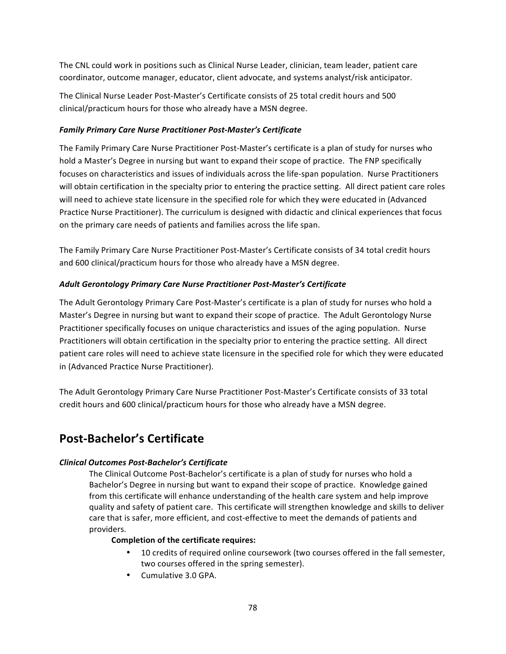The CNL could work in positions such as Clinical Nurse Leader, clinician, team leader, patient care coordinator, outcome manager, educator, client advocate, and systems analyst/risk anticipator.

The Clinical Nurse Leader Post-Master's Certificate consists of 25 total credit hours and 500 clinical/practicum hours for those who already have a MSN degree.

## *Family Primary Care Nurse Practitioner Post-Master's Certificate*

The Family Primary Care Nurse Practitioner Post-Master's certificate is a plan of study for nurses who hold a Master's Degree in nursing but want to expand their scope of practice. The FNP specifically focuses on characteristics and issues of individuals across the life-span population. Nurse Practitioners will obtain certification in the specialty prior to entering the practice setting. All direct patient care roles will need to achieve state licensure in the specified role for which they were educated in (Advanced Practice Nurse Practitioner). The curriculum is designed with didactic and clinical experiences that focus on the primary care needs of patients and families across the life span.

The Family Primary Care Nurse Practitioner Post-Master's Certificate consists of 34 total credit hours and 600 clinical/practicum hours for those who already have a MSN degree.

## Adult Gerontology Primary Care Nurse Practitioner Post-Master's Certificate

The Adult Gerontology Primary Care Post-Master's certificate is a plan of study for nurses who hold a Master's Degree in nursing but want to expand their scope of practice. The Adult Gerontology Nurse Practitioner specifically focuses on unique characteristics and issues of the aging population. Nurse Practitioners will obtain certification in the specialty prior to entering the practice setting. All direct patient care roles will need to achieve state licensure in the specified role for which they were educated in (Advanced Practice Nurse Practitioner).

The Adult Gerontology Primary Care Nurse Practitioner Post-Master's Certificate consists of 33 total credit hours and 600 clinical/practicum hours for those who already have a MSN degree.

# **Post-Bachelor's Certificate**

## *Clinical Outcomes Post-Bachelor's Certificate*

The Clinical Outcome Post-Bachelor's certificate is a plan of study for nurses who hold a Bachelor's Degree in nursing but want to expand their scope of practice. Knowledge gained from this certificate will enhance understanding of the health care system and help improve quality and safety of patient care. This certificate will strengthen knowledge and skills to deliver care that is safer, more efficient, and cost-effective to meet the demands of patients and providers. 

## **Completion of the certificate requires:**

- 10 credits of required online coursework (two courses offered in the fall semester, two courses offered in the spring semester).
- Cumulative 3.0 GPA.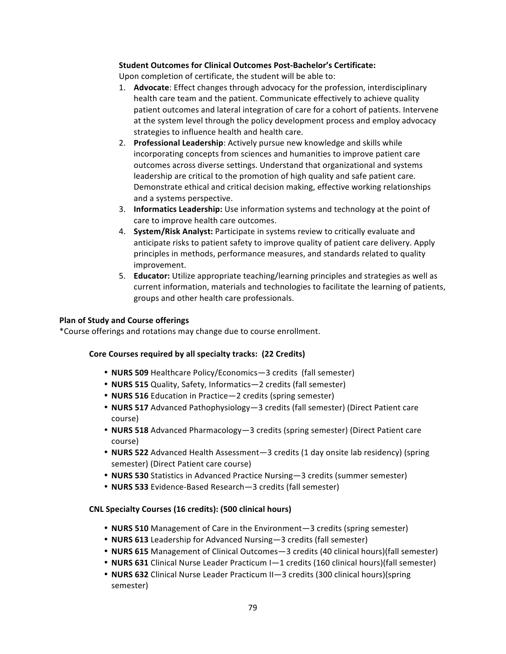## **Student Outcomes for Clinical Outcomes Post-Bachelor's Certificate:**

Upon completion of certificate, the student will be able to:

- 1. **Advocate**: Effect changes through advocacy for the profession, interdisciplinary health care team and the patient. Communicate effectively to achieve quality patient outcomes and lateral integration of care for a cohort of patients. Intervene at the system level through the policy development process and employ advocacy strategies to influence health and health care.
- 2. **Professional Leadership**: Actively pursue new knowledge and skills while incorporating concepts from sciences and humanities to improve patient care outcomes across diverse settings. Understand that organizational and systems leadership are critical to the promotion of high quality and safe patient care. Demonstrate ethical and critical decision making, effective working relationships and a systems perspective.
- 3. **Informatics Leadership:** Use information systems and technology at the point of care to improve health care outcomes.
- 4. **System/Risk Analyst:** Participate in systems review to critically evaluate and anticipate risks to patient safety to improve quality of patient care delivery. Apply principles in methods, performance measures, and standards related to quality improvement.
- 5. **Educator:** Utilize appropriate teaching/learning principles and strategies as well as current information, materials and technologies to facilitate the learning of patients, groups and other health care professionals.

## **Plan of Study and Course offerings**

\*Course offerings and rotations may change due to course enrollment.

## Core Courses required by all specialty tracks: (22 Credits)

- **NURS 509** Healthcare Policy/Economics-3 credits (fall semester)
- **NURS 515** Quality, Safety, Informatics—2 credits (fall semester)
- **NURS 516** Education in Practice—2 credits (spring semester)
- **NURS 517** Advanced Pathophysiology-3 credits (fall semester) (Direct Patient care course)
- **NURS 518** Advanced Pharmacology—3 credits (spring semester) (Direct Patient care course)
- **NURS 522** Advanced Health Assessment—3 credits (1 day onsite lab residency) (spring semester) (Direct Patient care course)
- **NURS 530** Statistics in Advanced Practice Nursing—3 credits (summer semester)
- **NURS 533** Evidence-Based Research-3 credits (fall semester)

### **CNL Specialty Courses (16 credits): (500 clinical hours)**

- **NURS 510** Management of Care in the Environment—3 credits (spring semester)
- **NURS 613** Leadership for Advanced Nursing-3 credits (fall semester)
- **NURS 615** Management of Clinical Outcomes—3 credits (40 clinical hours)(fall semester)
- **NURS 631** Clinical Nurse Leader Practicum I-1 credits (160 clinical hours)(fall semester)
- **NURS 632** Clinical Nurse Leader Practicum II—3 credits (300 clinical hours)(spring semester)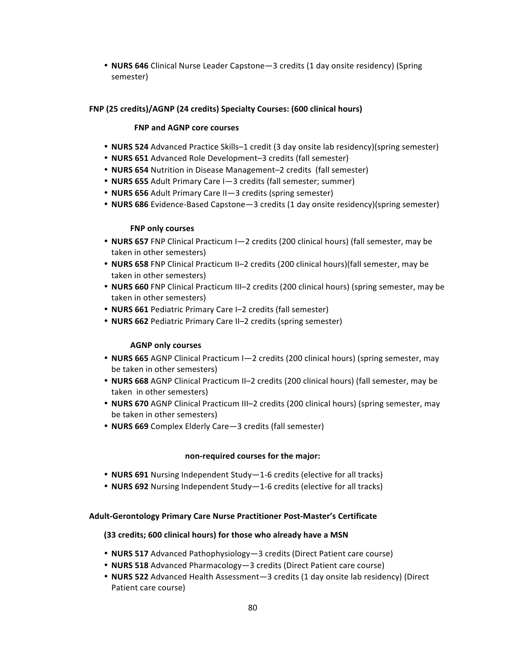• **NURS 646** Clinical Nurse Leader Capstone—3 credits (1 day onsite residency) (Spring semester) 

## FNP (25 credits)/AGNP (24 credits) Specialty Courses: (600 clinical hours)

## **FNP and AGNP core courses**

- **NURS 524** Advanced Practice Skills–1 credit (3 day onsite lab residency)(spring semester)
- **NURS 651** Advanced Role Development-3 credits (fall semester)
- **NURS 654** Nutrition in Disease Management–2 credits (fall semester)
- **NURS 655** Adult Primary Care I-3 credits (fall semester; summer)
- **NURS 656** Adult Primary Care II—3 credits (spring semester)
- **NURS 686** Evidence-Based Capstone—3 credits (1 day onsite residency)(spring semester)

## **FNP** only courses

- **NURS 657** FNP Clinical Practicum I-2 credits (200 clinical hours) (fall semester, may be taken in other semesters)
- **NURS 658** FNP Clinical Practicum II–2 credits (200 clinical hours)(fall semester, may be taken in other semesters)
- **NURS 660** FNP Clinical Practicum III–2 credits (200 clinical hours) (spring semester, may be taken in other semesters)
- **NURS 661** Pediatric Primary Care I-2 credits (fall semester)
- **NURS 662** Pediatric Primary Care II–2 credits (spring semester)

## **AGNP** only courses

- **NURS 665** AGNP Clinical Practicum I-2 credits (200 clinical hours) (spring semester, may be taken in other semesters)
- **NURS 668** AGNP Clinical Practicum II-2 credits (200 clinical hours) (fall semester, may be taken in other semesters)
- **NURS 670** AGNP Clinical Practicum III-2 credits (200 clinical hours) (spring semester, may be taken in other semesters)
- **NURS 669** Complex Elderly Care-3 credits (fall semester)

## **non-required courses for the major:**

- **NURS 691** Nursing Independent Study—1-6 credits (elective for all tracks)
- **NURS 692** Nursing Independent Study-1-6 credits (elective for all tracks)

## **Adult-Gerontology Primary Care Nurse Practitioner Post-Master's Certificate**

## **(33 credits; 600 clinical hours) for those who already have a MSN**

- **NURS 517** Advanced Pathophysiology-3 credits (Direct Patient care course)
- **NURS 518** Advanced Pharmacology—3 credits (Direct Patient care course)
- **NURS 522** Advanced Health Assessment—3 credits (1 day onsite lab residency) (Direct Patient care course)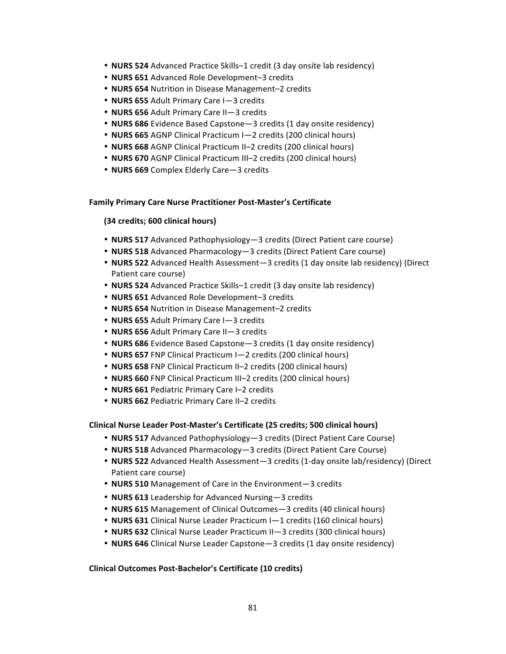- **NURS 524** Advanced Practice Skills–1 credit (3 day onsite lab residency)
- **NURS 651** Advanced Role Development-3 credits
- **NURS 654** Nutrition in Disease Management–2 credits
- **NURS 655** Adult Primary Care I-3 credits
- **NURS 656** Adult Primary Care II-3 credits
- **NURS 686** Evidence Based Capstone—3 credits (1 day onsite residency)
- **NURS 665** AGNP Clinical Practicum I-2 credits (200 clinical hours)
- **NURS 668** AGNP Clinical Practicum II-2 credits (200 clinical hours)
- **NURS 670** AGNP Clinical Practicum III-2 credits (200 clinical hours)
- **NURS 669** Complex Elderly Care-3 credits

### **Family Primary Care Nurse Practitioner Post-Master's Certificate**

## **(34 credits; 600 clinical hours)**

- **NURS 517** Advanced Pathophysiology-3 credits (Direct Patient care course)
- **NURS 518** Advanced Pharmacology—3 credits (Direct Patient Care course)
- **NURS 522** Advanced Health Assessment—3 credits (1 day onsite lab residency) (Direct Patient care course)
- **NURS 524** Advanced Practice Skills–1 credit (3 day onsite lab residency)
- **NURS 651** Advanced Role Development-3 credits
- **NURS 654** Nutrition in Disease Management-2 credits
- **NURS 655** Adult Primary Care I-3 credits
- **NURS 656** Adult Primary Care II-3 credits
- **NURS 686** Evidence Based Capstone—3 credits (1 day onsite residency)
- **NURS 657** FNP Clinical Practicum I-2 credits (200 clinical hours)
- **NURS 658** FNP Clinical Practicum II-2 credits (200 clinical hours)
- **NURS 660** FNP Clinical Practicum III–2 credits (200 clinical hours)
- **NURS 661** Pediatric Primary Care I-2 credits
- **NURS 662** Pediatric Primary Care II-2 credits

### **Clinical Nurse Leader Post-Master's Certificate (25 credits; 500 clinical hours)**

- **NURS 517** Advanced Pathophysiology—3 credits (Direct Patient Care Course)
- **NURS 518** Advanced Pharmacology—3 credits (Direct Patient Care Course)
- **NURS 522** Advanced Health Assessment—3 credits (1-day onsite lab/residency) (Direct Patient care course)
- **NURS 510** Management of Care in the Environment-3 credits
- **NURS 613** Leadership for Advanced Nursing—3 credits
- **NURS 615** Management of Clinical Outcomes-3 credits (40 clinical hours)
- **NURS 631** Clinical Nurse Leader Practicum I-1 credits (160 clinical hours)
- **NURS 632** Clinical Nurse Leader Practicum II—3 credits (300 clinical hours)
- **NURS 646** Clinical Nurse Leader Capstone—3 credits (1 day onsite residency)

### **Clinical Outcomes Post-Bachelor's Certificate (10 credits)**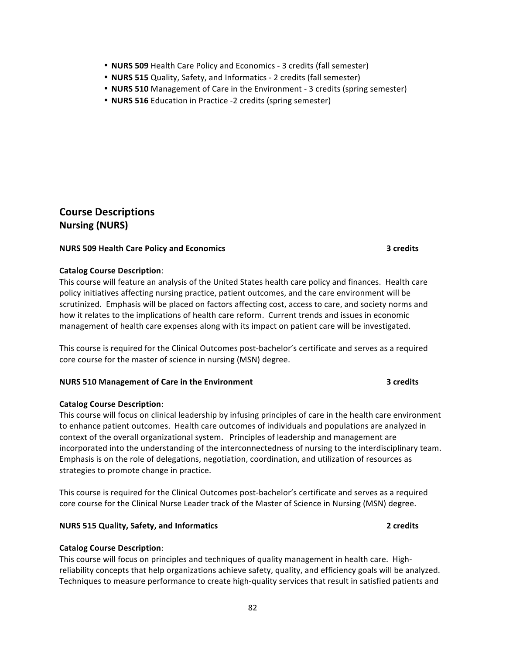- **NURS 509** Health Care Policy and Economics 3 credits (fall semester)
- **NURS 515** Quality, Safety, and Informatics 2 credits (fall semester)
- **NURS 510** Management of Care in the Environment 3 credits (spring semester)
- **NURS 516** Education in Practice -2 credits (spring semester)

## **Course Descriptions Nursing (NURS)**

## **NURS** 509 Health Care Policy and Economics **1988 1988 1988 3** credits

## **Catalog Course Description**:

This course will feature an analysis of the United States health care policy and finances. Health care policy initiatives affecting nursing practice, patient outcomes, and the care environment will be scrutinized. Emphasis will be placed on factors affecting cost, access to care, and society norms and how it relates to the implications of health care reform. Current trends and issues in economic management of health care expenses along with its impact on patient care will be investigated.

This course is required for the Clinical Outcomes post-bachelor's certificate and serves as a required core course for the master of science in nursing (MSN) degree.

## **NURS 510 Management of Care in the Environment 100 COMBING 2008 100 COMBING 3 credits**

## **Catalog Course Description**:

This course will focus on clinical leadership by infusing principles of care in the health care environment to enhance patient outcomes. Health care outcomes of individuals and populations are analyzed in context of the overall organizational system. Principles of leadership and management are incorporated into the understanding of the interconnectedness of nursing to the interdisciplinary team. Emphasis is on the role of delegations, negotiation, coordination, and utilization of resources as strategies to promote change in practice.

This course is required for the Clinical Outcomes post-bachelor's certificate and serves as a required core course for the Clinical Nurse Leader track of the Master of Science in Nursing (MSN) degree.

## **NURS 515 Quality, Safety, and Informatics <b>All According to the Contract Contract Contract Contract Contract Contract Contract Contract Contract Contract Contract Contract Contract Contract Contract Contract Contract Cont**

## **Catalog Course Description**:

This course will focus on principles and techniques of quality management in health care. Highreliability concepts that help organizations achieve safety, quality, and efficiency goals will be analyzed. Techniques to measure performance to create high-quality services that result in satisfied patients and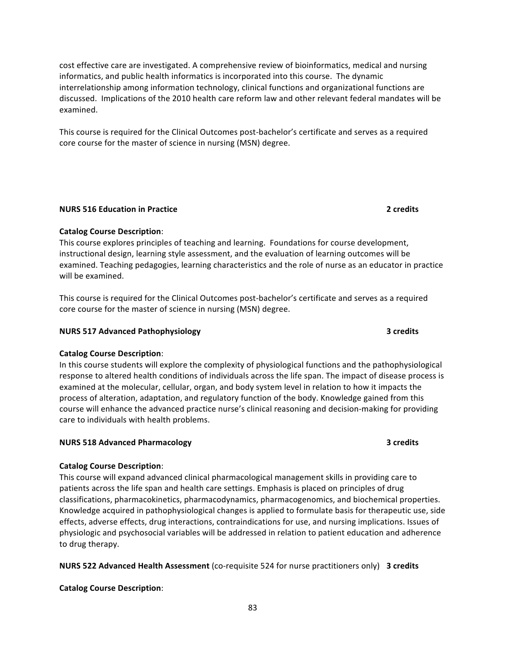cost effective care are investigated. A comprehensive review of bioinformatics, medical and nursing informatics, and public health informatics is incorporated into this course. The dynamic interrelationship among information technology, clinical functions and organizational functions are discussed. Implications of the 2010 health care reform law and other relevant federal mandates will be examined.

This course is required for the Clinical Outcomes post-bachelor's certificate and serves as a required core course for the master of science in nursing (MSN) degree.

### **NURS** 516 Education in Practice *All Securement* **2** credits **2**

## **Catalog Course Description**:

This course explores principles of teaching and learning. Foundations for course development, instructional design, learning style assessment, and the evaluation of learning outcomes will be examined. Teaching pedagogies, learning characteristics and the role of nurse as an educator in practice will be examined.

This course is required for the Clinical Outcomes post-bachelor's certificate and serves as a required core course for the master of science in nursing (MSN) degree.

## **NURS 517 Advanced Pathophysiology 3** credits **3** Credits

## **Catalog Course Description**:

In this course students will explore the complexity of physiological functions and the pathophysiological response to altered health conditions of individuals across the life span. The impact of disease process is examined at the molecular, cellular, organ, and body system level in relation to how it impacts the process of alteration, adaptation, and regulatory function of the body. Knowledge gained from this course will enhance the advanced practice nurse's clinical reasoning and decision-making for providing care to individuals with health problems.

### **NURS 518 Advanced Pharmacology <b>3** credits **3** credits

### **Catalog Course Description**:

This course will expand advanced clinical pharmacological management skills in providing care to patients across the life span and health care settings. Emphasis is placed on principles of drug classifications, pharmacokinetics, pharmacodynamics, pharmacogenomics, and biochemical properties. Knowledge acquired in pathophysiological changes is applied to formulate basis for therapeutic use, side effects, adverse effects, drug interactions, contraindications for use, and nursing implications. Issues of physiologic and psychosocial variables will be addressed in relation to patient education and adherence to drug therapy.

**NURS 522 Advanced Health Assessment** (co-requisite 524 for nurse practitioners only) 3 credits

## **Catalog Course Description**: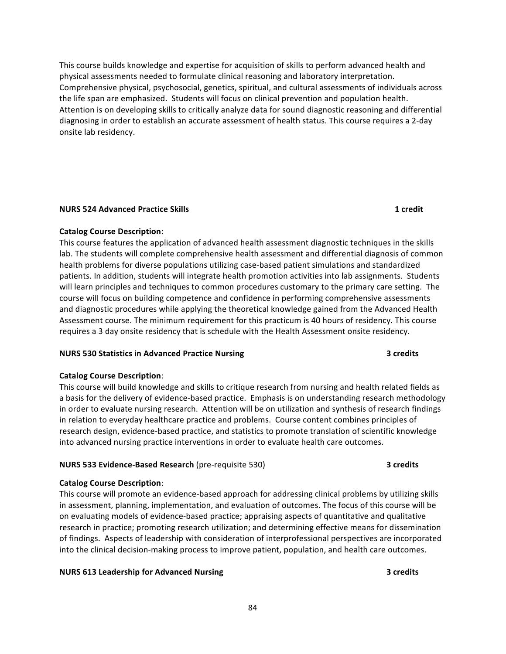This course builds knowledge and expertise for acquisition of skills to perform advanced health and physical assessments needed to formulate clinical reasoning and laboratory interpretation. Comprehensive physical, psychosocial, genetics, spiritual, and cultural assessments of individuals across the life span are emphasized. Students will focus on clinical prevention and population health. Attention is on developing skills to critically analyze data for sound diagnostic reasoning and differential diagnosing in order to establish an accurate assessment of health status. This course requires a 2-day onsite lab residency.

## **NURS 524 Advanced Practice Skills 1 credit**

## **Catalog Course Description**:

This course features the application of advanced health assessment diagnostic techniques in the skills lab. The students will complete comprehensive health assessment and differential diagnosis of common health problems for diverse populations utilizing case-based patient simulations and standardized patients. In addition, students will integrate health promotion activities into lab assignments. Students will learn principles and techniques to common procedures customary to the primary care setting. The course will focus on building competence and confidence in performing comprehensive assessments and diagnostic procedures while applying the theoretical knowledge gained from the Advanced Health Assessment course. The minimum requirement for this practicum is 40 hours of residency. This course requires a 3 day onsite residency that is schedule with the Health Assessment onsite residency.

## **NURS 530 Statistics in Advanced Practice Nursing <b>1999 1999 3** credits

### **Catalog Course Description**:

This course will build knowledge and skills to critique research from nursing and health related fields as a basis for the delivery of evidence-based practice. Emphasis is on understanding research methodology in order to evaluate nursing research. Attention will be on utilization and synthesis of research findings in relation to everyday healthcare practice and problems. Course content combines principles of research design, evidence-based practice, and statistics to promote translation of scientific knowledge into advanced nursing practice interventions in order to evaluate health care outcomes.

### **NURS 533 Evidence-Based Research (pre-requisite 530) 3 credits**

## **Catalog Course Description**:

This course will promote an evidence-based approach for addressing clinical problems by utilizing skills in assessment, planning, implementation, and evaluation of outcomes. The focus of this course will be on evaluating models of evidence-based practice; appraising aspects of quantitative and qualitative research in practice; promoting research utilization; and determining effective means for dissemination of findings. Aspects of leadership with consideration of interprofessional perspectives are incorporated into the clinical decision-making process to improve patient, population, and health care outcomes.

## **NURS 613 Leadership for Advanced Nursing <b>3 3 3 3 3 3 3**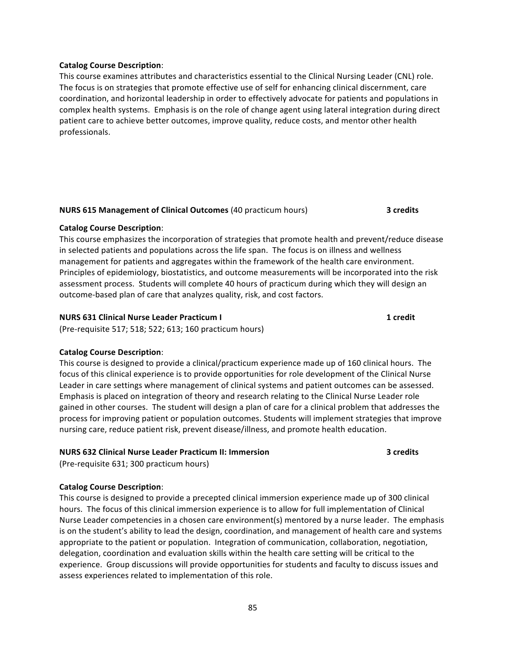### **Catalog Course Description**:

This course examines attributes and characteristics essential to the Clinical Nursing Leader (CNL) role. The focus is on strategies that promote effective use of self for enhancing clinical discernment, care coordination, and horizontal leadership in order to effectively advocate for patients and populations in complex health systems. Emphasis is on the role of change agent using lateral integration during direct patient care to achieve better outcomes, improve quality, reduce costs, and mentor other health professionals.

## **NURS 615 Management of Clinical Outcomes** (40 practicum hours) **3 credits**

## **Catalog Course Description**:

This course emphasizes the incorporation of strategies that promote health and prevent/reduce disease in selected patients and populations across the life span. The focus is on illness and wellness management for patients and aggregates within the framework of the health care environment. Principles of epidemiology, biostatistics, and outcome measurements will be incorporated into the risk assessment process. Students will complete 40 hours of practicum during which they will design an outcome-based plan of care that analyzes quality, risk, and cost factors.

## **NURS 631 Clinical Nurse Leader Practicum I 1 1 1 1 1 1 1 1**

(Pre-requisite 517; 518; 522; 613; 160 practicum hours)

## **Catalog Course Description**:

This course is designed to provide a clinical/practicum experience made up of 160 clinical hours. The focus of this clinical experience is to provide opportunities for role development of the Clinical Nurse Leader in care settings where management of clinical systems and patient outcomes can be assessed. Emphasis is placed on integration of theory and research relating to the Clinical Nurse Leader role gained in other courses. The student will design a plan of care for a clinical problem that addresses the process for improving patient or population outcomes. Students will implement strategies that improve nursing care, reduce patient risk, prevent disease/illness, and promote health education.

## **NURS 632 Clinical Nurse Leader Practicum II: Immersion <b>3** credits

(Pre-requisite 631; 300 practicum hours)

## **Catalog Course Description**:

This course is designed to provide a precepted clinical immersion experience made up of 300 clinical hours. The focus of this clinical immersion experience is to allow for full implementation of Clinical Nurse Leader competencies in a chosen care environment(s) mentored by a nurse leader. The emphasis is on the student's ability to lead the design, coordination, and management of health care and systems appropriate to the patient or population. Integration of communication, collaboration, negotiation, delegation, coordination and evaluation skills within the health care setting will be critical to the experience. Group discussions will provide opportunities for students and faculty to discuss issues and assess experiences related to implementation of this role.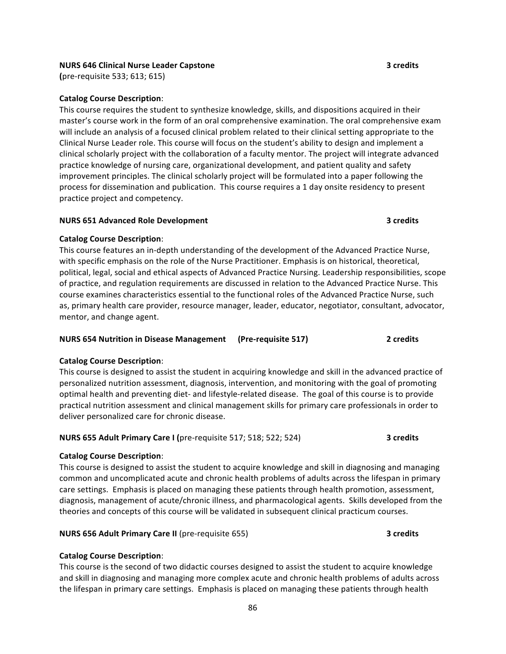## **NURS 646 Clinical Nurse Leader Capstone 3 credits**

**(**pre-requisite 533; 613; 615) 

## **Catalog Course Description**:

This course requires the student to synthesize knowledge, skills, and dispositions acquired in their master's course work in the form of an oral comprehensive examination. The oral comprehensive exam will include an analysis of a focused clinical problem related to their clinical setting appropriate to the Clinical Nurse Leader role. This course will focus on the student's ability to design and implement a clinical scholarly project with the collaboration of a faculty mentor. The project will integrate advanced practice knowledge of nursing care, organizational development, and patient quality and safety improvement principles. The clinical scholarly project will be formulated into a paper following the process for dissemination and publication. This course requires a 1 day onsite residency to present practice project and competency.

## **NURS 651 Advanced Role Development 1988 1998 1998 1998 1998 1998 1999 1999 1999 1999 1999 1999 1999 1999 1999 1999 1999 1999 1999 1999 1999 1999 1999 1999 1999 1999 19**

## **Catalog Course Description**:

This course features an in-depth understanding of the development of the Advanced Practice Nurse, with specific emphasis on the role of the Nurse Practitioner. Emphasis is on historical, theoretical, political, legal, social and ethical aspects of Advanced Practice Nursing. Leadership responsibilities, scope of practice, and regulation requirements are discussed in relation to the Advanced Practice Nurse. This course examines characteristics essential to the functional roles of the Advanced Practice Nurse, such as, primary health care provider, resource manager, leader, educator, negotiator, consultant, advocator, mentor, and change agent.

### **NURS 654 Nutrition in Disease Management** (Pre-requisite 517) 2 credits

## **Catalog Course Description**:

This course is designed to assist the student in acquiring knowledge and skill in the advanced practice of personalized nutrition assessment, diagnosis, intervention, and monitoring with the goal of promoting optimal health and preventing diet- and lifestyle-related disease. The goal of this course is to provide practical nutrition assessment and clinical management skills for primary care professionals in order to deliver personalized care for chronic disease.

### **NURS 655 Adult Primary Care I** (pre-requisite 517; 518; 522; 524) **3 credits**

### **Catalog Course Description**:

This course is designed to assist the student to acquire knowledge and skill in diagnosing and managing common and uncomplicated acute and chronic health problems of adults across the lifespan in primary care settings. Emphasis is placed on managing these patients through health promotion, assessment, diagnosis, management of acute/chronic illness, and pharmacological agents. Skills developed from the theories and concepts of this course will be validated in subsequent clinical practicum courses.

## **NURS 656 Adult Primary Care II** (pre-requisite 655) **3 credits** 3

## **Catalog Course Description**:

This course is the second of two didactic courses designed to assist the student to acquire knowledge and skill in diagnosing and managing more complex acute and chronic health problems of adults across the lifespan in primary care settings. Emphasis is placed on managing these patients through health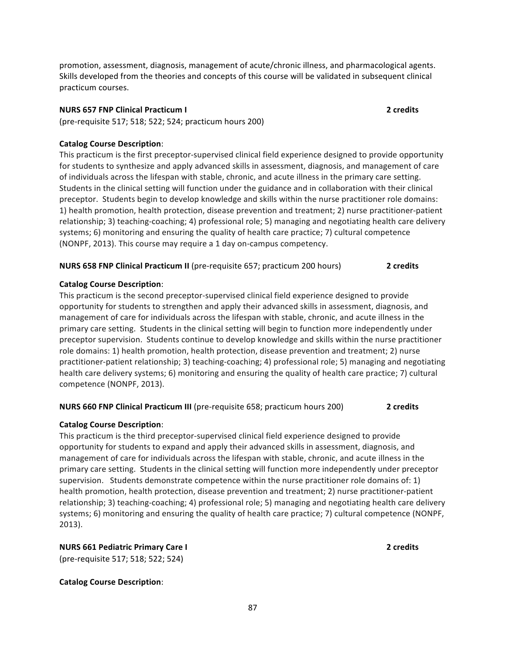promotion, assessment, diagnosis, management of acute/chronic illness, and pharmacological agents. Skills developed from the theories and concepts of this course will be validated in subsequent clinical practicum courses. 

### **NURS 657 FNP Clinical Practicum I 2** credits

(pre-requisite 517; 518; 522; 524; practicum hours 200)

### **Catalog Course Description**:

This practicum is the first preceptor-supervised clinical field experience designed to provide opportunity for students to synthesize and apply advanced skills in assessment, diagnosis, and management of care of individuals across the lifespan with stable, chronic, and acute illness in the primary care setting. Students in the clinical setting will function under the guidance and in collaboration with their clinical preceptor. Students begin to develop knowledge and skills within the nurse practitioner role domains: 1) health promotion, health protection, disease prevention and treatment; 2) nurse practitioner-patient relationship; 3) teaching-coaching; 4) professional role; 5) managing and negotiating health care delivery systems;  $6$ ) monitoring and ensuring the quality of health care practice;  $7$ ) cultural competence (NONPF, 2013). This course may require a 1 day on-campus competency.

## **NURS 658 FNP Clinical Practicum II** (pre-requisite 657; practicum 200 hours) **2** credits

### **Catalog Course Description**:

This practicum is the second preceptor-supervised clinical field experience designed to provide opportunity for students to strengthen and apply their advanced skills in assessment, diagnosis, and management of care for individuals across the lifespan with stable, chronic, and acute illness in the primary care setting. Students in the clinical setting will begin to function more independently under preceptor supervision. Students continue to develop knowledge and skills within the nurse practitioner role domains: 1) health promotion, health protection, disease prevention and treatment; 2) nurse practitioner-patient relationship; 3) teaching-coaching; 4) professional role; 5) managing and negotiating health care delivery systems; 6) monitoring and ensuring the quality of health care practice; 7) cultural competence (NONPF, 2013).

## **NURS 660 FNP Clinical Practicum III** (pre-requisite 658; practicum hours 200) **2** credits

### **Catalog Course Description**:

This practicum is the third preceptor-supervised clinical field experience designed to provide opportunity for students to expand and apply their advanced skills in assessment, diagnosis, and management of care for individuals across the lifespan with stable, chronic, and acute illness in the primary care setting. Students in the clinical setting will function more independently under preceptor supervision. Students demonstrate competence within the nurse practitioner role domains of: 1) health promotion, health protection, disease prevention and treatment; 2) nurse practitioner-patient relationship; 3) teaching-coaching; 4) professional role; 5) managing and negotiating health care delivery systems; 6) monitoring and ensuring the quality of health care practice; 7) cultural competence (NONPF, 2013).

## **NURS 661 Pediatric Primary Care I 2** credits **2** credits

(pre-requisite 517; 518; 522; 524)

### **Catalog Course Description**: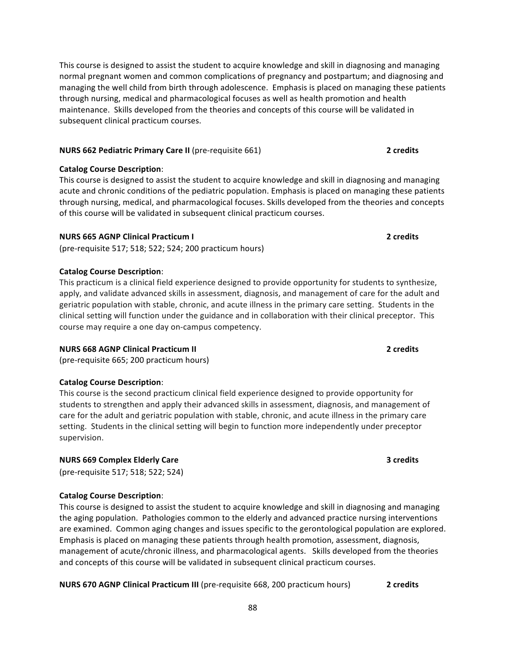This course is designed to assist the student to acquire knowledge and skill in diagnosing and managing normal pregnant women and common complications of pregnancy and postpartum; and diagnosing and managing the well child from birth through adolescence. Emphasis is placed on managing these patients through nursing, medical and pharmacological focuses as well as health promotion and health maintenance. Skills developed from the theories and concepts of this course will be validated in subsequent clinical practicum courses.

## **NURS 662 Pediatric Primary Care II** (pre-requisite 661) **2** credits

## **Catalog Course Description**:

This course is designed to assist the student to acquire knowledge and skill in diagnosing and managing acute and chronic conditions of the pediatric population. Emphasis is placed on managing these patients through nursing, medical, and pharmacological focuses. Skills developed from the theories and concepts of this course will be validated in subsequent clinical practicum courses.

## **NURS 665 AGNP Clinical Practicum I 1888 1999 12 Security 1 2 Credits**

(pre-requisite 517; 518; 522; 524; 200 practicum hours)

## **Catalog Course Description**:

This practicum is a clinical field experience designed to provide opportunity for students to synthesize, apply, and validate advanced skills in assessment, diagnosis, and management of care for the adult and geriatric population with stable, chronic, and acute illness in the primary care setting. Students in the clinical setting will function under the guidance and in collaboration with their clinical preceptor. This course may require a one day on-campus competency.

## **NURS 668 AGNP Clinical Practicum II 1999 1999 2** credits **2**

(pre-requisite 665; 200 practicum hours)

## **Catalog Course Description**:

This course is the second practicum clinical field experience designed to provide opportunity for students to strengthen and apply their advanced skills in assessment, diagnosis, and management of care for the adult and geriatric population with stable, chronic, and acute illness in the primary care setting. Students in the clinical setting will begin to function more independently under preceptor supervision. 

## **NURS 669 Complex Elderly Care 3** credits **3** credits

(pre-requisite 517; 518; 522; 524)

## **Catalog Course Description**:

This course is designed to assist the student to acquire knowledge and skill in diagnosing and managing the aging population. Pathologies common to the elderly and advanced practice nursing interventions are examined. Common aging changes and issues specific to the gerontological population are explored. Emphasis is placed on managing these patients through health promotion, assessment, diagnosis, management of acute/chronic illness, and pharmacological agents. Skills developed from the theories and concepts of this course will be validated in subsequent clinical practicum courses.

## **NURS 670 AGNP Clinical Practicum III** (pre-requisite 668, 200 practicum hours) **2** credits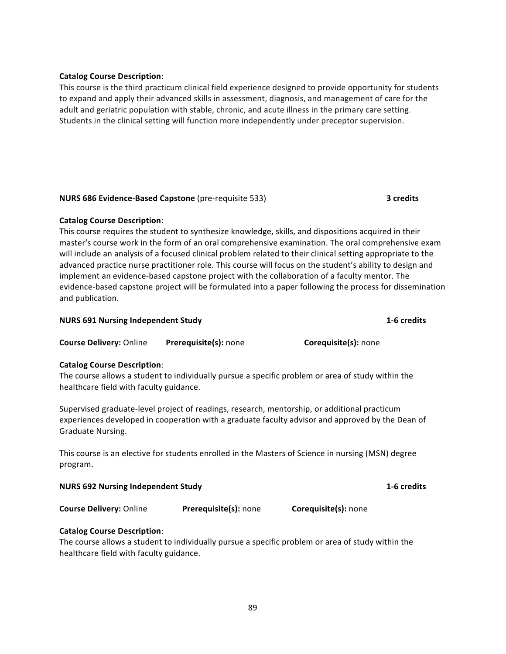## **Catalog Course Description**:

This course is the third practicum clinical field experience designed to provide opportunity for students to expand and apply their advanced skills in assessment, diagnosis, and management of care for the adult and geriatric population with stable, chronic, and acute illness in the primary care setting. Students in the clinical setting will function more independently under preceptor supervision.

## **NURS 686 Evidence-Based Capstone** (pre-requisite 533) **3 credits** 3

## **Catalog Course Description**:

This course requires the student to synthesize knowledge, skills, and dispositions acquired in their master's course work in the form of an oral comprehensive examination. The oral comprehensive exam will include an analysis of a focused clinical problem related to their clinical setting appropriate to the advanced practice nurse practitioner role. This course will focus on the student's ability to design and implement an evidence-based capstone project with the collaboration of a faculty mentor. The evidence-based capstone project will be formulated into a paper following the process for dissemination and publication.

| <b>NURS 691 Nursing Independent Study</b> |                              | 1-6 credits                 |  |
|-------------------------------------------|------------------------------|-----------------------------|--|
| <b>Course Delivery: Online</b>            | <b>Prerequisite(s):</b> none | <b>Corequisite(s):</b> none |  |
| Catalog Course Description:               |                              |                             |  |

## **Catalog Course Description**:

The course allows a student to individually pursue a specific problem or area of study within the healthcare field with faculty guidance.

Supervised graduate-level project of readings, research, mentorship, or additional practicum experiences developed in cooperation with a graduate faculty advisor and approved by the Dean of Graduate Nursing. 

This course is an elective for students enrolled in the Masters of Science in nursing (MSN) degree program.

| <b>NURS 692 Nursing Independent Study</b> | 1-6 credits |
|-------------------------------------------|-------------|
|-------------------------------------------|-------------|

**Course Delivery:** Online **Prerequisite(s):** none **Corequisite(s):** none

**Catalog Course Description**:

The course allows a student to individually pursue a specific problem or area of study within the healthcare field with faculty guidance.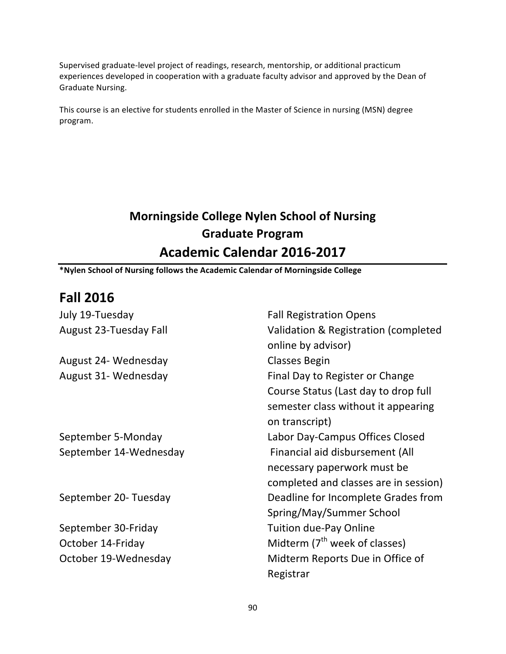Supervised graduate-level project of readings, research, mentorship, or additional practicum experiences developed in cooperation with a graduate faculty advisor and approved by the Dean of Graduate Nursing.

This course is an elective for students enrolled in the Master of Science in nursing (MSN) degree program.

# **Morningside College Nylen School of Nursing Graduate Program Academic Calendar 2016-2017**

**\*Nylen School of Nursing follows the Academic Calendar of Morningside College**

# **Fall 2016**

| July 19-Tuesday        | <b>Fall Registration Opens</b>                             |
|------------------------|------------------------------------------------------------|
| August 23-Tuesday Fall | Validation & Registration (completed<br>online by advisor) |
| August 24- Wednesday   | Classes Begin                                              |
| August 31- Wednesday   | Final Day to Register or Change                            |
|                        | Course Status (Last day to drop full                       |
|                        | semester class without it appearing                        |
|                        | on transcript)                                             |
| September 5-Monday     | Labor Day-Campus Offices Closed                            |
| September 14-Wednesday | Financial aid disbursement (All                            |
|                        | necessary paperwork must be                                |
|                        | completed and classes are in session)                      |
| September 20- Tuesday  | Deadline for Incomplete Grades from                        |
|                        | Spring/May/Summer School                                   |
| September 30-Friday    | <b>Tuition due-Pay Online</b>                              |
| October 14-Friday      | Midterm (7 <sup>th</sup> week of classes)                  |
| October 19-Wednesday   | Midterm Reports Due in Office of                           |
|                        | Registrar                                                  |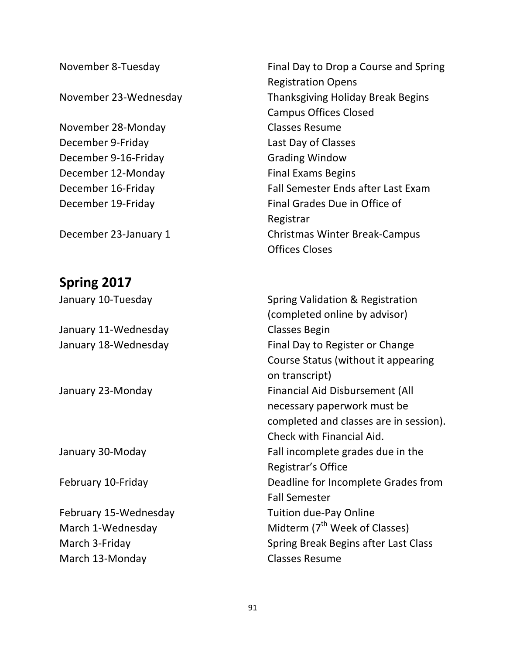November 28-Monday Classes Resume December 9-Friday **Last Day of Classes** December 9-16-Friday Grading Window December 12-Monday Final Exams Begins

# **Spring 2017**

January 11-Wednesday **Classes** Begin

March 13-Monday **Classes** Resume

November 8-Tuesday **Final Day to Drop a Course** and Spring Registration Opens November 23-Wednesday Thanksgiving Holiday Break Begins Campus Offices Closed December 16-Friday The Controller Call Semester Ends after Last Exam December 19-Friday **Final Grades** Due in Office of Registrar December 23-January 1 Christmas Winter Break-Campus Offices Closes

January 10-Tuesday **Spring Validation & Registration** (completed online by advisor) January 18-Wednesday **Final Day to Register** or Change Course Status (without it appearing on transcript) January 23-Monday **Financial Aid Disbursement** (All necessary paperwork must be completed and classes are in session). Check with Financial Aid. January 30-Moday **Fall** incomplete grades due in the Registrar's Office February 10-Friday **Exampler** Deadline for Incomplete Grades from Fall Semester February 15-Wednesday Tuition due-Pay Online March 1-Wednesday  $M$  Midterm (7<sup>th</sup> Week of Classes) March 3-Friday **March 3-Friday** Spring Break Begins after Last Class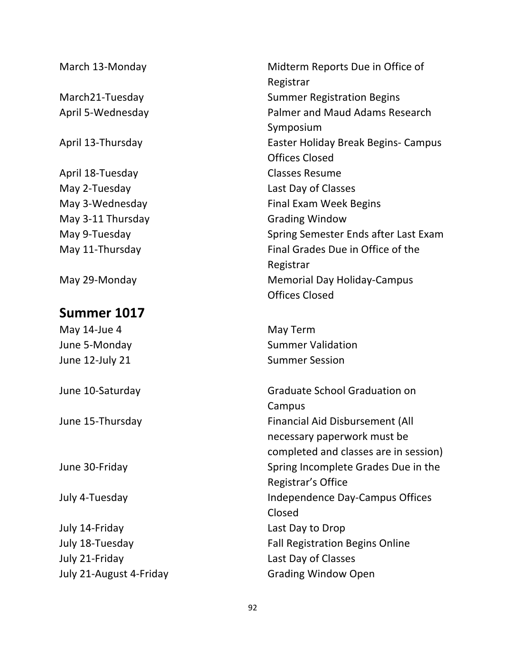| March 13-Monday         | Midterm Reports Due in Office of       |
|-------------------------|----------------------------------------|
|                         | Registrar                              |
| March21-Tuesday         | <b>Summer Registration Begins</b>      |
| April 5-Wednesday       | <b>Palmer and Maud Adams Research</b>  |
|                         | Symposium                              |
| April 13-Thursday       | Easter Holiday Break Begins- Campus    |
|                         | <b>Offices Closed</b>                  |
| April 18-Tuesday        | <b>Classes Resume</b>                  |
| May 2-Tuesday           | Last Day of Classes                    |
| May 3-Wednesday         | <b>Final Exam Week Begins</b>          |
| May 3-11 Thursday       | <b>Grading Window</b>                  |
| May 9-Tuesday           | Spring Semester Ends after Last Exam   |
| May 11-Thursday         | Final Grades Due in Office of the      |
|                         | Registrar                              |
| May 29-Monday           | <b>Memorial Day Holiday-Campus</b>     |
|                         | <b>Offices Closed</b>                  |
| Summer 1017             |                                        |
| May 14-Jue 4            | May Term                               |
| June 5-Monday           | <b>Summer Validation</b>               |
| June 12-July 21         | <b>Summer Session</b>                  |
| June 10-Saturday        | Graduate School Graduation on          |
|                         | Campus                                 |
| June 15-Thursday        | <b>Financial Aid Disbursement (All</b> |
|                         | necessary paperwork must be            |
|                         | completed and classes are in session)  |
| June 30-Friday          | Spring Incomplete Grades Due in the    |
|                         | Registrar's Office                     |
| July 4-Tuesday          | Independence Day-Campus Offices        |
|                         | Closed                                 |
| July 14-Friday          | Last Day to Drop                       |
| July 18-Tuesday         | <b>Fall Registration Begins Online</b> |
| July 21-Friday          | Last Day of Classes                    |
| July 21-August 4-Friday | <b>Grading Window Open</b>             |
|                         |                                        |